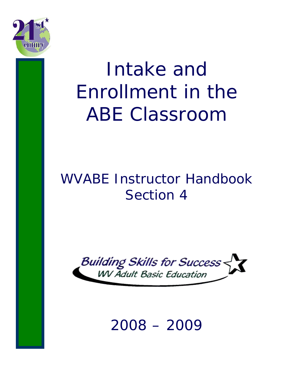

# Intake and Enrollment in the ABE Classroom

## WVABE Instructor Handbook Section 4



## 2008 – 2009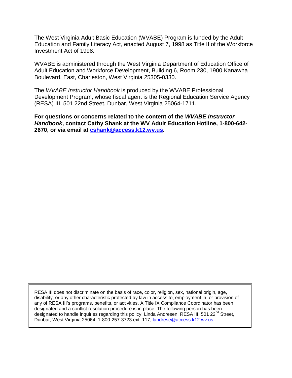The West Virginia Adult Basic Education (WVABE) Program is funded by the Adult Education and Family Literacy Act, enacted August 7, 1998 as Title II of the Workforce Investment Act of 1998.

WVABE is administered through the West Virginia Department of Education Office of Adult Education and Workforce Development, Building 6, Room 230, 1900 Kanawha Boulevard, East, Charleston, West Virginia 25305-0330.

The *WVABE Instructor Handbook* is produced by the WVABE Professional Development Program, whose fiscal agent is the Regional Education Service Agency (RESA) III, 501 22nd Street, Dunbar, West Virginia 25064-1711.

**For questions or concerns related to the content of the** *WVABE Instructor Handbook***, contact Cathy Shank at the WV Adult Education Hotline, 1-800-642- 2670, or via email at [cshank@access.k12.wv.us.](mailto:cshank@access.k12.wv.us)**

RESA III does not discriminate on the basis of race, color, religion, sex, national origin, age, disability, or any other characteristic protected by law in access to, employment in, or provision of any of RESA III's programs, benefits, or activities. A Title IX Compliance Coordinator has been designated and a conflict resolution procedure is in place. The following person has been designated to handle inquiries regarding this policy: Linda Andresen, RESA III, 501 22<sup>nd</sup> Street, Dunbar, West Virginia 25064; 1-800-257-3723 ext. 117; [landrese@access.k12.wv.us.](mailto:landrese@access.k12.wv.us)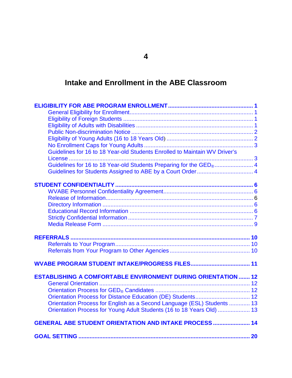## **Intake and Enrollment in the ABE Classroom**

| Guidelines for 16 to 18 Year-old Students Enrolled to Maintain WV Driver's     |  |
|--------------------------------------------------------------------------------|--|
|                                                                                |  |
| Guidelines for 16 to 18 Year-old Students Preparing for the GED <sub>®</sub> 4 |  |
|                                                                                |  |
|                                                                                |  |
|                                                                                |  |
|                                                                                |  |
|                                                                                |  |
|                                                                                |  |
|                                                                                |  |
|                                                                                |  |
|                                                                                |  |
|                                                                                |  |
|                                                                                |  |
|                                                                                |  |
|                                                                                |  |
|                                                                                |  |
| <b>ESTABLISHING A COMFORTABLE ENVIRONMENT DURING ORIENTATION  12</b>           |  |
|                                                                                |  |
|                                                                                |  |
|                                                                                |  |
| Orientation Process for English as a Second Language (ESL) Students  13        |  |
| Orientation Process for Young Adult Students (16 to 18 Years Old)  13          |  |
| <b>GENERAL ABE STUDENT ORIENTATION AND INTAKE PROCESS  14</b>                  |  |
|                                                                                |  |
|                                                                                |  |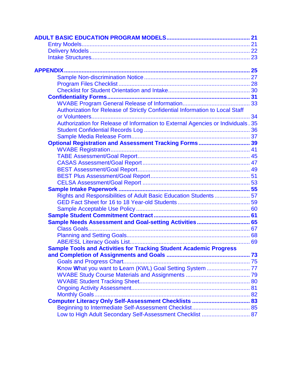| Authorization for Release of Strictly Confidential Information to Local Staff    |  |
|----------------------------------------------------------------------------------|--|
|                                                                                  |  |
| Authorization for Release of Information to External Agencies or Individuals. 35 |  |
|                                                                                  |  |
|                                                                                  |  |
| Optional Registration and Assessment Tracking Forms 39                           |  |
|                                                                                  |  |
|                                                                                  |  |
|                                                                                  |  |
|                                                                                  |  |
|                                                                                  |  |
|                                                                                  |  |
|                                                                                  |  |
| Rights and Responsibilities of Adult Basic Education Students 57                 |  |
|                                                                                  |  |
|                                                                                  |  |
|                                                                                  |  |
| Sample Needs Assessment and Goal-setting Activities 65                           |  |
|                                                                                  |  |
|                                                                                  |  |
|                                                                                  |  |
| <b>Sample Tools and Activities for Tracking Student Academic Progress</b>        |  |
|                                                                                  |  |
|                                                                                  |  |
| Know What you want to Learn (KWL) Goal Setting System  77                        |  |
|                                                                                  |  |
|                                                                                  |  |
|                                                                                  |  |
|                                                                                  |  |
|                                                                                  |  |
|                                                                                  |  |
| Low to High Adult Secondary Self-Assessment Checklist  87                        |  |
|                                                                                  |  |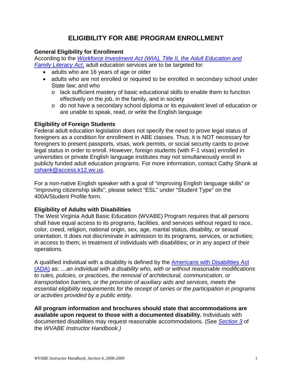## **ELIGIBILITY FOR ABE PROGRAM ENROLLMENT**

#### <span id="page-6-1"></span><span id="page-6-0"></span>**General Eligibility for Enrollment**

According to the *[Workforce Investment Act \(WIA\), Title II, the Adult Education and](http://www.ed.gov/policy/adulted/leg/legis.html)  [Family Literacy Act](http://www.ed.gov/policy/adulted/leg/legis.html)*, adult education services are to be targeted for:

- adults who are 16 years of age or older
- adults who are not enrolled or required to be enrolled in secondary school under State law; and who
	- o lack sufficient mastery of basic educational skills to enable them to function effectively on the job, in the family, and in society
	- o do not have a secondary school diploma or its equivalent level of education or are unable to speak, read, or write the English language

#### <span id="page-6-2"></span>**Eligibility of Foreign Students**

Federal adult education legislation does not specify the need to prove legal status of foreigners as a condition for enrollment in ABE classes. Thus, it is NOT necessary for foreigners to present passports, visas, work permits, or social security cards to prove legal status in order to enroll. However, foreign students (with F-1 visas) enrolled in universities or private English language institutes may not simultaneously enroll in publicly funded adult education programs. For more information, contact Cathy Shank at [cshank@access.k12.wv.us.](mailto:cshank@access.k12.wv.us)

For a non-native English speaker with a goal of "improving English language skills" or "improving citizenship skills", please select "ESL" under "Student Type" on the 400A/Student Profile form.

#### <span id="page-6-3"></span>**Eligibility of Adults with Disabilities**

The West Virginia Adult Basic Education (WVABE) Program requires that all persons shall have equal access to its programs, facilities, and services without regard to race, color, creed, religion, national origin, sex, age, marital status, disability, or sexual orientation. It does not discriminate in admission to its programs, services, or activities; in access to them; in treatment of individuals with disabilities; or in any aspect of their operations.

A qualified individual with a disability is defined by the [Americans with Disabilities Act](http://www.ada.gov/pubs/ada.htm)  [\(ADA\)](http://www.ada.gov/pubs/ada.htm) as: *…an individual with a disability who, with or without reasonable modifications to rules, policies, or practices, the removal of architectural, communication, or transportation barriers, or the provision of auxiliary aids and services, meets the essential eligibility requirements for the receipt of series or the participation in programs or activities provided by a public entity.*

**All program information and brochures should state that accommodations are available upon request to those with a documented disability.** Individuals with documented disabilities may request reasonable accommodations. (See *[Section 3](http://wvde.state.wv.us/abe/tcher_handbook_pdf/section3.pdf)* of the *WVABE Instructor Handbook.)*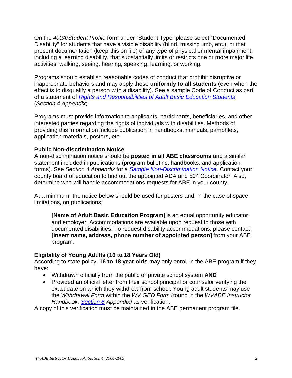On the *400A/Student Profile* form under "Student Type" please select "Documented Disability" for students that have a visible disability (blind, missing limb, etc.), or that present documentation (keep this on file) of any type of physical or mental impairment, including a learning disability, that substantially limits or restricts one or more major life activities: walking, seeing, hearing, speaking, learning, or working.

Programs should establish reasonable codes of conduct that prohibit disruptive or inappropriate behaviors and may apply these **uniformly to all students** (even when the effect is to disqualify a person with a disability). See a sample Code of Conduct as part of a statement of *[Rights and Responsibilities of Adult Basic Education Students](#page-62-0)* (*Section 4 Appendix*).

Programs must provide information to applicants, participants, beneficiaries, and other interested parties regarding the rights of individuals with disabilities. Methods of providing this information include publication in handbooks, manuals, pamphlets, application materials, posters, etc.

#### <span id="page-7-0"></span>**Public Non-discrimination Notice**

A non-discrimination notice should be **posted in all ABE classrooms** and a similar statement included in publications (program bulletins, handbooks, and application forms). See *Section 4 Appendix* for a *[Sample Non-Discrimination Notice](#page-32-0)*. Contact your county board of education to find out the appointed ADA and 504 Coordinator. Also, determine who will handle accommodations requests for ABE in your county.

At a minimum, the notice below should be used for posters and, in the case of space limitations, on publications:

**[Name of Adult Basic Education Program**] is an equal opportunity educator and employer. Accommodations are available upon request to those with documented disabilities. To request disability accommodations, please contact **[insert name, address, phone number of appointed person]** from your ABE program.

#### <span id="page-7-1"></span>**Eligibility of Young Adults (16 to 18 Years Old)**

According to state policy, **16 to 18 year olds** may only enroll in the ABE program if they have:

- Withdrawn officially from the public or private school system **AND**
- Provided an official letter from their school principal or counselor verifying the exact date on which they withdrew from school. Young adult students may use the *Withdrawal Form* within the *WV GED Form (*found in the *WVABE Instructor Handbook, [Section 8](http://wvde.state.wv.us/abe/tcher_handbook_pdf/section8.pdf) Appendix)* as verification.

A copy of this verification must be maintained in the ABE permanent program file.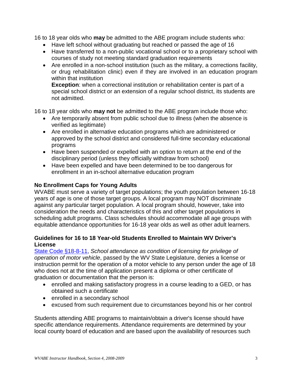16 to 18 year olds who **may** be admitted to the ABE program include students who:

- Have left school without graduating but reached or passed the age of 16
- Have transferred to a non-public vocational school or to a proprietary school with courses of study not meeting standard graduation requirements
- Are enrolled in a non-school institution (such as the military, a corrections facility, or drug rehabilitation clinic) even if they are involved in an education program within that institution

**Exception**: when a correctional institution or rehabilitation center is part of a special school district or an extension of a regular school district, its students are not admitted.

16 to 18 year olds who **may not** be admitted to the ABE program include those who:

- Are temporarily absent from public school due to illness (when the absence is verified as legitimate)
- Are enrolled in alternative education programs which are administered or approved by the school district and considered full-time secondary educational programs
- Have been suspended or expelled with an option to return at the end of the disciplinary period (unless they officially withdraw from school)
- Have been expelled and have been determined to be too dangerous for enrollment in an in-school alternative education program

#### <span id="page-8-0"></span>**No Enrollment Caps for Young Adults**

WVABE must serve a variety of target populations; the youth population between 16-18 years of age is one of those target groups. A local program may NOT discriminate against any particular target population. A local program should, however, take into consideration the needs and characteristics of this and other target populations in scheduling adult programs. Class schedules should accommodate all age groups with equitable attendance opportunities for 16-18 year olds as well as other adult learners.

#### <span id="page-8-1"></span>**Guidelines for 16 to 18 Year-old Students Enrolled to Maintain WV Driver's License**

[State Code §18-8-11,](http://wvde.state.wv.us/policies/p4110.html) *School attendance as condition of licensing for privilege of operation of motor vehicle*, passed by the WV State Legislature, denies a license or instruction permit for the operation of a motor vehicle to any person under the age of 18 who does not at the time of application present a diploma or other certificate of graduation or documentation that the person is:

- enrolled and making satisfactory progress in a course leading to a GED, or has obtained such a certificate
- enrolled in a secondary school
- excused from such requirement due to circumstances beyond his or her control

Students attending ABE programs to maintain/obtain a driver's license should have specific attendance requirements. Attendance requirements are determined by your local county board of education and are based upon the availability of resources such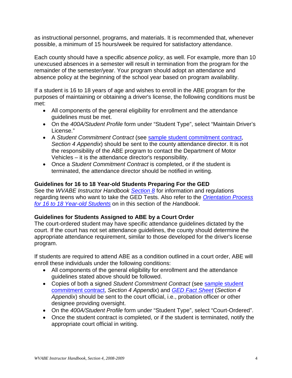as instructional personnel, programs, and materials. It is recommended that, whenever possible, a minimum of 15 hours/week be required for satisfactory attendance.

Each county should have a specific *absence policy*, as well. For example, more than 10 unexcused absences in a semester will result in termination from the program for the remainder of the semester/year. Your program should adopt an attendance and absence policy at the beginning of the school year based on program availability.

If a student is 16 to 18 years of age and wishes to enroll in the ABE program for the purposes of maintaining or obtaining a driver's license, the following conditions must be met:

- All components of the general eligibility for enrollment and the attendance guidelines must be met.
- On the *400A/Student Profile* form under "Student Type", select "Maintain Driver's License."
- A *Student Commitment Contract* (see [sample student commitment contract,](#page-66-0) *Section 4 Appendix*) should be sent to the county attendance director. It is not the responsibility of the ABE program to contact the Department of Motor Vehicles – it is the attendance director's responsibility.
- Once a *Student Commitment Contract* is completed, or if the student is terminated, the attendance director should be notified in writing.

#### <span id="page-9-0"></span>**Guidelines for 16 to 18 Year-old Students Preparing For the GED**

See the *WVABE Instructor Handbook [Section 8](http://wvde.state.wv.us/abe/tcher_handbook_pdf/section8.pdf)* for information and regulations regarding teens who want to take the GED Tests. Also refer to the *[Orientation Process](#page-18-1)  [for 16 to 18 Year-old Students](#page-18-1)* on in this section of the *Handbook*.

#### <span id="page-9-1"></span>**Guidelines for Students Assigned to ABE by a Court Order**

The court-ordered student may have specific attendance guidelines dictated by the court. If the court has not set attendance guidelines, the county should determine the appropriate attendance requirement, similar to those developed for the driver's license program.

If students are required to attend ABE as a condition outlined in a court order, ABE will enroll these individuals under the following conditions:

- All components of the general eligibility for enrollment and the attendance guidelines stated above should be followed.
- Copies of both a signed *Student Commitment Contract* (see [sample student](#page-66-0)  [commitment contract,](#page-66-0) *Section 4 Appendix*) and *[GED Fact Sheet](#page-64-0)* (*Section 4 Appendix*) should be sent to the court official, i.e., probation officer or other designee providing oversight.
- On the *400A/Student Profile* form under "Student Type", select "Court-Ordered".
- Once the student contract is completed, or if the student is terminated, notify the appropriate court official in writing.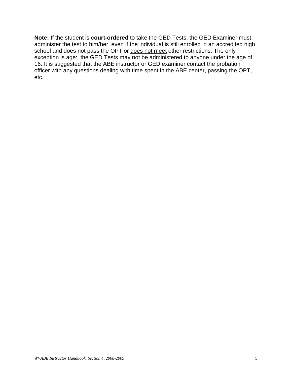**Note:** If the student is **court-ordered** to take the GED Tests, the GED Examiner must administer the test to him/her, even if the individual is still enrolled in an accredited high school and does not pass the OPT or does not meet other restrictions. The only exception is age: the GED Tests may not be administered to anyone under the age of 16. It is suggested that the ABE instructor or GED examiner contact the probation officer with any questions dealing with time spent in the ABE center, passing the OPT, etc.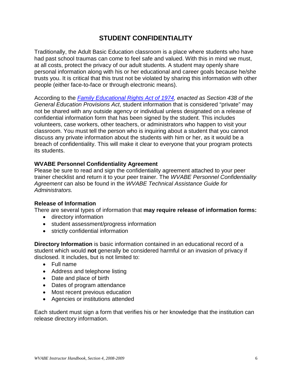## **STUDENT CONFIDENTIALITY**

<span id="page-11-0"></span>Traditionally, the Adult Basic Education classroom is a place where students who have had past school traumas can come to feel safe and valued. With this in mind we must, at all costs, protect the privacy of our adult students. A student may openly share personal information along with his or her educational and career goals because he/she trusts you. It is critical that this trust not be violated by sharing this information with other people (either face-to-face or through electronic means).

According to the *[Family Educational Rights Act of 1974,](http://www.ed.gov/policy/gen/guid/fpco/ferpa/index.html) enacted as Section 438 of the General Education Provisions Act*, student information that is considered "private" may not be shared with any outside agency or individual unless designated on a release of confidential information form that has been signed by the student. This includes volunteers, case workers, other teachers, or administrators who happen to visit your classroom. You must tell the person who is inquiring about a student that you cannot discuss any private information about the students with him or her, as it would be a breach of confidentiality. This will make it clear to everyone that your program protects its students.

#### <span id="page-11-1"></span>**WVABE Personnel Confidentiality Agreement**

Please be sure to read and sign the confidentiality agreement attached to your peer trainer checklist and return it to your peer trainer. The *WVABE Personnel Confidentiality Agreement* can also be found in the *WVABE Technical Assistance Guide for Administrators.*

#### <span id="page-11-2"></span>**Release of Information**

There are several types of information that **may require release of information forms:**

- directory information
- student assessment/progress information
- strictly confidential information

<span id="page-11-3"></span>**Directory Information** is basic information contained in an educational record of a student which would **not** generally be considered harmful or an invasion of privacy if disclosed. It includes, but is not limited to:

- Full name
- Address and telephone listing
- Date and place of birth
- Dates of program attendance
- Most recent previous education
- Agencies or institutions attended

Each student must sign a form that verifies his or her knowledge that the institution can release directory information.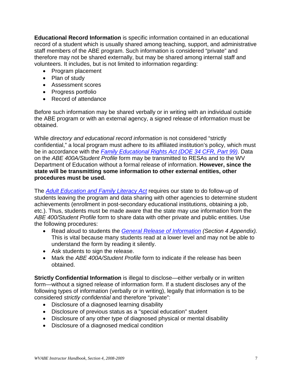<span id="page-12-0"></span>**Educational Record Information** is specific information contained in an educational record of a student which is usually shared among teaching, support, and administrative staff members of the ABE program. Such information is considered "private" and therefore may not be shared externally, but may be shared among internal staff and volunteers. It includes, but is not limited to information regarding:

- Program placement
- Plan of study
- Assessment scores
- Progress portfolio
- Record of attendance

Before such information may be shared verbally or in writing with an individual outside the ABE program or with an external agency, a signed release of information must be obtained.

While *directory and educational record information* is not considered "strictly confidential," a local program must adhere to its affiliated institution's policy, which must be in accordance with the *[Family Educational Rights Act \(DOE 34 CFR, Part 99\)](http://www.ed.gov/offices/OII/fpco/ferpa)*. Data on the *ABE 400A/Student Profile* form may be transmitted to RESAs and to the WV Department of Education without a formal release of information. **However, since the state will be transmitting some information to other external entities, other procedures must be used.**

The *[Adult Education and Family Literacy Act](http://www.ed.gov/policy/adulted/leg/legis.html)* requires our state to do follow-up of students leaving the program and data sharing with other agencies to determine student achievements (enrollment in post-secondary educational institutions, obtaining a job, etc.). Thus, students must be made aware that the state may use information from the *ABE 400/Student Profile* form to share data with other private and public entities. Use the following procedures:

- Read aloud to students the *[General Release of](#page-38-0) Information (Section 4 Appendix).*  This is vital because many students read at a lower level and may not be able to understand the form by reading it silently.
- Ask students to sign the release.
- Mark the *ABE 400A/Student Profile* form to indicate if the release has been obtained.

<span id="page-12-1"></span>**Strictly Confidential Information** is illegal to disclose—either verbally or in written form—without a signed release of information form. If a student discloses any of the following types of information (verbally or in writing), legally that information is to be considered *strictly confidential* and therefore "private":

- Disclosure of a diagnosed learning disability
- Disclosure of previous status as a "special education" student
- Disclosure of any other type of diagnosed physical or mental disability
- Disclosure of a diagnosed medical condition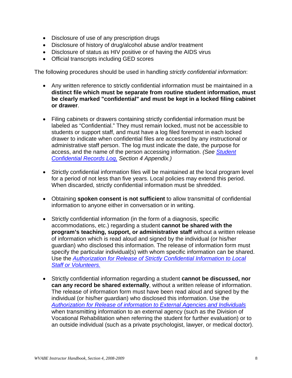- Disclosure of use of any prescription drugs
- Disclosure of history of drug/alcohol abuse and/or treatment
- Disclosure of status as HIV positive or of having the AIDS virus
- Official transcripts including GED scores

The following procedures should be used in handling *strictly confidential information*:

- Any written reference to strictly confidential information must be maintained in a **distinct file which must be separate from routine student information, must be clearly marked "confidential" and must be kept in a locked filing cabinet or drawer**.
- Filing cabinets or drawers containing strictly confidential information must be labeled as "Confidential." They must remain locked, must not be accessible to students or support staff, and must have a log filed foremost in each locked drawer to indicate when confidential files are accessed by any instructional or administrative staff person. The log must indicate the date, the purpose for access, and the name of the person accessing information. *(See [Student](#page-41-0)  [Confidential Records Log,](#page-41-0) Section 4 Appendix.)*
- Strictly confidential information files will be maintained at the local program level for a period of not less than five years. Local policies may extend this period. When discarded, strictly confidential information must be shredded.
- Obtaining **spoken consent is not sufficient** to allow transmittal of confidential information to anyone either in conversation or in writing.
- Strictly confidential information (in the form of a diagnosis, specific accommodations, etc.) regarding a student **cannot be shared with the program's teaching, support, or administrative staff** without a written release of information which is read aloud and signed by the individual (or his/her guardian) who disclosed this information. The release of information form must specify the particular individual(s) with whom specific information can be shared. Use the *[Authorization for Release of Strictly Confidential Information to Local](#page-39-0)  [Staff or Volunteers.](#page-39-0)*
- Strictly confidential information regarding a student **cannot be discussed, nor can any record be shared externally**, without a written release of information. The release of information form must have been read aloud and signed by the individual (or his/her guardian) who disclosed this information. Use the *[Authorization for Release of information to External Agencies and Individuals](#page-40-0)* when transmitting information to an external agency (such as the Division of Vocational Rehabilitation when referring the student for further evaluation) or to an outside individual (such as a private psychologist, lawyer, or medical doctor).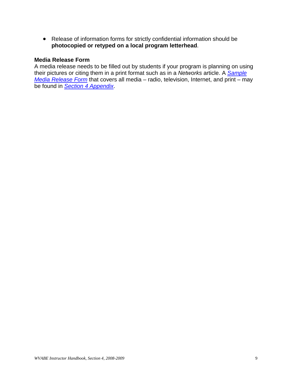• Release of information forms for strictly confidential information should be **photocopied or retyped on a local program letterhead**.

#### <span id="page-14-0"></span>**Media Release Form**

A media release needs to be filled out by students if your program is planning on using their pictures or citing them in a print format such as in a *Networks* article. A *[Sample](#page-42-0) [Media Release Form](#page-42-0)* that covers all media – radio, television, Internet, and print – may be found in *[Section 4 Appendix](#page-30-0)*.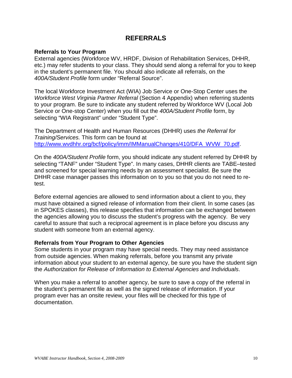### **REFERRALS**

#### <span id="page-15-1"></span><span id="page-15-0"></span>**Referrals to Your Program**

External agencies (Workforce WV, HRDF, Division of Rehabilitation Services, DHHR, etc.) may refer students to your class. They should send along a referral for you to keep in the student's permanent file. You should also indicate all referrals, on the *400A/Student Profile* form under "Referral Source".

The local Workforce Investment Act (WIA) Job Service or One-Stop Center uses the *Workforce West Virginia Partner Referral* (Section 4 Appendix) when referring students to your program. Be sure to indicate any student referred by Workforce WV (Local Job Service or One-stop Center) when you fill out the *400A/Student Profile* form, by selecting "WIA Registrant" under "Student Type".

The Department of Health and Human Resources (DHHR) uses *the Referral for Training/Services.* This form can be found at [http://www.wvdhhr.org/bcf/policy/imm/IMManualChanges/410/DFA\\_WVW\\_70.pdf.](http://www.wvdhhr.org/bcf/policy/imm/IMManualChanges/410/DFA_WVW_70.pdf)

On the *400A/Student Profile* form, you should indicate any student referred by DHHR by selecting "TANF" under "Student Type". In many cases, DHHR clients are TABE–tested and screened for special learning needs by an assessment specialist. Be sure the DHHR case manager passes this information on to you so that you do not need to retest.

Before external agencies are allowed to send information about a client to you, they must have obtained a signed release of information from their client. In some cases (as in SPOKES classes), this release specifies that information can be exchanged between the agencies allowing you to discuss the student's progress with the agency. Be very careful to assure that such a reciprocal agreement is in place before you discuss any student with someone from an external agency.

#### <span id="page-15-2"></span>**Referrals from Your Program to Other Agencies**

Some students in your program may have special needs. They may need assistance from outside agencies. When making referrals, before you transmit any private information about your student to an external agency, be sure you have the student sign the *Authorization for Release of Information to External Agencies and Individuals*.

When you make a referral to another agency, be sure to save a copy of the referral in the student's permanent file as well as the signed release of information. If your program ever has an onsite review, your files will be checked for this type of documentation.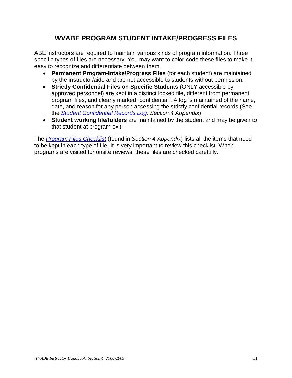## **WVABE PROGRAM STUDENT INTAKE/PROGRESS FILES**

<span id="page-16-0"></span>ABE instructors are required to maintain various kinds of program information. Three specific types of files are necessary. You may want to color-code these files to make it easy to recognize and differentiate between them.

- **Permanent Program-Intake/Progress Files** (for each student) are maintained by the instructor/aide and are not accessible to students without permission.
- **Strictly Confidential Files on Specific Students** (ONLY accessible by approved personnel) are kept in a distinct locked file, different from permanent program files, and clearly marked "confidential". A log is maintained of the name, date, and reason for any person accessing the strictly confidential records (See the *[Student Confidential Records Log,](#page-41-0) Section 4 Appendix*)
- **Student working file/folders** are maintained by the student and may be given to that student at program exit.

The *[Program Files Checklist](#page-33-0)* (found in *Section 4 Appendix*) lists all the items that need to be kept in each type of file. It is very important to review this checklist. When programs are visited for onsite reviews, these files are checked carefully.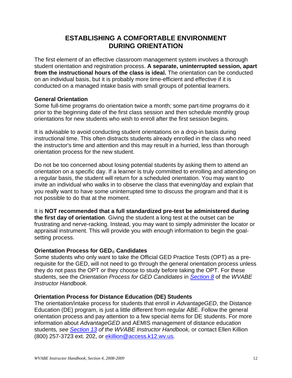## **ESTABLISHING A COMFORTABLE ENVIRONMENT DURING ORIENTATION**

<span id="page-17-0"></span>The first element of an effective classroom management system involves a thorough student orientation and registration process. **A separate, uninterrupted session, apart from the instructional hours of the class is ideal.** The orientation can be conducted on an individual basis, but it is probably more time-efficient and effective if it is conducted on a managed intake basis with small groups of potential learners.

#### <span id="page-17-1"></span>**General Orientation**

Some full-time programs do orientation twice a month; some part-time programs do it prior to the beginning date of the first class session and then schedule monthly group orientations for new students who wish to enroll after the first session begins.

It is advisable to avoid conducting student orientations on a drop-in basis during instructional time. This often distracts students already enrolled in the class who need the instructor's time and attention and this may result in a hurried, less than thorough orientation process for the new student.

Do not be too concerned about losing potential students by asking them to attend an orientation on a specific day. If a learner is truly committed to enrolling and attending on a regular basis, the student will return for a scheduled orientation. You may want to invite an individual who walks in to observe the class that evening/day and explain that you really want to have some uninterrupted time to discuss the program and that it is not possible to do that at the moment.

It is **NOT recommended that a full standardized pre-test be administered during the first day of orientation**. Giving the student a long test at the outset can be frustrating and nerve-racking. Instead, you may want to simply administer the locator or appraisal instrument. This will provide you with enough information to begin the goalsetting process.

#### <span id="page-17-2"></span>**Orientation Process for GED**® **Candidates**

Some students who only want to take the Official GED Practice Tests (OPT) as a prerequisite for the GED, will not need to go through the general orientation process unless they do not pass the OPT or they choose to study before taking the OPT. For these students, see the *Orientation Process for GED Candidates* in *[Section 8](http://wvde.state.wv.us/abe/tcher_handbook_pdf/section8.pdf)* of the *WVABE Instructor Handbook.*

#### <span id="page-17-3"></span>**Orientation Process for Distance Education (DE) Students**

The orientation/intake process for students that enroll in *AdvantageGED*, the Distance Education (DE) program, is just a little different from regular ABE. Follow the general orientation process and pay attention to a few special items for DE students. For more information about *AdvantageGED* and AEMIS management of distance education students*, see [Section 13](http://wvde.state.wv.us/abe/tcher_handbook_pdf/section13.pdf) of the WVABE Instructor Handbook,* or contact Ellen Killion (800) 257-3723 ext. 202, or [ekillion@access.k12.wv.us.](mailto:ekillion@access.k12.wv.us)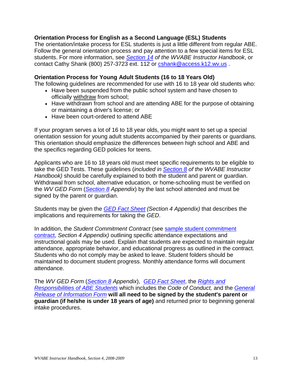#### <span id="page-18-0"></span>**Orientation Process for English as a Second Language (ESL) Students**

The orientation/intake process for ESL students is just a little different from regular ABE. Follow the general orientation process and pay attention to a few special items for ESL students. For more information, see *[Section 14](http://wvde.state.wv.us/abe/tcher_handbook_pdf/section14.pdf) of the WVABE Instructor Handbook*, or contact Cathy Shank (800) 257-3723 ext. 112 or [cshank@access.k12.wv.us](mailto:cshank@access.k12.wv.us) .

#### <span id="page-18-1"></span>**Orientation Process for Young Adult Students (16 to 18 Years Old)**

The following guidelines are recommended for use with 16 to 18 year old students who:

- Have been suspended from the public school system and have chosen to officially withdraw from school;
- Have withdrawn from school and are attending ABE for the purpose of obtaining or maintaining a driver's license; or
- Have been court-ordered to attend ABE

If your program serves a lot of 16 to 18 year olds, you might want to set up a special orientation session for young adult students accompanied by their parents or guardians. This orientation should emphasize the differences between high school and ABE and the specifics regarding GED policies for teens.

Applicants who are 16 to 18 years old must meet specific requirements to be eligible to take the GED Tests. These guidelines (*included in [Section 8](http://wvde.state.wv.us/abe/tcher_handbook_pdf/section8.pdf) of the WVABE Instructor Handbook)* should be carefully explained to both the student and parent or guardian. Withdrawal from school, alternative education, or home-schooling must be verified on the *WV GED Form* (*[Section 8](http://wvde.state.wv.us/abe/tcher_handbook_pdf/section8.pdf) Appendix*) by the last school attended and must be signed by the parent or guardian.

Students may be given the *[GED Fact Sheet](#page-64-0) (Section 4 Appendix)* that describes the implications and requirements for taking the *GED*.

In addition, the *Student Commitment Contract* (see [sample student commitment](#page-66-0)  [contract,](#page-66-0) *Section 4 Appendix)* outlining specific attendance expectations and instructional goals may be used. Explain that students are expected to maintain regular attendance, appropriate behavior, and educational progress as outlined in the contract. Students who do not comply may be asked to leave. Student folders should be maintained to document student progress. Monthly attendance forms will document attendance.

The *WV GED Form* (*[Section 8](http://wvde.state.wv.us/abe/tcher_handbook_pdf/section8.pdf) Appendix*), *[GED Fact Sheet](#page-64-0)*, the *[Rights and](#page-62-0)  [Responsibilities of ABE Students](#page-62-0)* which includes the *Code of Conduct,* and the *[General](#page-38-0)  [Release of Information Form](#page-38-0)* **will all need to be signed by the student's parent or guardian (if he/she is under 18 years of age)** and returned prior to beginning general intake procedures.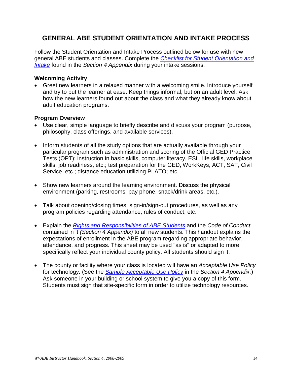## <span id="page-19-0"></span>**GENERAL ABE STUDENT ORIENTATION AND INTAKE PROCESS**

Follow the Student Orientation and Intake Process outlined below for use with new general ABE students and classes. Complete the *Checklist [for Student Orientation and](#page-35-0)  [Intake](#page-35-0)* found in the *Section 4 Appendix* during your intake sessions.

#### **Welcoming Activity**

• Greet new learners in a relaxed manner with a welcoming smile. Introduce yourself and try to put the learner at ease. Keep things informal, but on an adult level. Ask how the new learners found out about the class and what they already know about adult education programs.

#### **Program Overview**

- Use clear, simple language to briefly describe and discuss your program (purpose, philosophy, class offerings, and available services).
- Inform students of all the study options that are actually available through your particular program such as administration and scoring of the Official GED Practice Tests (OPT); instruction in basic skills, computer literacy, ESL, life skills, workplace skills, job readiness, etc.; test preparation for the GED, WorkKeys, ACT, SAT, Civil Service, etc.; distance education utilizing PLATO; etc.
- Show new learners around the learning environment. Discuss the physical environment (parking, restrooms, pay phone, snack/drink areas, etc.).
- Talk about opening/closing times, sign-in/sign-out procedures, as well as any program policies regarding attendance, rules of conduct, etc.
- Explain the *[Rights and Responsibilities of ABE Students](#page-62-0)* and the *Code of Conduct* contained in it *(Section 4 Appendix)* to all new students. This handout explains the expectations of enrollment in the ABE program regarding appropriate behavior, attendance, and progress. This sheet may be used "as is" or adapted to more specifically reflect your individual county policy. All students should sign it.
- The county or facility where your class is located will have an *Acceptable Use Policy* for technology. (See the *Sample [Acceptable Use Policy](#page-65-0)* in the *Section 4 Appendix.*) Ask someone in your building or school system to give you a copy of this form. Students must sign that site-specific form in order to utilize technology resources.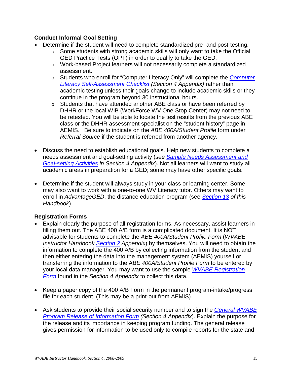#### **Conduct Informal Goal Setting**

- Determine if the student will need to complete standardized pre- and post-testing.
	- $\circ$  Some students with strong academic skills will only want to take the Official GED Practice Tests (OPT) in order to qualify to take the GED.
	- o Work-based Project learners will not necessarily complete a standardized assessment.
	- o Students who enroll for "Computer Literacy Only" will complete the *[Computer](#page-88-0)  [Literacy Self-Assessment Checklist](#page-88-0) (Section 4 Appendix)* rather than academic testing unless their goals change to include academic skills or they continue in the program beyond 30 instructional hours.
	- o Students that have attended another ABE class or have been referred by DHHR or the local WIB (WorkForce WV One-Stop Center) may not need to be retested. You will be able to locate the test results from the previous ABE class or the DHHR assessment specialist on the "student history" page in AEMIS. Be sure to indicate on the *ABE 400A/Student Profile* form under *Referral Source* if the student is referred from another agency.
- Discuss the need to establish educational goals. Help new students to complete a needs assessment and goal-setting activity (*see [Sample Needs Assessment and](#page-70-0)  [Goal-setting Activities](#page-70-0) in Section 4 Appendix*). Not all learners will want to study all academic areas in preparation for a GED; some may have other specific goals.
- Determine if the student will always study in your class or learning center. Some may also want to work with a one-to-one WV Literacy tutor. Others may want to enroll in *AdvantageGED*, the distance education program (see *[Section 13](http://wvde.state.wv.us/abe/tcher_handbook_pdf/section13.pdf) of this Handbook*).

#### **Registration Forms**

- Explain clearly the purpose of all registration forms. As necessary, assist learners in filling them out. The ABE 400 A/B form is a complicated document. It is NOT advisable for students to complete the *ABE 400A/Student Profile Form* (*WVABE Instructor Handbook [Section 2](http://wvde.state.wv.us/abe/tcher_handbook_pdf/section2.pdf) Appendix*) by themselves. You will need to obtain the information to complete the 400 A/B by collecting information from the student and then either entering the data into the management system (AEMIS) yourself or transferring the information to the A*BE 400A/Student Profile Form* to be entered by your local data manager. You may want to use the sample *[WVABE Registration](#page-46-0) [Form](#page-46-0)* found in the *Section 4 Appendix* to collect this data.
- Keep a paper copy of the 400 A/B Form in the permanent program-intake/progress file for each student. (This may be a print-out from AEMIS).
- Ask students to provide their social security number and to sign the *[General WVABE](#page-38-0) [Program Release of Information Form](#page-38-0) (Section 4 Appendix*). Explain the purpose for the release and its importance in keeping program funding. The general release gives permission for information to be used only to compile reports for the state and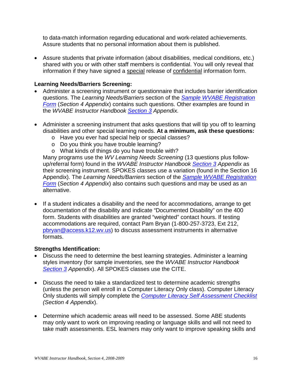to data-match information regarding educational and work-related achievements. Assure students that no personal information about them is published.

• Assure students that private information (about disabilities, medical conditions, etc.) shared with you or with other staff members is confidential. You will only reveal that information if they have signed a special release of confidential information form.

#### **Learning Needs/Barriers Screening:**

- Administer a screening instrument or questionnaire that includes barrier identification questions. The *Learning Needs/Barriers* section of the *[Sample WVABE](#page-46-0) Registration [Form](#page-46-0)* (*Section 4 Appendix*) contains such questions. Other examples are found in the *WVABE Instructor Handbook [Section 3](http://wvde.state.wv.us/abe/tcher_handbook_pdf/section3.pdf) Appendix.*
- Administer a screening instrument that asks questions that will tip you off to learning disabilities and other special learning needs. **At a minimum, ask these questions:**
	- o Have you ever had special help or special classes?
	- o Do you think you have trouble learning?
	- o What kinds of things do you have trouble with?

Many programs use the *WV Learning Needs Screening* (13 questions plus followup/referral form) found in the *WVABE Instructor Handbook [Section 3](http://wvabe.org/tcher_handbook_pdf/section3.pdf) Appendix* as their screening instrument. SPOKES classes use a variation (found in the Section 16 Appendix). The *Learning Needs/Barriers* section of the *[Sample WVABE](#page-46-0) Registration [Form](#page-46-0)* (*Section 4 Appendix*) also contains such questions and may be used as an alternative.

• If a student indicates a disability and the need for accommodations, arrange to get documentation of the disability and indicate "Documented Disability" on the 400 form. Students with disabilities are granted "weighted" contact hours. If testing accommodations are required, contact Pam Bryan (1-800-257-3723, Ext 212, [pbryan@access.k12.wv.us\)](mailto:pbryan@access.k12.wv.us) to discuss assessment instruments in alternative formats.

#### **Strengths Identification:**

- Discuss the need to determine the best learning strategies. Administer a learning styles inventory (for sample inventories, see the *WVABE Instructor Handbook [Section 3](http://wvabe.org/tcher_handbook_pdf/section3.pdf) Appendix*). All SPOKES classes use the CITE.
- Discuss the need to take a standardized test to determine academic strengths (unless the person will enroll in a Computer Literacy Only class). Computer Literacy Only students will simply complete the *[Computer Literacy Self Assessment Checklist](#page-88-0) (Section 4 Appendix*).
- Determine which academic areas will need to be assessed. Some ABE students may only want to work on improving reading or language skills and will not need to take math assessments. ESL learners may only want to improve speaking skills and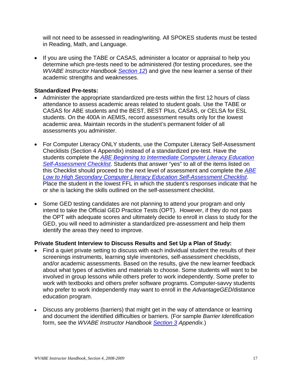will not need to be assessed in reading/writing. All SPOKES students must be tested in Reading, Math, and Language.

• If you are using the TABE or CASAS, administer a locator or appraisal to help you determine which pre-tests need to be administered (for testing procedures, see the *WVABE Instructor Handbook [Section 12](http://wvabe.org/tcher_handbook_pdf/section12.pdf)*) and give the new learner a sense of their academic strengths and weaknesses.

#### **Standardized Pre-tests:**

- Administer the appropriate standardized pre-tests within the first 12 hours of class attendance to assess academic areas related to student goals. Use the TABE or CASAS for ABE students and the BEST, BEST Plus, CASAS, or CELSA for ESL students. On the 400A in AEMIS, record assessment results only for the lowest academic area. Maintain records in the student's permanent folder of all assessments you administer.
- For Computer Literacy ONLY students, use the Computer Literacy Self-Assessment Checklists (Section 4 Appendix) instead of a standardized pre-test. Have the students complete the *[ABE Beginning to Intermediate Computer Literacy Education](#page-90-0)  [Self-Assessment Checklist](#page-90-0)*. Students that answer "yes" to all of the items listed on this Checklist should proceed to the next level of assessment and complete the *[ABE](#page-92-0)  [Low to High Secondary Computer Literacy Education Self-Assessment Checklist](#page-92-0)*. Place the student in the lowest FFL in which the student's responses indicate that he or she is lacking the skills outlined on the self-assessment checklist.
- Some GED testing candidates are not planning to attend your program and only intend to take the Official GED Practice Tests (OPT). However, if they do not pass the OPT with adequate scores and ultimately decide to enroll in class to study for the GED, you will need to administer a standardized pre-assessment and help them identify the areas they need to improve.

#### **Private Student Interview to Discuss Results and Set Up a Plan of Study:**

- Find a quiet private setting to discuss with each individual student the results of their screenings instruments, learning style inventories, self-assessment checklists, and/or academic assessments. Based on the results, give the new learner feedback about what types of activities and materials to choose. Some students will want to be involved in group lessons while others prefer to work independently. Some prefer to work with textbooks and others prefer software programs. Computer-savvy students who prefer to work independently may want to enroll in the *AdvantageGED*/distance education program.
- Discuss any problems (barriers) that might get in the way of attendance or learning and document the identified difficulties or barriers. (For sample *Barrier Identification* form, see the *WVABE Instructor Handbook [Section 3](http://wvabe.org/tcher_handbook_pdf/section3.pdf) Appendix.*)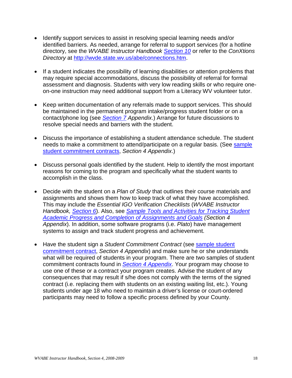- Identify support services to assist in resolving special learning needs and/or identified barriers. As needed, arrange for referral to support services (for a hotline directory, see the *WVABE Instructor Handbook [Section 10](http://wvabe.org/tcher_handbook_pdf/section10.pdf)* or refer to the *ConXtions Directory* at [http://wvde.state.wv.us/abe/connections.htm.](http://wvde.state.wv.us/abe/connections.htm)
- If a student indicates the possibility of learning disabilities or attention problems that may require special accommodations, discuss the possibility of referral for formal assessment and diagnosis. Students with very low reading skills or who require oneon-one instruction may need additional support from a Literacy WV volunteer tutor.
- Keep written documentation of any referrals made to support services. This should be maintained in the permanent program intake/progress student folder or on a contact/phone log (see *[Section 7](http://wvde.state.wv.us/abe/tcher_handbook_pdf/section7.pdf) Appendix*.) Arrange for future discussions to resolve special needs and barriers with the student.
- Discuss the importance of establishing a student attendance schedule. The student needs to make a commitment to attend/participate on a regular basis. (See sample [student commitment contracts,](#page-66-0) *Section 4 Appendix*.)
- Discuss personal goals identified by the student. Help to identify the most important reasons for coming to the program and specifically what the student wants to accomplish in the class.
- Decide with the student on a *Plan of Study* that outlines their course materials and assignments and shows them how to keep track of what they have accomplished. This may include the *Essential IGO Verification Checklists* (*WVABE Instructor Handbook, [Section 6](http://wvabe.org/tcher_handbook_pdf/section6.pdf)*). Also, see *Sample [Tools and Activities for Tracking](#page-78-0) Student [Academic Progress and Completion of Assignments and Goals](#page-78-0) (Section 4 Appendix*). In addition, some software programs (i.e. *Plato*) have management systems to assign and track student progress and achievement.
- Have the student sign a *Student Commitment Contract* (see [sample student](#page-66-0) [commitment contract,](#page-66-0) *Section 4 Appendix*) and make sure he or she understands what will be required of students in your program. There are two samples of student commitment contracts found in *[Section 4 Appendix](#page-30-0)*. Your program may choose to use one of these or a contract your program creates. Advise the student of any consequences that may result if s/he does not comply with the terms of the signed contract (i.e. replacing them with students on an existing waiting list, etc.). Young students under age 18 who need to maintain a driver's license or court-ordered participants may need to follow a specific process defined by your County.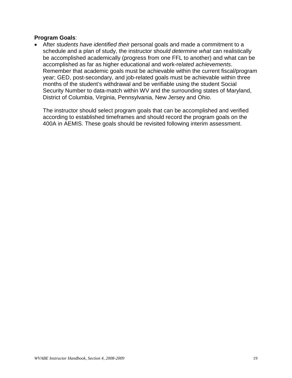#### **Program Goals**:

• After st*udents have identified thei*r personal goals and made a commitment to a schedule and a plan of study, the instructor sho*uld determine what* can realistically be accomplished academically (progress from one FFL to another) and what can be accomplished as far as higher educational and work-re*lated achievements*. Remember that academic goals must be achievable within the current fiscal/program year; GED, post-secondary, and job-related goals must be achievable within three months of the student's withdrawal and be verifiable using the student Social Security Number to data-match within WV and the surrounding states of Maryland, District of Columbia, Virginia, Pennsylvania, New Jersey and Ohio.

The instructor should select program goals that can be accomplished and verified according to established timeframes and should record the program goals on the 400A in AEMIS. These goals should be revisited following interim assessment.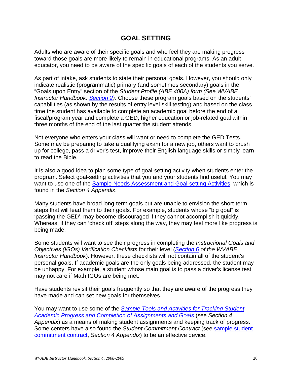### **GOAL SETTING**

<span id="page-25-0"></span>Adults who are aware of their specific goals and who feel they are making progress toward those goals are more likely to remain in educational programs. As an adult educator, you need to be aware of the specific goals of each of the students you serve.

As part of intake, ask students to state their personal goals. However, you should only indicate realistic (programmatic) primary (and sometimes secondary) goals in the "Goals upon Entry" section of the *Student Profile (ABE 400A) form (See WVABE Instructor Handbook, [Section 2\)](http://wvabe.org/tcher_handbook_pdf/section2.pdf).* Choose these program goals based on the students' capabilities (as shown by the results of entry level skill testing) and based on the class time the student has available to complete an academic goal before the end of a fiscal/program year and complete a GED, higher education or job-related goal within three months of the end of the last quarter the student attends.

Not everyone who enters your class will want or need to complete the GED Tests. Some may be preparing to take a qualifying exam for a new job, others want to brush up for college, pass a driver's test, improve their English language skills or simply learn to read the Bible.

It is also a good idea to plan some type of goal-setting activity when students enter the program. Select goal-setting activities that you and your students find useful. You may want to use one of the [Sample Needs Assessment and Goal-setting Activities,](#page-70-0) which is found in the *Section 4 Appendix*.

Many students have broad long-term goals but are unable to envision the short-term steps that will lead them to their goals. For example, students whose "big goal" is 'passing the GED', may become discouraged if they cannot accomplish it quickly. Whereas, if they can 'check off' steps along the way, they may feel more like progress is being made.

Some students will want to see their progress in completing the *Instructional Goals and Objectives (IGOs) Verification Checklists* for their level (*[Section 6](http://wvabe.org/tcher_handbook_pdf/section6.pdf) of the WVABE Instructor Handbook*). However, these checklists will not contain all of the student's personal goals. If academic goals are the only goals being addressed, the student may be unhappy. For example, a student whose main goal is to pass a driver's license test may not care if Math IGOs are being met.

Have students revisit their goals frequently so that they are aware of the progress they have made and can set new goals for themselves.

You may want to use some of the *[Sample Tools and Activities for Tracking Student](#page-78-0)  [Academic Progress and Completion of Assignments and Goals](#page-78-0)* (see *Section 4 Appendix*) as a means of making student assignments and keeping track of progress. Some centers have also found the *Student Commitment Contract* (see [sample student](#page-66-0)  [commitment contract,](#page-66-0) *Section 4 Appendix*) to be an effective device.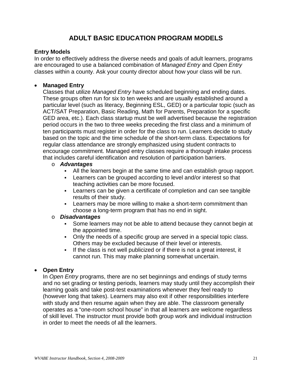## **ADULT BASIC EDUCATION PROGRAM MODELS**

#### <span id="page-26-1"></span><span id="page-26-0"></span>**Entry Models**

In order to effectively address the diverse needs and goals of adult learners, programs are encouraged to use a balanced combination of *Managed Entry* and *Open Entry*  classes within a county. Ask your county director about how your class will be run.

#### • **Managed Entry**

Classes that utilize *Managed Entry* have scheduled beginning and ending dates. These groups often run for six to ten weeks and are usually established around a particular level (such as literacy, Beginning ESL, GED) or a particular topic (such as ACT/SAT Preparation, Basic Reading, Math for Parents, Preparation for a specific GED area, etc.). Each class startup must be well advertised because the registration period occurs in the two to three weeks preceding the first class and a minimum of ten participants must register in order for the class to run. Learners decide to study based on the topic and the time schedule of the short-term class. Expectations for regular class attendance are strongly emphasized using student contracts to encourage commitment. Managed entry classes require a thorough intake process that includes careful identification and resolution of participation barriers.

#### o *Advantages*

- All the learners begin at the same time and can establish group rapport.
- Learners can be grouped according to level and/or interest so that teaching activities can be more focused.
- Learners can be given a certificate of completion and can see tangible results of their study.
- **EXECT** Learners may be more willing to make a short-term commitment than choose a long-term program that has no end in sight.

#### o *Disadvantages*

- Some learners may not be able to attend because they cannot begin at the appointed time.
- Only the needs of a specific group are served in a special topic class. Others may be excluded because of their level or interests.
- If the class is not well publicized or if there is not a great interest, it cannot run. This may make planning somewhat uncertain.

#### • **Open Entry**

In *Open Entry* programs, there are no set beginnings and endings of study terms and no set grading or testing periods, learners may study until they accomplish their learning goals and take post-test examinations whenever they feel ready to (however long that takes). Learners may also exit if other responsibilities interfere with study and then resume again when they are able. The classroom generally operates as a "one-room school house" in that all learners are welcome regardless of skill level. The instructor must provide both group work and individual instruction in order to meet the needs of all the learners.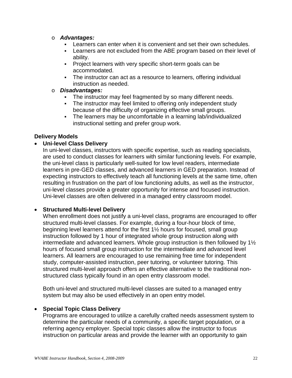- o *Advantages:*
	- Learners can enter when it is convenient and set their own schedules.
	- Learners are not excluded from the ABE program based on their level of ability.
	- Project learners with very specific short-term goals can be accommodated.
	- The instructor can act as a resource to learners, offering individual instruction as needed.
- o *Disadvantages:*
	- The instructor may feel fragmented by so many different needs.
	- The instructor may feel limited to offering only independent study because of the difficulty of organizing effective small groups.
	- The learners may be uncomfortable in a learning lab/individualized instructional setting and prefer group work.

#### <span id="page-27-0"></span>**Delivery Models**

#### • **Uni-level Class Delivery**

In uni-level classes, instructors with specific expertise, such as reading specialists, are used to conduct classes for learners with similar functioning levels. For example, the uni-level class is particularly well-suited for low level readers, intermediate learners in pre-GED classes, and advanced learners in GED preparation. Instead of expecting instructors to effectively teach all functioning levels at the same time, often resulting in frustration on the part of low functioning adults, as well as the instructor, uni-level classes provide a greater opportunity for intense and focused instruction. Uni-level classes are often delivered in a managed entry classroom model.

#### • **Structured Multi-level Delivery**

When enrollment does not justify a uni-level class, programs are encouraged to offer structured multi-level classes. For example, during a four-hour block of time, beginning level learners attend for the first 1½ hours for focused, small group instruction followed by 1 hour of integrated whole group instruction along with intermediate and advanced learners. Whole group instruction is then followed by 1½ hours of focused small group instruction for the intermediate and advanced level learners. All learners are encouraged to use remaining free time for independent study, computer-assisted instruction, peer tutoring, or volunteer tutoring. This structured multi-level approach offers an effective alternative to the traditional nonstructured class typically found in an open entry classroom model.

Both uni-level and structured multi-level classes are suited to a managed entry system but may also be used effectively in an open entry model.

#### • **Special Topic Class Delivery**

Programs are encouraged to utilize a carefully crafted needs assessment system to determine the particular needs of a community, a specific target population, or a referring agency employer. Special topic classes allow the instructor to focus instruction on particular areas and provide the learner with an opportunity to gain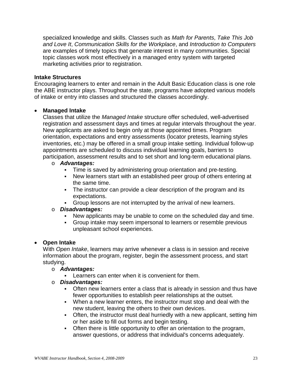specialized knowledge and skills. Classes such as *Math for Parents*, *Take This Job and Love It*, *Communication Skills for the Workplace*, and *Introduction to Computers* are examples of timely topics that generate interest in many communities. Special topic classes work most effectively in a managed entry system with targeted marketing activities prior to registration.

#### <span id="page-28-0"></span>**Intake Structures**

Encouraging learners to enter and remain in the Adult Basic Education class is one role the ABE instructor plays. Throughout the state, programs have adopted various models of intake or entry into classes and structured the classes accordingly.

#### • **Managed Intake**

Classes that utilize the *Managed Intake* structure offer scheduled, well-advertised registration and assessment days and times at regular intervals throughout the year. New applicants are asked to begin only at those appointed times. Program orientation, expectations and entry assessments (locator pretests, learning styles inventories, etc.) may be offered in a small group intake setting. Individual follow-up appointments are scheduled to discuss individual learning goals, barriers to participation, assessment results and to set short and long-term educational plans.

## o *Advantages:*

- Time is saved by administering group orientation and pre-testing.
- New learners start with an established peer group of others entering at the same time.
- The instructor can provide a clear description of the program and its expectations.
- Group lessons are not interrupted by the arrival of new learners.

#### o *Disadvantages:*

- New applicants may be unable to come on the scheduled day and time.
- Group intake may seem impersonal to learners or resemble previous unpleasant school experiences.

#### • **Open Intake**

With *Open Intake*, learners may arrive whenever a class is in session and receive information about the program, register, begin the assessment process, and start studying.

#### o *Advantages:*

**Learners can enter when it is convenient for them.** 

#### o *Disadvantages:*

- Often new learners enter a class that is already in session and thus have fewer opportunities to establish peer relationships at the outset.
- When a new learner enters, the instructor must stop and deal with the new student, leaving the others to their own devices.
- Often, the instructor must deal hurriedly with a new applicant, setting him or her aside to fill out forms and begin testing.
- Often there is little opportunity to offer an orientation to the program, answer questions, or address that individual's concerns adequately.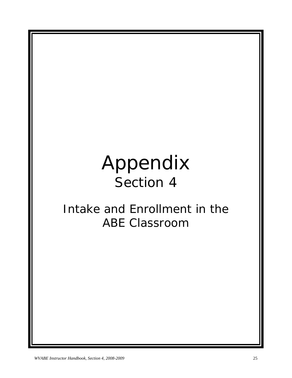## <span id="page-30-0"></span>Appendix Section 4

## Intake and Enrollment in the ABE Classroom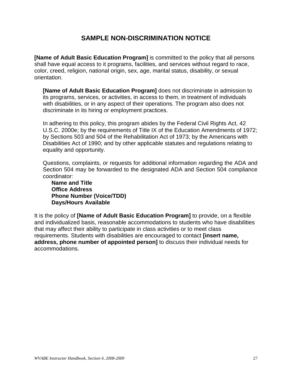## **SAMPLE NON-DISCRIMINATION NOTICE**

<span id="page-32-0"></span>**[Name of Adult Basic Education Program]** is committed to the policy that all persons shall have equal access to it programs, facilities, and services without regard to race, color, creed, religion, national origin, sex, age, marital status, disability, or sexual orientation.

**[Name of Adult Basic Education Program]** does not discriminate in admission to its programs, services, or activities, in access to them, in treatment of individuals with disabilities, or in any aspect of their operations. The program also does not discriminate in its hiring or employment practices.

In adhering to this policy, this program abides by the Federal Civil Rights Act, 42 U.S.C. 2000e; by the requirements of Title IX of the Education Amendments of 1972; by Sections 503 and 504 of the Rehabilitation Act of 1973; by the Americans with Disabilities Act of 1990; and by other applicable statutes and regulations relating to equality and opportunity.

Questions, complaints, or requests for additional information regarding the ADA and Section 504 may be forwarded to the designated ADA and Section 504 compliance coordinator:

**Name and Title Office Address Phone Number (Voice/TDD) Days/Hours Available**

It is the policy of **[Name of Adult Basic Education Program]** to provide, on a flexible and individualized basis, reasonable accommodations to students who have disabilities that may affect their ability to participate in class activities or to meet class requirements. Students with disabilities are encouraged to contact **[insert name, address, phone number of appointed person]** to discuss their individual needs for accommodations.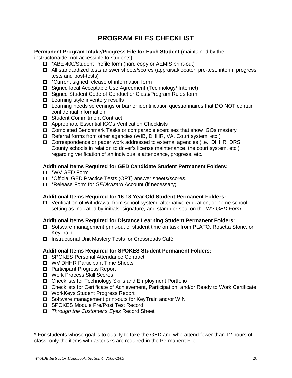## **PROGRAM FILES CHECKLIST**

#### <span id="page-33-0"></span>**Permanent Program-Intake/Progress File for Each Student** (maintained by the

instructor/aide; not accessible to students):

- \*ABE 400/Student Profile form (hard copy or AEMIS print-out)
- All standardized tests answer sheets/scores (appraisal/locator, pre-test, interim progress tests and post-tests)
- \*Current signed release of information form
- □ Signed local Acceptable Use Agreement (Technology/ Internet)
- □ Signed Student Code of Conduct or Class/Program Rules form
- $\Box$  Learning style inventory results
- Learning needs screenings or barrier identification questionnaires that DO NOT contain confidential information
- □ Student Commitment Contract
- Appropriate Essential IGOs Verification Checklists
- Completed Benchmark Tasks or comparable exercises that show IGOs mastery
- □ Referral forms from other agencies (WIB, DHHR, VA, Court system, etc.)
- Correspondence or paper work addressed to external agencies (i.e., DHHR, DRS, County schools in relation to driver's license maintenance, the court system, etc.) regarding verification of an individual's attendance, progress, etc.

#### **Additional Items Required for GED Candidate Student Permanent Folders:**

- \*WV GED Form
- \*Official GED Practice Tests (OPT) answer sheets/scores.
- \*Release Form for *GEDWizard* Account (if necessary)

#### **Additional Items Required for 16-18 Year Old Student Permanent Folders:**

 Verification of Withdrawal from school system, alternative education, or home school setting as indicated by initials, signature, and stamp or seal on the *WV GED Form*

#### **Additional Items Required for Distance Learning Student Permanent Folders:**

- Software management print-out of student time on task from PLATO, Rosetta Stone, or KeyTrain
- □ Instructional Unit Mastery Tests for Crossroads Café

#### **Additional Items Required for SPOKES Student Permanent Folders:**

- □ SPOKES Personal Attendance Contract
- WV DHHR Participant Time Sheets
- □ Participant Progress Report
- Work Process Skill Scores
- □ Checklists for Technology Skills and Employment Portfolio
- Checklists for Certificate of Achievement, Participation, and/or Ready to Work Certificate
- WorkKeys Student Progress Report
- □ Software management print-outs for KeyTrain and/or WIN
- □ SPOKES Module Pre/Post Test Record
- *Through the Customer's Eyes* Record Sheet

 $\overline{a}$ 

<sup>\*</sup> For students whose goal is to qualify to take the GED and who attend fewer than 12 hours of class, only the items with asterisks are required in the Permanent File.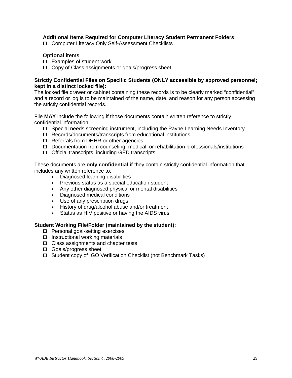#### **Additional Items Required for Computer Literacy Student Permanent Folders:**

□ Computer Literacy Only Self-Assessment Checklists

#### **Optional items**:

- $\square$  Examples of student work
- $\Box$  Copy of Class assignments or goals/progress sheet

#### **Strictly Confidential Files on Specific Students (ONLY accessible by approved personnel; kept in a distinct locked file):**

The locked file drawer or cabinet containing these records is to be clearly marked "confidential" and a record or log is to be maintained of the name, date, and reason for any person accessing the strictly confidential records.

File **MAY** include the following if those documents contain written reference to strictly confidential information:

- □ Special needs screening instrument, including the Payne Learning Needs Inventory
- □ Records/documents/transcripts from educational institutions
- □ Referrals from DHHR or other agencies
- $\Box$  Documentation from counseling, medical, or rehabilitation professionals/institutions
- $\Box$  Official transcripts, including GED transcripts

These documents are **only confidential if** they contain strictly confidential information that includes any written reference to:

- Diagnosed learning disabilities
- Previous status as a special education student
- Any other diagnosed physical or mental disabilities
- Diagnosed medical conditions
- Use of any prescription drugs
- History of drug/alcohol abuse and/or treatment
- Status as HIV positive or having the AIDS virus

#### **Student Working File/Folder (maintained by the student):**

- □ Personal goal-setting exercises
- $\square$  Instructional working materials
- □ Class assignments and chapter tests
- □ Goals/progress sheet
- Student copy of IGO Verification Checklist (not Benchmark Tasks)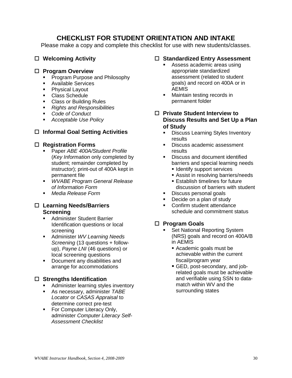## **CHECKLIST FOR STUDENT ORIENTATION AND INTAKE**

<span id="page-35-0"></span>Please make a copy and complete this checklist for use with new students/classes.

#### **Welcoming Activity**

#### **Program Overview**

- **Program Purpose and Philosophy**
- **Available Services**<br>**Physical Lavout**
- Physical Layout
- Class Schedule
- **Class or Building Rules**
- *Rights and Responsibilities*
- *Code of Conduct*
- *Acceptable Use Policy*

#### **Informal Goal Setting Activities**

#### **Registration Forms**

- Paper *ABE 400A/Student Profile* (*Key Information* only completed by student; remainder completed by instructor); print-out of 400A kept in permanent file
- *WVABE Program General Release of Information Form*
- *Media Release Form*

#### **Learning Needs/Barriers Screening**

- **Administer Student Barrier** Identification questions or local screening
- Administer *WV Learning Needs Screening* (13 questions + followup), *Payne LNI* (46 questions) or local screening questions
- **•** Document any disabilities and arrange for accommodations

#### **Strengths Identification**

- **Administer learning styles inventory**
- As necessary, administer *TABE Locator* or *CASAS Appraisal* to determine correct pre-test
- **For Computer Literacy Only,** administer *Computer Literacy Self-Assessment Checklist*

#### **Standardized Entry Assessment**

- Assess academic areas using appropriate standardized assessment (related to student goals) and record on 400A or in AEMIS
- **Maintain testing records in** permanent folder
- **Private Student Interview to Discuss Results and Set Up a Plan of Study**
	- **Discuss Learning Styles Inventory** results
	- Discuss academic assessment results
	- **Discuss and document identified** barriers and special learning needs
		- **I** Identify support services
		- **Assist in resolving barriers/needs**
		- **Establish timelines for future** discussion of barriers with student
	- Discuss personal goals
	- Decide on a plan of study
	- **Confirm student attendance** schedule and commitment status

#### **Program Goals**

- Set National Reporting System (NRS) goals and record on 400A/B in AEMIS
	- Academic goals must be achievable within the current fiscal/program year
	- GED, post-secondary, and jobrelated goals must be achievable and verifiable using SSN to datamatch within WV and the surrounding states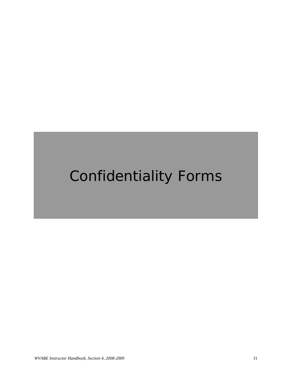# Confidentiality Forms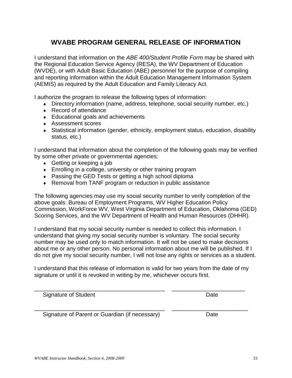# **WVABE PROGRAM GENERAL RELEASE OF INFORMATION**

I understand that information on the *ABE 400/Student Profile Form* may be shared with the Regional Education Service Agency (RESA), the WV Department of Education (WVDE), or with Adult Basic Education (ABE) personnel for the purpose of compiling and reporting information within the Adult Education Management Information System (AEMIS) as required by the Adult Education and Family Literacy Act.

I authorize the program to release the following types of information:

- ♦ Directory information (name, address, telephone, social security number, etc.)
- ◆ Record of attendance
- ♦ Educational goals and achievements
- ♦ Assessment scores
- ♦ Statistical information (gender, ethnicity, employment status, education, disability status, etc.)

I understand that information about the completion of the following goals may be verified by some other private or governmental agencies:

- ♦ Getting or keeping a job
- ♦ Enrolling in a college, university or other training program
- ♦ Passing the GED Tests or getting a high school diploma
- ♦ Removal from TANF program or reduction in public assistance

The following agencies may use my social security number to verify completion of the above goals: Bureau of Employment Programs, WV Higher Education Policy Commission, WorkForce WV, West Virginia Department of Education, Oklahoma (GED) Scoring Services, and the WV Department of Health and Human Resources (DHHR).

I understand that my social security number is needed to collect this information. I understand that giving my social security number is voluntary. The social security number may be used only to match information. It will not be used to make decisions about me or any other person. No personal information about me will be published. If I do not give my social security number, I will not lose any rights or services as a student.

I understand that this release of information is valid for two years from the date of my signature or until it is revoked in writing by me, whichever occurs first.

\_\_\_\_\_\_\_\_\_\_\_\_\_\_\_\_\_\_\_\_\_\_\_\_\_\_\_\_\_\_\_\_\_\_\_\_\_\_\_\_\_ \_\_\_\_\_\_\_\_\_\_\_\_\_\_\_\_\_\_\_\_\_\_\_

Signature of Student Date Date Date

\_\_\_\_\_\_\_\_\_\_\_\_\_\_\_\_\_\_\_\_\_\_\_\_\_\_\_\_\_\_\_\_\_\_\_\_\_\_\_\_\_ \_\_\_\_\_\_\_\_\_\_\_\_\_\_\_\_\_\_\_\_\_\_\_\_ Signature of Parent or Guardian (if necessary) Date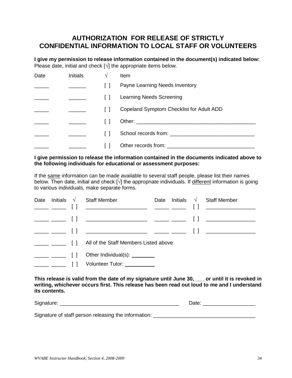### **AUTHORIZATION FOR RELEASE OF STRICTLY CONFIDENTIAL INFORMATION TO LOCAL STAFF OR VOLUNTEERS**

**I give my permission to release information contained in the document(s) indicated below:** Please date, initial and check [**√**] the appropriate items below.

| Date | <b>Initials</b> | V | Item                                                                                                                                                                                                                           |
|------|-----------------|---|--------------------------------------------------------------------------------------------------------------------------------------------------------------------------------------------------------------------------------|
|      |                 |   | Payne Learning Needs Inventory                                                                                                                                                                                                 |
|      |                 |   | Learning Needs Screening                                                                                                                                                                                                       |
|      |                 |   | Copeland Symptom Checklist for Adult ADD                                                                                                                                                                                       |
|      |                 |   |                                                                                                                                                                                                                                |
|      |                 |   |                                                                                                                                                                                                                                |
|      |                 |   | Other records from: The contract of the contract of the contract of the contract of the contract of the contract of the contract of the contract of the contract of the contract of the contract of the contract of the contra |

#### **I give permission to release the information contained in the documents indicated above to the following individuals for educational or assessment purposes:**

If the same information can be made available to several staff people, please list their names below. Then date, initial and check  $\tilde{N}$  the appropriate individuals. If different information is going to various individuals, make separate forms.

| Date |                                                                                                                                                                                                                                                                                                                                                                                                                                                                                                                                                          | Initials $\sqrt{\phantom{a}}$ Staff Member                  | Date |  | Initials $\sqrt{ }$ Staff Member |
|------|----------------------------------------------------------------------------------------------------------------------------------------------------------------------------------------------------------------------------------------------------------------------------------------------------------------------------------------------------------------------------------------------------------------------------------------------------------------------------------------------------------------------------------------------------------|-------------------------------------------------------------|------|--|----------------------------------|
|      |                                                                                                                                                                                                                                                                                                                                                                                                                                                                                                                                                          |                                                             |      |  |                                  |
|      |                                                                                                                                                                                                                                                                                                                                                                                                                                                                                                                                                          |                                                             |      |  |                                  |
|      | $\frac{1}{\sqrt{1-\frac{1}{2}}}\left[\frac{1}{\sqrt{1-\frac{1}{2}}}\right]$                                                                                                                                                                                                                                                                                                                                                                                                                                                                              |                                                             |      |  |                                  |
|      | $\blacksquare$                                                                                                                                                                                                                                                                                                                                                                                                                                                                                                                                           | All of the Staff Members Listed above                       |      |  |                                  |
|      |                                                                                                                                                                                                                                                                                                                                                                                                                                                                                                                                                          | Other Individual(s): $\_\_\_\_\_\_\_\_\_\_\_\_\_\_\_\_\_\_$ |      |  |                                  |
|      | $\begin{tabular}{ll} \top \end{tabular} \begin{tabular}{ll} \top \end{tabular} \begin{tabular}{ll} \top \end{tabular} \begin{tabular}{ll} \top \end{tabular} \begin{tabular}{ll} \top \end{tabular} \end{tabular} \begin{tabular}{ll} \top \end{tabular} \begin{tabular}{ll} \top \end{tabular} \end{tabular} \begin{tabular}{ll} \top \end{tabular} \begin{tabular}{ll} \top \end{tabular} \end{tabular} \begin{tabular}{ll} \top \end{tabular} \begin{tabular}{ll} \top \end{tabular} \end{tabular} \begin{tabular}{ll} \begin{tabular}{ll} \top \end$ | Volunteer Tutor: __________                                 |      |  |                                  |

**This release is valid from the date of my signature until June 30, \_\_\_ or until it is revoked in writing, whichever occurs first. This release has been read out loud to me and I understand its contents.**

| $\sim$<br>יי |  |
|--------------|--|
|              |  |

Signature of staff person releasing the information: \_\_\_\_\_\_\_\_\_\_\_\_\_\_\_\_\_\_\_\_\_\_\_\_\_\_\_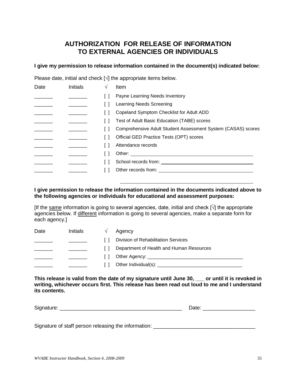# **AUTHORIZATION FOR RELEASE OF INFORMATION TO EXTERNAL AGENCIES OR INDIVIDUALS**

#### **I give my permission to release information contained in the document(s) indicated below:**

Please date, initial and check [√] the appropriate items below.

| Date | <b>Initials</b> | V | Item                                                                                                                                                                                                                           |
|------|-----------------|---|--------------------------------------------------------------------------------------------------------------------------------------------------------------------------------------------------------------------------------|
|      |                 |   | Payne Learning Needs Inventory                                                                                                                                                                                                 |
|      |                 |   | Learning Needs Screening                                                                                                                                                                                                       |
|      |                 |   | Copeland Symptom Checklist for Adult ADD                                                                                                                                                                                       |
|      |                 |   | Test of Adult Basic Education (TABE) scores                                                                                                                                                                                    |
|      |                 |   | Comprehensive Adult Student Assessment System (CASAS) scores                                                                                                                                                                   |
|      |                 |   | Official GED Practice Tests (OPT) scores                                                                                                                                                                                       |
|      |                 |   | Attendance records                                                                                                                                                                                                             |
|      |                 |   | Other: the contract of the contract of the contract of the contract of the contract of the contract of the contract of the contract of the contract of the contract of the contract of the contract of the contract of the con |
|      |                 |   |                                                                                                                                                                                                                                |
|      |                 |   | Other records from: the contract of the contract of the contract of the contract of the contract of the contract of the contract of the contract of the contract of the contract of the contract of the contract of the contra |
|      |                 |   |                                                                                                                                                                                                                                |

#### **I give permission to release the information contained in the documents indicated above to the following agencies or individuals for educational and assessment purposes:**

[If the same information is going to several agencies, date, initial and check  $\tilde{N}$ ] the appropriate agencies below. If different information is going to several agencies, make a separate form for each agency.]

| Date | Initials | Agency                                                                                                          |
|------|----------|-----------------------------------------------------------------------------------------------------------------|
|      |          | Division of Rehabilitation Services                                                                             |
|      |          | Department of Health and Human Resources                                                                        |
|      |          |                                                                                                                 |
|      |          | Other Individual(s): Demonstrational Contract Contract Contract Contract Contract Contract Contract Contract Co |

**This release is valid from the date of my signature until June 30, \_\_\_ or until it is revoked in writing, whichever occurs first. This release has been read out loud to me and I understand its contents.** 

| Signature: | ине |
|------------|-----|
|            |     |

Signature of staff person releasing the information: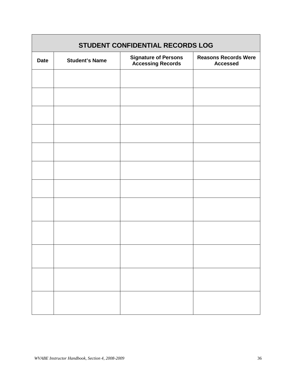|             |                       | STUDENT CONFIDENTIAL RECORDS LOG                  |                                                |
|-------------|-----------------------|---------------------------------------------------|------------------------------------------------|
| <b>Date</b> | <b>Student's Name</b> | <b>Signature of Persons<br/>Accessing Records</b> | <b>Reasons Records Were</b><br><b>Accessed</b> |
|             |                       |                                                   |                                                |
|             |                       |                                                   |                                                |
|             |                       |                                                   |                                                |
|             |                       |                                                   |                                                |
|             |                       |                                                   |                                                |
|             |                       |                                                   |                                                |
|             |                       |                                                   |                                                |
|             |                       |                                                   |                                                |
|             |                       |                                                   |                                                |
|             |                       |                                                   |                                                |
|             |                       |                                                   |                                                |
|             |                       |                                                   |                                                |

Г

٦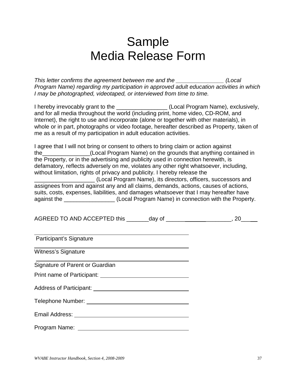# Sample Media Release Form

*This letter confirms the agreement between me and the \_\_\_\_\_\_\_\_\_\_\_\_\_\_\_ (Local Program Name) regarding my participation in approved adult education activities in which I may be photographed, videotaped, or interviewed from time to time.*

I hereby irrevocably grant to the \_\_\_\_\_\_\_\_\_\_\_\_\_\_\_\_ (Local Program Name), exclusively, and for all media throughout the world (including print, home video, CD-ROM, and Internet), the right to use and incorporate (alone or together with other materials), in whole or in part, photographs or video footage, hereafter described as Property, taken of me as a result of my participation in adult education activities.

I agree that I will not bring or consent to others to bring claim or action against the\_\_\_\_\_\_\_\_\_\_\_\_\_\_\_(Local Program Name) on the grounds that anything contained in the Property, or in the advertising and publicity used in connection herewith, is defamatory, reflects adversely on me, violates any other right whatsoever, including, without limitation, rights of privacy and publicity. I hereby release the

\_\_\_\_\_\_\_\_\_\_\_\_\_\_\_\_\_\_\_ (Local Program Name), its directors, officers, successors and assignees from and against any and all claims, demands, actions, causes of actions, suits, costs, expenses, liabilities, and damages whatsoever that I may hereafter have against the \_\_\_\_\_\_\_\_\_\_\_\_\_\_\_\_ (Local Program Name) in connection with the Property.

| AGREED TO AND ACCEPTED this | dav of |  |
|-----------------------------|--------|--|
|-----------------------------|--------|--|

Participant's Signature Witness's Signature Signature of Parent or Guardian Print name of Participant: University of Participant Control of Participant Control of Control of Control of Co Address of Participant: Telephone Number: Email Address: Program Name: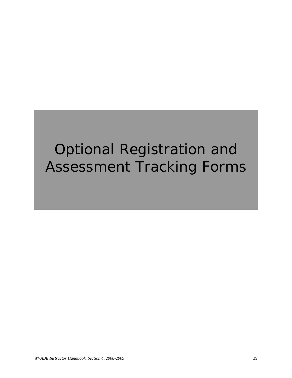# Optional Registration and Assessment Tracking Forms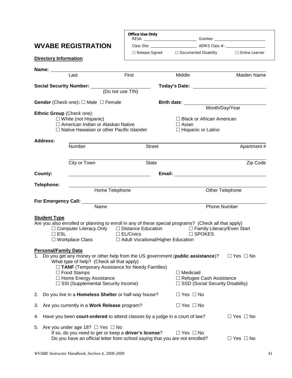|    |                              |                                                                                                                                                                                                   | <b>Office Use Only</b> | RESA: CONSERVERSE CONSERVERSION CONSERVERSE CONSERVERSE CONSERVERSION CONSERVERSION CONSERVERSION CONSERVERSION |                                    |                                                                                                                                                                                                                                      |
|----|------------------------------|---------------------------------------------------------------------------------------------------------------------------------------------------------------------------------------------------|------------------------|-----------------------------------------------------------------------------------------------------------------|------------------------------------|--------------------------------------------------------------------------------------------------------------------------------------------------------------------------------------------------------------------------------------|
|    |                              | <b>WVABE REGISTRATION</b>                                                                                                                                                                         |                        |                                                                                                                 |                                    |                                                                                                                                                                                                                                      |
|    |                              |                                                                                                                                                                                                   |                        | □ Release Signed □ Documented Disability □ Online Learner                                                       |                                    |                                                                                                                                                                                                                                      |
|    | <b>Directory Information</b> |                                                                                                                                                                                                   |                        |                                                                                                                 |                                    |                                                                                                                                                                                                                                      |
|    |                              |                                                                                                                                                                                                   |                        |                                                                                                                 |                                    |                                                                                                                                                                                                                                      |
|    |                              | Last                                                                                                                                                                                              | First                  | Middle                                                                                                          |                                    | <b>Maiden Name</b>                                                                                                                                                                                                                   |
|    |                              |                                                                                                                                                                                                   |                        |                                                                                                                 |                                    |                                                                                                                                                                                                                                      |
|    |                              | Social Security Number: (Do not use TIN)                                                                                                                                                          |                        |                                                                                                                 |                                    | Today's Date: <u>superior and the set of the set of the set of the set of the set of the set of the set of the set of the set of the set of the set of the set of the set of the set of the set of the set of the set of the set</u> |
|    |                              |                                                                                                                                                                                                   |                        |                                                                                                                 |                                    |                                                                                                                                                                                                                                      |
|    |                              | <b>Gender</b> (Check one): $\Box$ Male $\Box$ Female                                                                                                                                              |                        | Birth date: Month/Day/Year                                                                                      |                                    |                                                                                                                                                                                                                                      |
|    | Ethnic Group (Check one):    |                                                                                                                                                                                                   |                        |                                                                                                                 |                                    |                                                                                                                                                                                                                                      |
|    |                              | $\Box$ White (not Hispanic)                                                                                                                                                                       |                        |                                                                                                                 | □ Black or African American        |                                                                                                                                                                                                                                      |
|    |                              | □ American Indian or Alaskan Native                                                                                                                                                               |                        | $\Box$ Asian                                                                                                    |                                    |                                                                                                                                                                                                                                      |
|    |                              | $\Box$ Native Hawaiian or other Pacific Islander                                                                                                                                                  |                        |                                                                                                                 | $\Box$ Hispanic or Latino          |                                                                                                                                                                                                                                      |
|    | <b>Address:</b>              |                                                                                                                                                                                                   |                        |                                                                                                                 |                                    |                                                                                                                                                                                                                                      |
|    |                              | <b>Number</b>                                                                                                                                                                                     | <b>Street</b>          |                                                                                                                 |                                    | Apartment#                                                                                                                                                                                                                           |
|    |                              |                                                                                                                                                                                                   |                        |                                                                                                                 |                                    |                                                                                                                                                                                                                                      |
|    |                              | City or Town                                                                                                                                                                                      | <b>State</b>           |                                                                                                                 |                                    | Zip Code                                                                                                                                                                                                                             |
|    | County:                      | <u> 1989 - Johann Stoff, fransk politik (d. 1989)</u>                                                                                                                                             |                        |                                                                                                                 |                                    |                                                                                                                                                                                                                                      |
|    | Telephone:                   |                                                                                                                                                                                                   |                        |                                                                                                                 |                                    |                                                                                                                                                                                                                                      |
|    |                              | Home Telephone                                                                                                                                                                                    |                        |                                                                                                                 | Other Telephone                    |                                                                                                                                                                                                                                      |
|    |                              |                                                                                                                                                                                                   |                        |                                                                                                                 |                                    |                                                                                                                                                                                                                                      |
|    |                              | Name                                                                                                                                                                                              |                        |                                                                                                                 | <b>Phone Number</b>                |                                                                                                                                                                                                                                      |
|    |                              |                                                                                                                                                                                                   |                        |                                                                                                                 |                                    |                                                                                                                                                                                                                                      |
|    | <b>Student Type</b>          |                                                                                                                                                                                                   |                        |                                                                                                                 |                                    |                                                                                                                                                                                                                                      |
|    |                              | Are you also enrolled or planning to enroll in any of these special programs? (Check all that apply)<br>$\Box$ Computer Literacy Only $\Box$ Distance Education $\Box$ Family Literacy/Even Start |                        |                                                                                                                 |                                    |                                                                                                                                                                                                                                      |
|    | $\Box$ ESL                   |                                                                                                                                                                                                   | $\Box$ EL/Civics       |                                                                                                                 | $\square$ SPOKES                   |                                                                                                                                                                                                                                      |
|    |                              | $\Box$ Workplace Class                                                                                                                                                                            |                        | □ Adult Vocational/Higher Education                                                                             |                                    |                                                                                                                                                                                                                                      |
|    | <b>Personal/Family Data</b>  |                                                                                                                                                                                                   |                        |                                                                                                                 |                                    |                                                                                                                                                                                                                                      |
| 1. |                              | Do you get any money or other help from the US government (public assistance)?                                                                                                                    |                        |                                                                                                                 |                                    | $\Box$ Yes $\Box$ No                                                                                                                                                                                                                 |
|    |                              | What type of help? (Check all that apply)                                                                                                                                                         |                        |                                                                                                                 |                                    |                                                                                                                                                                                                                                      |
|    |                              | $\Box$ TANF (Temporary Assistance for Needy Families)<br>$\Box$ Food Stamps                                                                                                                       |                        | $\Box$ Medicaid                                                                                                 |                                    |                                                                                                                                                                                                                                      |
|    |                              | $\Box$ Home Energy Assistance                                                                                                                                                                     |                        |                                                                                                                 | $\Box$ Refugee Cash Assistance     |                                                                                                                                                                                                                                      |
|    |                              | □ SSI (Supplemental Security Income)                                                                                                                                                              |                        |                                                                                                                 | □ SSD (Social Security Disability) |                                                                                                                                                                                                                                      |
| 2. |                              | Do you live in a <b>Homeless Shelter</b> or half-way house?                                                                                                                                       |                        | $\Box$ Yes $\Box$ No                                                                                            |                                    |                                                                                                                                                                                                                                      |
| 3. |                              | Are you currently in a Work Release program?                                                                                                                                                      |                        | $\Box$ Yes $\Box$ No                                                                                            |                                    |                                                                                                                                                                                                                                      |
| 4. |                              | Have you been court-ordered to attend classes by a judge in a court of law?                                                                                                                       |                        |                                                                                                                 |                                    | $\Box$ Yes $\Box$ No                                                                                                                                                                                                                 |
| 5. |                              | Are you under age 18? $\Box$ Yes $\Box$ No<br>If so, do you need to get or keep a driver's license?<br>Do you have an official letter from school saying that you are not enrolled?               |                        | $\Box$ Yes $\Box$ No                                                                                            |                                    | $\Box$ Yes $\Box$ No                                                                                                                                                                                                                 |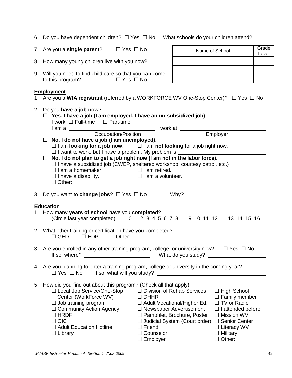|    | 7. Are you a single parent? $\square$ Yes $\square$ No                                                                                                                                                                                                                                                                                                                                                                                                                                                                                       |                                                                |                                                                                                                                                                              | Name of School                                                                                                                                                                                                       | Grade<br>Level |  |  |  |  |  |
|----|----------------------------------------------------------------------------------------------------------------------------------------------------------------------------------------------------------------------------------------------------------------------------------------------------------------------------------------------------------------------------------------------------------------------------------------------------------------------------------------------------------------------------------------------|----------------------------------------------------------------|------------------------------------------------------------------------------------------------------------------------------------------------------------------------------|----------------------------------------------------------------------------------------------------------------------------------------------------------------------------------------------------------------------|----------------|--|--|--|--|--|
|    | 8. How many young children live with you now?                                                                                                                                                                                                                                                                                                                                                                                                                                                                                                |                                                                |                                                                                                                                                                              |                                                                                                                                                                                                                      |                |  |  |  |  |  |
|    | 9. Will you need to find child care so that you can come<br>to this program? $\Box$ Yes $\Box$ No                                                                                                                                                                                                                                                                                                                                                                                                                                            |                                                                |                                                                                                                                                                              | the contract of the contract of the contract of the contract of the contract of                                                                                                                                      |                |  |  |  |  |  |
|    | <b>Employment</b><br>1. Are you a WIA registrant (referred by a WORKFORCE WV One-Stop Center)? □ Yes □ No                                                                                                                                                                                                                                                                                                                                                                                                                                    |                                                                |                                                                                                                                                                              |                                                                                                                                                                                                                      |                |  |  |  |  |  |
|    | 2. Do you have a job now?<br>$\Box$ Yes. I have a job (I am employed. I have an un-subsidized job).<br>I work □ Full-time □ Part-time                                                                                                                                                                                                                                                                                                                                                                                                        |                                                                |                                                                                                                                                                              |                                                                                                                                                                                                                      |                |  |  |  |  |  |
|    | I am a<br>Occupation/Position I work at Employer<br>$\Box$ No. I do not have a job (I am unemployed).<br>$\Box$ I am looking for a job now. $\Box$ I am not looking for a job right now.<br>$\Box$ I want to work, but I have a problem. My problem is $\Box$<br>$\Box$ No. I do not plan to get a job right now (I am not in the labor force).<br>$\Box$ I have a subsidized job (CWEP, sheltered workshop, courtesy patrol, etc.)<br>$\Box$ I am a homemaker. $\Box$ I am retired.<br>$\Box$ I have a disability. $\Box$ I am a volunteer. |                                                                |                                                                                                                                                                              |                                                                                                                                                                                                                      |                |  |  |  |  |  |
|    |                                                                                                                                                                                                                                                                                                                                                                                                                                                                                                                                              |                                                                |                                                                                                                                                                              |                                                                                                                                                                                                                      |                |  |  |  |  |  |
|    | <b>Education</b><br>1. How many years of school have you completed?<br>(Circle last year completed): 0 1 2 3 4 5 6 7 8 9 10 11 12 13 14 15 16                                                                                                                                                                                                                                                                                                                                                                                                |                                                                |                                                                                                                                                                              |                                                                                                                                                                                                                      |                |  |  |  |  |  |
|    | 2. What other training or certification have you completed?<br>$\Box$ GED $\Box$ EDP Other:                                                                                                                                                                                                                                                                                                                                                                                                                                                  |                                                                |                                                                                                                                                                              |                                                                                                                                                                                                                      |                |  |  |  |  |  |
|    | 3. Are you enrolled in any other training program, college, or university now?                                                                                                                                                                                                                                                                                                                                                                                                                                                               |                                                                |                                                                                                                                                                              | $\Box$ Yes $\Box$ No                                                                                                                                                                                                 |                |  |  |  |  |  |
|    | 4. Are you planning to enter a training program, college or university in the coming year?<br>$\Box$ Yes $\Box$ No                                                                                                                                                                                                                                                                                                                                                                                                                           | If so, what will you study?                                    |                                                                                                                                                                              |                                                                                                                                                                                                                      |                |  |  |  |  |  |
| 5. | How did you find out about this program? (Check all that apply)<br>□ Local Job Service/One-Stop<br>Center (WorkForce WV)<br>$\Box$ Job training program<br>$\Box$ Community Action Agency<br>$\Box$ HRDF<br>$\Box$ OIC<br>□ Adult Education Hotline<br>$\Box$ Library                                                                                                                                                                                                                                                                        | $\Box$ DHHR<br>$\Box$ Friend<br>□ Counselor<br>$\Box$ Employer | $\Box$ Division of Rehab Services<br>$\Box$ Adult Vocational/Higher Ed.<br>$\Box$ Newspaper Advertisement<br>□ Pamphlet, Brochure, Poster<br>□ Judicial System (Court order) | $\Box$ High School<br>$\Box$ Family member<br>□ TV or Radio<br>$\Box$ I attended before<br>$\Box$ Mission WV<br>□ Senior Center<br>$\Box$ Literacy WV<br>$\Box$ Military<br>$\Box$ Other: $\_\_\_\_\_\_\_\_\_\_\_\_$ |                |  |  |  |  |  |

6. Do you have dependent children?  $\Box$  Yes  $\Box$  No What schools do your children attend?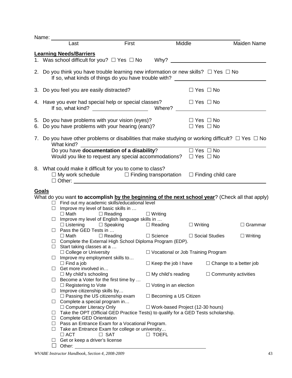| Name:                                                                                                                     |                                                                    |                                                                                                                                                                                   |                              |                                           |                                                                                                 |  |  |  |  |
|---------------------------------------------------------------------------------------------------------------------------|--------------------------------------------------------------------|-----------------------------------------------------------------------------------------------------------------------------------------------------------------------------------|------------------------------|-------------------------------------------|-------------------------------------------------------------------------------------------------|--|--|--|--|
|                                                                                                                           | Last                                                               | First                                                                                                                                                                             |                              | Middle                                    | <b>Maiden Name</b>                                                                              |  |  |  |  |
|                                                                                                                           | <b>Learning Needs/Barriers</b>                                     |                                                                                                                                                                                   |                              |                                           |                                                                                                 |  |  |  |  |
|                                                                                                                           |                                                                    | 1. Was school difficult for you? $\Box$ Yes $\Box$ No Why?                                                                                                                        |                              |                                           |                                                                                                 |  |  |  |  |
|                                                                                                                           |                                                                    | 2. Do you think you have trouble learning new information or new skills? $\Box$ Yes $\Box$ No<br>If so, what kinds of things do you have trouble with? __________________________ |                              |                                           |                                                                                                 |  |  |  |  |
|                                                                                                                           | 3. Do you feel you are easily distracted?                          |                                                                                                                                                                                   |                              | $\Box$ Yes $\Box$ No                      |                                                                                                 |  |  |  |  |
|                                                                                                                           |                                                                    | 4. Have you ever had special help or special classes?<br>If so, what kind? $\sqrt{ }$                                                                                             | Where?                       | $\Box$ Yes $\Box$ No                      |                                                                                                 |  |  |  |  |
|                                                                                                                           |                                                                    | 5. Do you have problems with your vision (eyes)?<br>6. Do you have problems with your hearing (ears)?                                                                             |                              | □ Yes □ No<br>$\Box$ Yes $\Box$ No        |                                                                                                 |  |  |  |  |
| 7. Do you have other problems or disabilities that make studying or working difficult? $\Box$ Yes $\Box$ No<br>What kind? |                                                                    |                                                                                                                                                                                   |                              |                                           |                                                                                                 |  |  |  |  |
|                                                                                                                           |                                                                    | What kind?<br>Do you have <b>documentation of a disability</b> ?                                                                                                                  |                              | $\Box$ Yes $\Box$ No                      |                                                                                                 |  |  |  |  |
|                                                                                                                           |                                                                    | Would you like to request any special accommodations? $\square$ Yes $\square$ No                                                                                                  |                              |                                           |                                                                                                 |  |  |  |  |
|                                                                                                                           |                                                                    |                                                                                                                                                                                   |                              |                                           |                                                                                                 |  |  |  |  |
|                                                                                                                           |                                                                    | 8. What could make it difficult for you to come to class?<br>$\Box$ My work schedule $\Box$ Finding transportation $\Box$ Finding child care                                      |                              |                                           |                                                                                                 |  |  |  |  |
| <b>Goals</b>                                                                                                              |                                                                    |                                                                                                                                                                                   |                              |                                           |                                                                                                 |  |  |  |  |
|                                                                                                                           |                                                                    |                                                                                                                                                                                   |                              |                                           | What do you want to accomplish by the beginning of the next school year? (Check all that apply) |  |  |  |  |
|                                                                                                                           |                                                                    | $\Box$ Find out my academic skills/educational level                                                                                                                              |                              |                                           |                                                                                                 |  |  |  |  |
|                                                                                                                           | $\Box$ Improve my level of basic skills in                         |                                                                                                                                                                                   |                              |                                           |                                                                                                 |  |  |  |  |
|                                                                                                                           | $\Box$ Math $\Box$ Reading                                         |                                                                                                                                                                                   | $\Box$ Writing               |                                           |                                                                                                 |  |  |  |  |
|                                                                                                                           |                                                                    | $\Box$ Improve my level of English language skills in                                                                                                                             |                              |                                           |                                                                                                 |  |  |  |  |
|                                                                                                                           | $\Box$ Pass the GED Tests in                                       | $\square$ Listening $\square$ Speaking $\square$ Reading $\square$ Writing                                                                                                        |                              |                                           | $\Box$ Grammar                                                                                  |  |  |  |  |
|                                                                                                                           | $\Box$ Math $\Box$ Reading                                         |                                                                                                                                                                                   | $\Box$ Science               | $\Box$ Social Studies                     | $\Box$ Writing                                                                                  |  |  |  |  |
|                                                                                                                           |                                                                    | □ Complete the External High School Diploma Program (EDP).                                                                                                                        |                              |                                           |                                                                                                 |  |  |  |  |
|                                                                                                                           | $\Box$ Start taking classes at a                                   |                                                                                                                                                                                   |                              |                                           |                                                                                                 |  |  |  |  |
| ⊔                                                                                                                         | □ College or University<br>Improve my employment skills to         |                                                                                                                                                                                   |                              | $\Box$ Vocational or Job Training Program |                                                                                                 |  |  |  |  |
|                                                                                                                           | $\Box$ Find a job                                                  |                                                                                                                                                                                   | $\Box$ Keep the job I have   |                                           | $\Box$ Change to a better job                                                                   |  |  |  |  |
|                                                                                                                           | $\Box$ Get more involved in                                        |                                                                                                                                                                                   |                              |                                           |                                                                                                 |  |  |  |  |
|                                                                                                                           | $\Box$ My child's schooling                                        |                                                                                                                                                                                   | $\Box$ My child's reading    |                                           | $\Box$ Community activities                                                                     |  |  |  |  |
| ш                                                                                                                         |                                                                    | Become a Voter for the first time by                                                                                                                                              |                              |                                           |                                                                                                 |  |  |  |  |
|                                                                                                                           | $\Box$ Registering to Vote<br>$\Box$ Improve citizenship skills by |                                                                                                                                                                                   | $\Box$ Voting in an election |                                           |                                                                                                 |  |  |  |  |
|                                                                                                                           | $\Box$ Passing the US citizenship exam                             |                                                                                                                                                                                   | $\Box$ Becoming a US Citizen |                                           |                                                                                                 |  |  |  |  |
|                                                                                                                           | $\Box$ Complete a special program in                               |                                                                                                                                                                                   |                              |                                           |                                                                                                 |  |  |  |  |
|                                                                                                                           | □ Computer Literacy Only                                           |                                                                                                                                                                                   |                              | $\Box$ Work-based Project (12-30 hours)   |                                                                                                 |  |  |  |  |
| ப                                                                                                                         |                                                                    | Take the OPT (Official GED Practice Tests) to qualify for a GED Tests scholarship.                                                                                                |                              |                                           |                                                                                                 |  |  |  |  |
|                                                                                                                           | □ Complete GED Orientation                                         |                                                                                                                                                                                   |                              |                                           |                                                                                                 |  |  |  |  |
|                                                                                                                           |                                                                    | $\Box$ Pass an Entrance Exam for a Vocational Program.                                                                                                                            |                              |                                           |                                                                                                 |  |  |  |  |
| $\Box$                                                                                                                    |                                                                    | Take an Entrance Exam for college or university                                                                                                                                   |                              |                                           |                                                                                                 |  |  |  |  |
|                                                                                                                           | $\Box$ ACT                                                         | $\Box$ SAT                                                                                                                                                                        | $\Box$ toefl                 |                                           |                                                                                                 |  |  |  |  |
| ப                                                                                                                         | Get or keep a driver's license<br>Other:                           |                                                                                                                                                                                   |                              |                                           |                                                                                                 |  |  |  |  |
|                                                                                                                           |                                                                    |                                                                                                                                                                                   |                              |                                           |                                                                                                 |  |  |  |  |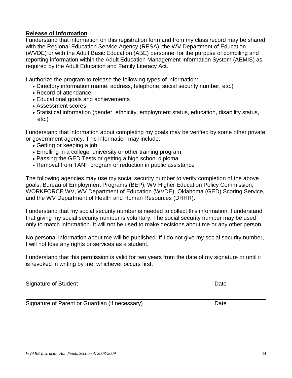### **Release of Information**

I understand that information on this registration form and from my class record may be shared with the Regional Education Service Agency (RESA), the WV Department of Education (WVDE) or with the Adult Basic Education (ABE) personnel for the purpose of compiling and reporting information within the Adult Education Management Information System (AEMIS) as required by the Adult Education and Family Literacy Act.

I authorize the program to release the following types of information:

- Directory information (name, address, telephone, social security number, etc.)
- Record of attendance
- Educational goals and achievements
- Assessment scores
- Statistical information (gender, ethnicity, employment status, education, disability status, etc.)

I understand that information about completing my goals may be verified by some other private or government agency. This information may include:

- Getting or keeping a job
- Enrolling in a college, university or other training program
- Passing the GED Tests or getting a high school diploma
- Removal from TANF program or reduction in public assistance

The following agencies may use my social security number to verify completion of the above goals: Bureau of Employment Programs (BEP), WV Higher Education Policy Commission, WORKFORCE WV, WV Department of Education (WVDE), Oklahoma (GED) Scoring Service, and the WV Department of Health and Human Resources (DHHR).

I understand that my social security number is needed to collect this information. I understand that giving my social security number is voluntary. The social security number may be used only to match information. It will not be used to make decisions about me or any other person.

No personal information about me will be published. If I do not give my social security number, I will not lose any rights or services as a student.

I understand that this permission is valid for two years from the date of my signature or until it is revoked in writing by me, whichever occurs first.

Signature of Student Date Date Date Date Date Date

Signature of Parent or Guardian (if necessary) Date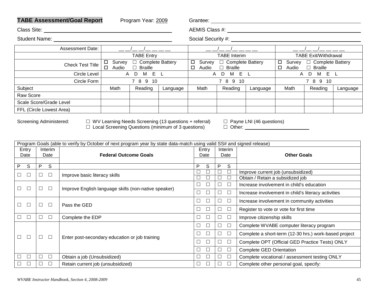|                          |                                                                                                                                                                                                                                                                                                                  |              | <b>TABE Assessment/Goal Report</b>                   |                                     | Program Year: 2009                   |                  |                                                                                                                                                                                                                                |                  |                            |                                                                               |              |                                               |          |  |
|--------------------------|------------------------------------------------------------------------------------------------------------------------------------------------------------------------------------------------------------------------------------------------------------------------------------------------------------------|--------------|------------------------------------------------------|-------------------------------------|--------------------------------------|------------------|--------------------------------------------------------------------------------------------------------------------------------------------------------------------------------------------------------------------------------|------------------|----------------------------|-------------------------------------------------------------------------------|--------------|-----------------------------------------------|----------|--|
|                          |                                                                                                                                                                                                                                                                                                                  |              | Class Site: <u>Class Site:</u> Class Site:           |                                     |                                      |                  | AEMIS Class #: New York 2014 19:00 19:00 19:00 19:00 19:00 19:00 19:00 19:00 19:00 19:00 19:00 19:00 19:00 19:00 19:00 19:00 19:00 19:00 19:00 19:00 19:00 19:00 19:00 19:00 19:00 19:00 19:00 19:00 19:00 19:00 19:00 19:00 1 |                  |                            |                                                                               |              |                                               |          |  |
|                          |                                                                                                                                                                                                                                                                                                                  |              |                                                      |                                     |                                      |                  | Social Security #: New York Social Security #:                                                                                                                                                                                 |                  |                            |                                                                               |              |                                               |          |  |
|                          |                                                                                                                                                                                                                                                                                                                  |              | Assessment Date:                                     |                                     | ___________                          |                  |                                                                                                                                                                                                                                |                  |                            | — <i>————————</i>                                                             |              |                                               |          |  |
|                          |                                                                                                                                                                                                                                                                                                                  |              |                                                      |                                     | <b>TABE Entry</b>                    |                  |                                                                                                                                                                                                                                |                  | <b>TABE</b> Interim        |                                                                               |              | <b>TABE Exit/Withdrawal</b>                   |          |  |
|                          |                                                                                                                                                                                                                                                                                                                  |              | <b>Check Test Title</b>                              | $\square$ Survey<br>Audio<br>$\Box$ | □ Complete Battery<br>$\Box$ Braille |                  | $\Box$ Audio                                                                                                                                                                                                                   |                  | $\Box$ Braille             | □ Survey □ Complete Battery                                                   | $\Box$ Audio | □ Survey □ Complete Battery<br>$\Box$ Braille |          |  |
|                          |                                                                                                                                                                                                                                                                                                                  |              | Circle Level                                         |                                     | A D M E L                            |                  |                                                                                                                                                                                                                                |                  | A D M E L                  |                                                                               |              | A D M E L                                     |          |  |
|                          |                                                                                                                                                                                                                                                                                                                  |              | Circle Form                                          |                                     | 7 8 9 10                             |                  |                                                                                                                                                                                                                                |                  | 7 8 9 10                   |                                                                               |              | 7 8 9 10                                      |          |  |
| Subject                  |                                                                                                                                                                                                                                                                                                                  |              |                                                      | Math                                | Reading                              | Language         | Math                                                                                                                                                                                                                           |                  | Reading                    | Language                                                                      | Math         | Reading                                       | Language |  |
| Raw Score                |                                                                                                                                                                                                                                                                                                                  |              |                                                      |                                     |                                      |                  |                                                                                                                                                                                                                                |                  |                            |                                                                               |              |                                               |          |  |
| Scale Score/Grade Level  |                                                                                                                                                                                                                                                                                                                  |              |                                                      |                                     |                                      |                  |                                                                                                                                                                                                                                |                  |                            |                                                                               |              |                                               |          |  |
| FFL (Circle Lowest Area) |                                                                                                                                                                                                                                                                                                                  |              |                                                      |                                     |                                      |                  |                                                                                                                                                                                                                                |                  |                            |                                                                               |              |                                               |          |  |
|                          | $\Box$ WV Learning Needs Screening (13 questions + referral)<br>Screening Administered:<br>$\Box$ Payne LNI (46 questions)<br>$\Box$ Local Screening Questions (minimum of 3 questions)<br>Program Goals (able to verify by October of next program year by state data-match using valid SS# and signed release) |              |                                                      |                                     |                                      |                  |                                                                                                                                                                                                                                |                  |                            |                                                                               |              |                                               |          |  |
| Entry                    |                                                                                                                                                                                                                                                                                                                  | Interim      |                                                      |                                     |                                      |                  | Entry                                                                                                                                                                                                                          |                  | Interim                    |                                                                               |              |                                               |          |  |
| Date                     |                                                                                                                                                                                                                                                                                                                  | Date         |                                                      | <b>Federal Outcome Goals</b>        |                                      |                  | Date                                                                                                                                                                                                                           |                  | Date                       | <b>Other Goals</b>                                                            |              |                                               |          |  |
| P<br>S                   | P                                                                                                                                                                                                                                                                                                                | <sub>S</sub> |                                                      |                                     |                                      |                  | P<br>S                                                                                                                                                                                                                         |                  | P<br>S                     |                                                                               |              |                                               |          |  |
| $\Box$<br>$\Box$         | $\Box$                                                                                                                                                                                                                                                                                                           | $\Box$       | Improve basic literacy skills                        |                                     |                                      |                  | $\Box$<br>$\Box$                                                                                                                                                                                                               |                  | $\Box$<br>$\Box$           | Improve current job (unsubsidized)                                            |              |                                               |          |  |
|                          |                                                                                                                                                                                                                                                                                                                  |              |                                                      |                                     |                                      |                  | $\Box$<br>□                                                                                                                                                                                                                    |                  | $\Box$<br>$\Box$           | Obtain / Retain a subsidized job<br>Increase involvement in child's education |              |                                               |          |  |
| $\Box$<br>$\Box$         | $\Box$                                                                                                                                                                                                                                                                                                           | $\Box$       | Improve English language skills (non-native speaker) |                                     |                                      |                  | $\Box$<br>$\Box$                                                                                                                                                                                                               |                  | $\hfill \square$<br>$\Box$ |                                                                               |              |                                               |          |  |
|                          |                                                                                                                                                                                                                                                                                                                  |              |                                                      |                                     |                                      |                  | $\Box$<br>□                                                                                                                                                                                                                    |                  | $\Box$<br>$\Box$           | Increase involvement in child's literacy activities                           |              |                                               |          |  |
| $\Box$<br>$\Box$         | $\Box$                                                                                                                                                                                                                                                                                                           | $\Box$       | Pass the GED                                         |                                     |                                      |                  | $\Box$<br>$\Box$                                                                                                                                                                                                               |                  | $\Box$<br>$\Box$           | Increase involvement in community activities                                  |              |                                               |          |  |
|                          |                                                                                                                                                                                                                                                                                                                  |              |                                                      |                                     |                                      |                  | $\Box$<br>□                                                                                                                                                                                                                    |                  | $\Box$<br>$\Box$           | Register to vote or vote for first time                                       |              |                                               |          |  |
| $\Box$<br>$\Box$         | $\Box$                                                                                                                                                                                                                                                                                                           | $\Box$       | Complete the EDP                                     |                                     |                                      |                  | $\Box$<br>$\Box$                                                                                                                                                                                                               |                  | $\Box$<br>$\Box$           | Improve citizenship skills                                                    |              |                                               |          |  |
|                          |                                                                                                                                                                                                                                                                                                                  |              |                                                      |                                     |                                      |                  | $\Box$<br>$\Box$                                                                                                                                                                                                               |                  | $\Box$<br>$\Box$           | Complete WVABE computer literacy program                                      |              |                                               |          |  |
| $\Box$<br>$\Box$         | $\Box$                                                                                                                                                                                                                                                                                                           | $\Box$       |                                                      |                                     |                                      |                  | $\Box$<br>$\Box$                                                                                                                                                                                                               |                  | $\Box$<br>$\Box$           | Complete a short-term (12-30 hrs.) work-based project                         |              |                                               |          |  |
|                          |                                                                                                                                                                                                                                                                                                                  |              | Enter post-secondary education or job training       |                                     |                                      | $\Box$<br>$\Box$ |                                                                                                                                                                                                                                | $\Box$<br>$\Box$ |                            | Complete OPT (Official GED Practice Tests) ONLY                               |              |                                               |          |  |
|                          |                                                                                                                                                                                                                                                                                                                  |              |                                                      |                                     |                                      |                  | $\Box$<br>$\Box$                                                                                                                                                                                                               |                  | $\Box$<br>$\Box$           | <b>Complete GED Orientation</b>                                               |              |                                               |          |  |
| $\Box$                   | $\Box$                                                                                                                                                                                                                                                                                                           | $\Box$       | Obtain a job (Unsubsidized)                          |                                     |                                      |                  | $\Box$<br>$\Box$                                                                                                                                                                                                               |                  | $\Box$<br>$\Box$           | Complete vocational / assessment testing ONLY                                 |              |                                               |          |  |
| $\Box$<br>$\Box$         | $\Box$                                                                                                                                                                                                                                                                                                           | $\Box$       | Retain current job (unsubsidized)                    |                                     |                                      |                  | $\Box$<br>$\Box$                                                                                                                                                                                                               |                  | $\Box$<br>$\Box$           | Complete other personal goal, specify:                                        |              |                                               |          |  |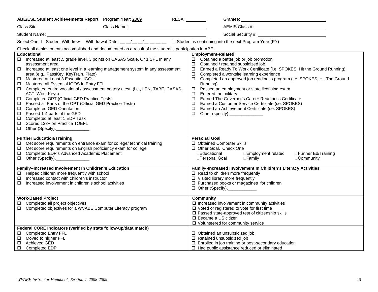| ABE/ESL Student Achievements Report Program Year: 2009                                                                                                                                                                                                                                                                                                                                                                                                                                                                                                                                                                                                                                                                                                                                 | RESA: _________                                                                                                                                                                                                                                                                                                                                                                                                                                                                                                                                                                                                                                                                                  |
|----------------------------------------------------------------------------------------------------------------------------------------------------------------------------------------------------------------------------------------------------------------------------------------------------------------------------------------------------------------------------------------------------------------------------------------------------------------------------------------------------------------------------------------------------------------------------------------------------------------------------------------------------------------------------------------------------------------------------------------------------------------------------------------|--------------------------------------------------------------------------------------------------------------------------------------------------------------------------------------------------------------------------------------------------------------------------------------------------------------------------------------------------------------------------------------------------------------------------------------------------------------------------------------------------------------------------------------------------------------------------------------------------------------------------------------------------------------------------------------------------|
| Class Site: <u>New York: New York: New York: New York: New York: New York: New York: New York: New York: New York: New York: New York: New York: New York: New York: New York: New York: New York: New York: New York: New York:</u>                                                                                                                                                                                                                                                                                                                                                                                                                                                                                                                                                   |                                                                                                                                                                                                                                                                                                                                                                                                                                                                                                                                                                                                                                                                                                  |
|                                                                                                                                                                                                                                                                                                                                                                                                                                                                                                                                                                                                                                                                                                                                                                                        |                                                                                                                                                                                                                                                                                                                                                                                                                                                                                                                                                                                                                                                                                                  |
| Select One: $\Box$ Student Withdrew Withdrawal Date: __ _/_ _/_ __/_ _ _ _ $\Box$ Student is continuing into the next Program Year (PY)                                                                                                                                                                                                                                                                                                                                                                                                                                                                                                                                                                                                                                                |                                                                                                                                                                                                                                                                                                                                                                                                                                                                                                                                                                                                                                                                                                  |
| Check all achievements accomplished and documented as a result of the student's participation in ABE.                                                                                                                                                                                                                                                                                                                                                                                                                                                                                                                                                                                                                                                                                  |                                                                                                                                                                                                                                                                                                                                                                                                                                                                                                                                                                                                                                                                                                  |
| <b>Educational</b><br>□ Increased at least .5 grade level, 3 points on CASAS Scale, Or 1 SPL In any<br>assessment area<br>Increased at least one level in a learning management system in any assessment<br>area (e.g., PassKey, KeyTrain, Plato)<br>Mastered at Least 3 Essential IGOs<br>Mastered all Essential IGOS In Entry FFL<br>$\Box$<br>Completed entire vocational / assessment battery / test (i.e., LPN, TABE, CASAS,<br>ACT, Work Keys)<br>Completed OPT (Official GED Practice Tests)<br>Passed all Parts of the OPT (Official GED Practice Tests)<br>$\Box$<br><b>Completed GED Orientation</b><br>$\Box$<br>Passed 1-4 parts of the GED<br>$\Box$<br>Completed at least 1 EDP Task<br>□<br>Scored 133+ on Practice TOEFL<br>$\Box$<br>□ Other (Specify),______________ | <b>Employment-Related</b><br>$\Box$ Obtained a better job or job promotion<br>□ Obtained / retained subsidized job<br>Earned a Ready To Work Certificate (i.e. SPOKES, Hit the Ground Running)<br>$\Box$<br>Completed a worksite learning experience<br>$\Box$<br>Completed an approved job readiness program (i.e. SPOKES, Hit The Ground<br>$\Box$<br>Running)<br>Passed an employment or state licensing exam<br>$\Box$<br>Entered the military<br>$\Box$<br>Earned The Governor's Career Readiness Certificate<br>$\Box$<br>Earned a Customer Service Certificate (i.e. SPOKES)<br>$\Box$<br>Earned an Achievement Certificate (i.e. SPOKES)<br>$\Box$<br>□ Other (specify),________________ |
| <b>Further Education/Training</b><br>Met score requirements on entrance exam for college/ technical training<br>Met score requirements on English proficiency exam for college<br>Completed EDP's Advanced Academic Placement<br>□<br>$\Box$ Other (Specify), ______________                                                                                                                                                                                                                                                                                                                                                                                                                                                                                                           | <b>Personal Goal</b><br>□ Obtained Computer Skills<br>□ Other Goal, Check One<br>□Educational<br>□Employment related<br>□Further Ed/Training<br>□Personal Goal<br>$\square$ Family<br>□Community                                                                                                                                                                                                                                                                                                                                                                                                                                                                                                 |
| Family--Increased Involvement In Children's Education<br>Helped children more frequently with school<br>Increased contact with children's instructor<br>$\Box$<br>Increased involvement in children's school activities                                                                                                                                                                                                                                                                                                                                                                                                                                                                                                                                                                | Family--Increased Involvement In Children's Literacy Activities<br>$\Box$ Read to children more frequently<br>$\Box$ Visited library more frequently<br>□ Purchased books or magazines for children<br>$\Box$ Other (Specify), ___________                                                                                                                                                                                                                                                                                                                                                                                                                                                       |
| <b>Work-Based Project</b><br>Completed all project objectives<br>□<br>□ Completed objectives for a WVABE Computer Literacy program                                                                                                                                                                                                                                                                                                                                                                                                                                                                                                                                                                                                                                                     | <b>Community</b><br>$\square$ Increased involvement in community activities<br>$\Box$ Voted or registered to vote for first time<br>□ Passed state-approved test of citizenship skills<br>□ Became a US citizen<br>□ Volunteered for community service                                                                                                                                                                                                                                                                                                                                                                                                                                           |
| Federal CORE Indicators (verified by state follow-up/data match)<br>□ Completed Entry FFL<br>□ Moved to higher FFL<br>Achieved GED<br>$\Box$<br>□ Completed EDP                                                                                                                                                                                                                                                                                                                                                                                                                                                                                                                                                                                                                        | □ Obtained an unsubsidized job<br>□ Retained unsubsidized job<br>□ Enrolled in job training or post-secondary education<br>$\Box$ Had public assistance reduced or eliminated                                                                                                                                                                                                                                                                                                                                                                                                                                                                                                                    |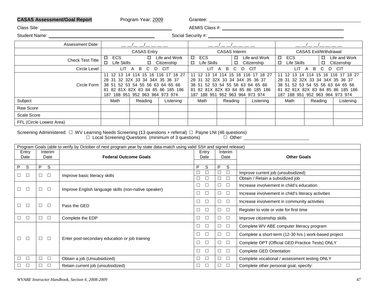## CASAS Assessment/Goal Report **Program Year:** 2009 Grantee: Casas Communication CASAS Assessment/Goal Report

| Program Year: 2009 |  |
|--------------------|--|
|                    |  |

| Class Site: |  |
|-------------|--|
|             |  |

Class Site: AEMIS Class #:

Student Name: Social Security #:

| <b>Assessment Date:</b>  |                                                                                                                                                                                         |                    |                              |                                                                                                                                                                                                   |                      |                              |                                                                                                                                                                                         |         |                              |  |
|--------------------------|-----------------------------------------------------------------------------------------------------------------------------------------------------------------------------------------|--------------------|------------------------------|---------------------------------------------------------------------------------------------------------------------------------------------------------------------------------------------------|----------------------|------------------------------|-----------------------------------------------------------------------------------------------------------------------------------------------------------------------------------------|---------|------------------------------|--|
|                          |                                                                                                                                                                                         | <b>CASAS Entry</b> |                              |                                                                                                                                                                                                   | <b>CASAS</b> Interim |                              | <b>CASAS Exit/Withdrawal</b>                                                                                                                                                            |         |                              |  |
| <b>Check Test Title</b>  | ECS<br>◻<br>□<br>Life Skills                                                                                                                                                            | $\Box$             | Life and Work<br>Citizenship | <b>ECS</b><br>$\Box$<br>Life Skills<br>$\Box$                                                                                                                                                     | □<br>□               | Life and Work<br>Citizenship | <b>ECS</b><br>$\Box$<br>Life Skills<br>□                                                                                                                                                | □<br>□  | Life and Work<br>Citizenship |  |
| Circle Level             | LIT.                                                                                                                                                                                    | B<br>C.<br>D<br>A  | <b>CIT</b>                   | <b>LIT</b><br>C.<br>CIT<br>B<br>D<br>A                                                                                                                                                            |                      |                              | LIT<br>B<br>CIT<br>C.<br>D<br>$\mathsf{A}$                                                                                                                                              |         |                              |  |
| Circle Form              | 11 12 13 14 114 15 16 116 17 18 27<br>28 31 32 32X 33 34 34X 35 36 37<br>38 51 52 53 54 55 56 63 64 65 66<br>82 81X 82X 83 84 85 86 185 186<br>81<br>952 963 964 973 974<br>187 188 951 |                    |                              | 16 116 17 18 27<br>15<br>12 13 14 114<br>11<br>28 31 32 32X 33 34 34X 35 36 37<br>38 51 52 53 54 55 56 63 64 65 66<br>81 82 81X 82X 83 84 85 86 185 186<br>952 963 964 973 974<br>188 951<br>187. |                      |                              | 14 114 15 16 116 17 18 27<br>11 12<br>13<br>28 31 32 32X 33 34 34X 35 36 37<br>38 51 52 53 54 55 56 63 64 65 66<br>81 82 81X 82X 83 84 85 86 185 186<br>187 188 951 952 963 964 973 974 |         |                              |  |
| Subject                  | Math                                                                                                                                                                                    | Reading            | Listening                    | Math                                                                                                                                                                                              | Reading              | Listening                    | Math                                                                                                                                                                                    | Reading | Listening                    |  |
| Raw Score                |                                                                                                                                                                                         |                    |                              |                                                                                                                                                                                                   |                      |                              |                                                                                                                                                                                         |         |                              |  |
| Scale Score              |                                                                                                                                                                                         |                    |                              |                                                                                                                                                                                                   |                      |                              |                                                                                                                                                                                         |         |                              |  |
| FFL (Circle Lowest Area) |                                                                                                                                                                                         |                    |                              |                                                                                                                                                                                                   |                      |                              |                                                                                                                                                                                         |         |                              |  |

Screening Administered: □ WV Learning Needs Screening (13 questions + referral) □ Payne LNI (46 questions)

 $\Box$  Local Screening Questions (minimum of 3 questions)  $\Box$  Other:

|       | Program Goals (able to verify by October of next program year by state data-match using valid SS# and signed release) |                                                |                                                      |                  |                                                 |                                                       |  |
|-------|-----------------------------------------------------------------------------------------------------------------------|------------------------------------------------|------------------------------------------------------|------------------|-------------------------------------------------|-------------------------------------------------------|--|
| Entry |                                                                                                                       | Interim                                        |                                                      | Entry            | Interim                                         |                                                       |  |
| Date  |                                                                                                                       | Date                                           | <b>Federal Outcome Goals</b>                         | Date             | Date                                            | <b>Other Goals</b>                                    |  |
| P     | S                                                                                                                     | S<br>P                                         |                                                      | P<br>S           | S<br>P                                          |                                                       |  |
|       |                                                                                                                       |                                                |                                                      | L                | $\Box$<br>$\Box$                                | Improve current job (unsubsidized)                    |  |
|       | $\Box$                                                                                                                | $\Box$                                         | Improve basic literacy skills                        | Е                | $\Box$<br>$\Box$                                | Obtain / Retain a subsidized job                      |  |
|       | □                                                                                                                     | $\Box$                                         |                                                      | $\Box$           | $\Box$<br>$\Box$                                | Increase involvement in child's education             |  |
|       |                                                                                                                       |                                                | Improve English language skills (non-native speaker) |                  | $\Box$<br>$\Box$                                | Increase involvement in child's literacy activities   |  |
|       |                                                                                                                       | $\Box$                                         | Pass the GED                                         | $\Box$<br>$\Box$ | $\Box$<br>$\Box$                                | Increase involvement in community activities          |  |
|       | □                                                                                                                     |                                                | $\Box$<br>□                                          | $\Box$<br>$\Box$ | Register to vote or vote for first time         |                                                       |  |
|       | □                                                                                                                     | $\Box$                                         | Complete the EDP                                     | $\Box$           | $\Box$<br>$\Box$                                | Improve citizenship skills                            |  |
|       |                                                                                                                       |                                                |                                                      | $\Box$           | $\Box$<br>$\Box$                                | Complete WV ABE computer literacy program             |  |
|       |                                                                                                                       |                                                |                                                      | $\Box$<br>$\Box$ | $\Box$<br>$\Box$                                | Complete a short-term (12-30 hrs.) work-based project |  |
|       | $\Box$<br>$\Box$                                                                                                      | Enter post-secondary education or job training | $\Box$                                               | $\Box$<br>$\Box$ | Complete OPT (Official GED Practice Tests) ONLY |                                                       |  |
|       |                                                                                                                       |                                                |                                                      | $\Box$<br>$\Box$ | $\Box$<br>$\Box$                                | Complete GED Orientation                              |  |
|       | □                                                                                                                     | $\Box$                                         | Obtain a job (Unsubsidized)                          | $\Box$<br>$\Box$ | $\Box$<br>$\Box$                                | Complete vocational / assessment testing ONLY         |  |
|       | □                                                                                                                     | $\Box$<br>$\perp$                              | Retain current job (unsubsidized)                    | $\Box$<br>$\Box$ | $\Box$<br>$\Box$                                | Complete other personal goal, specify:                |  |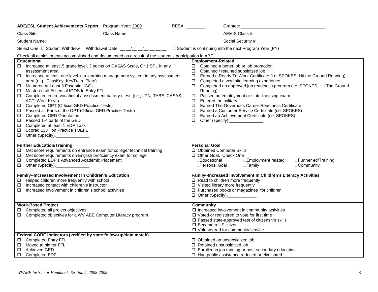| ABE/ESL Student Achievements Report Program Year: 2009                                                                                                                                                                                                                                                                                                                                                                                                                                                                                                                                                                                                                                                                                                                                                        | RESA:<br>Grantee:<br><u> 1989 - Johann Barn, mars ann an t-Amhain an t-Amhain an t-Amhain an t-Amhain an t-Amhain an t-Amhain an t-Amh</u>                                                                                                                                                                                                                                                                                                                                                                                                                                                                                                                                            |  |  |  |  |  |  |
|---------------------------------------------------------------------------------------------------------------------------------------------------------------------------------------------------------------------------------------------------------------------------------------------------------------------------------------------------------------------------------------------------------------------------------------------------------------------------------------------------------------------------------------------------------------------------------------------------------------------------------------------------------------------------------------------------------------------------------------------------------------------------------------------------------------|---------------------------------------------------------------------------------------------------------------------------------------------------------------------------------------------------------------------------------------------------------------------------------------------------------------------------------------------------------------------------------------------------------------------------------------------------------------------------------------------------------------------------------------------------------------------------------------------------------------------------------------------------------------------------------------|--|--|--|--|--|--|
|                                                                                                                                                                                                                                                                                                                                                                                                                                                                                                                                                                                                                                                                                                                                                                                                               |                                                                                                                                                                                                                                                                                                                                                                                                                                                                                                                                                                                                                                                                                       |  |  |  |  |  |  |
|                                                                                                                                                                                                                                                                                                                                                                                                                                                                                                                                                                                                                                                                                                                                                                                                               |                                                                                                                                                                                                                                                                                                                                                                                                                                                                                                                                                                                                                                                                                       |  |  |  |  |  |  |
| Select One: $\Box$ Student Withdrew Withdrawal Date: __ _/_ _/_ __/_ _ _ _ $\Box$ Student is continuing into the next Program Year (PY)                                                                                                                                                                                                                                                                                                                                                                                                                                                                                                                                                                                                                                                                       |                                                                                                                                                                                                                                                                                                                                                                                                                                                                                                                                                                                                                                                                                       |  |  |  |  |  |  |
| Check all achievements accomplished and documented as a result of the student's participation in ABE.                                                                                                                                                                                                                                                                                                                                                                                                                                                                                                                                                                                                                                                                                                         |                                                                                                                                                                                                                                                                                                                                                                                                                                                                                                                                                                                                                                                                                       |  |  |  |  |  |  |
| <b>Educational</b><br>Increased at least .5 grade level, 3 points on CASAS Scale, Or 1 SPL In any<br>$\Box$<br>assessment area<br>Increased at least one level in a learning management system in any assessment<br>□.<br>area (e.g., PassKey, KeyTrain, Plato)<br>Mastered at Least 3 Essential IGOs<br>□<br>Mastered all Essential IGOS In Entry FFL<br>□<br>□ Completed entire vocational / assessment battery / test (i.e., LPN, TABE, CASAS,<br>ACT, Work Keys)<br>Completed OPT (Official GED Practice Tests)<br>Passed all Parts of the OPT (Official GED Practice Tests)<br><b>Completed GED Orientation</b><br>$\Box$<br>Passed 1-4 parts of the GED<br>$\Box$<br>Completed at least 1 EDP Task<br>$\Box$<br>Scored 133+ on Practice TOEFL<br>$\Box$<br>$\Box$<br>Other (Specify),__________________ | <b>Employment-Related</b><br>$\Box$ Obtained a better job or job promotion<br>□ Obtained / retained subsidized job<br>Earned a Ready To Work Certificate (i.e. SPOKES, Hit the Ground Running)<br>$\Box$<br>Completed a worksite learning experience<br>П.<br>Completed an approved job readiness program (i.e. SPOKES, Hit The Ground<br>0<br>Running)<br>Passed an employment or state licensing exam<br>$\Box$<br>Entered the military<br>□<br>Earned The Governor's Career Readiness Certificate<br>$\Box$<br>Earned a Customer Service Certificate (i.e. SPOKES)<br>□<br>Earned an Achievement Certificate (i.e. SPOKES)<br>$\Box$<br>Other (specify),________________<br>$\Box$ |  |  |  |  |  |  |
| <b>Further Education/Training</b><br>Met score requirements on entrance exam for college/ technical training<br>□<br>Met score requirements on English proficiency exam for college<br>$\Box$<br>Completed EDP's Advanced Academic Placement<br>□<br>□ Other (Specify), _______________                                                                                                                                                                                                                                                                                                                                                                                                                                                                                                                       | <b>Personal Goal</b><br>□ Obtained Computer Skills<br>□ Other Goal, Check One<br>$\Box$ Educational<br>□Employment related<br>□Further ed/Training<br>□Personal Goal □Family<br>□Community                                                                                                                                                                                                                                                                                                                                                                                                                                                                                            |  |  |  |  |  |  |
| <b>Family--Increased Involvement In Children's Education</b><br>Helped children more frequently with school<br>Increased contact with children's instructor<br>□.<br>Increased involvement in children's school activities<br>$\Box$                                                                                                                                                                                                                                                                                                                                                                                                                                                                                                                                                                          | Family--Increased Involvement In Children's Literacy Activities<br>$\Box$ Read to children more frequently<br>$\Box$ Visited library more frequently<br>□ Purchased books or magazines for children<br>□ Other (Specify),___________                                                                                                                                                                                                                                                                                                                                                                                                                                                  |  |  |  |  |  |  |
| <b>Work-Based Project</b><br>Completed all project objectives<br>□.<br>□ Completed objectives for a WV ABE Computer Literacy program                                                                                                                                                                                                                                                                                                                                                                                                                                                                                                                                                                                                                                                                          | <b>Community</b><br>$\Box$ Increased involvement in community activities<br>$\Box$ Voted or registered to vote for first time<br>$\square$ Passed state-approved test of citizenship skills<br>□ Became a US citizen<br>□ Volunteered for community service                                                                                                                                                                                                                                                                                                                                                                                                                           |  |  |  |  |  |  |
| Federal CORE Indicators (verified by state follow-up/data match)<br>□ Completed Entry FFL<br>Moved to higher FFL<br>□<br><b>Achieved GED</b><br>$\Box$<br>□ Completed EDP                                                                                                                                                                                                                                                                                                                                                                                                                                                                                                                                                                                                                                     | □ Obtained an unsubsidized job<br>□ Retained unsubsidized job<br>□ Enrolled in job training or post-secondary education<br>$\Box$ Had public assistance reduced or eliminated                                                                                                                                                                                                                                                                                                                                                                                                                                                                                                         |  |  |  |  |  |  |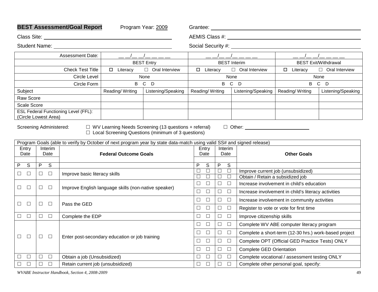| <b>BEST Assessment/Goal Report</b><br>Program Year: 2009                                                                                                                                                                                                                                                                                          |                                   |                                                      | Grantee:                  |                             |                     |                                                                                                                                                                                                                                                                                                                                                                                                                                                                            |                                  |                                                       |                             |  |
|---------------------------------------------------------------------------------------------------------------------------------------------------------------------------------------------------------------------------------------------------------------------------------------------------------------------------------------------------|-----------------------------------|------------------------------------------------------|---------------------------|-----------------------------|---------------------|----------------------------------------------------------------------------------------------------------------------------------------------------------------------------------------------------------------------------------------------------------------------------------------------------------------------------------------------------------------------------------------------------------------------------------------------------------------------------|----------------------------------|-------------------------------------------------------|-----------------------------|--|
|                                                                                                                                                                                                                                                                                                                                                   |                                   |                                                      |                           |                             |                     |                                                                                                                                                                                                                                                                                                                                                                                                                                                                            |                                  |                                                       |                             |  |
| <b>Student Name:</b>                                                                                                                                                                                                                                                                                                                              |                                   |                                                      | Social Security #: ______ |                             |                     |                                                                                                                                                                                                                                                                                                                                                                                                                                                                            |                                  |                                                       |                             |  |
| Assessment Date:                                                                                                                                                                                                                                                                                                                                  |                                   |                                                      |                           |                             |                     | $\frac{1}{2} \left( \frac{1}{2} \right) \left( \frac{1}{2} \right) \left( \frac{1}{2} \right) \left( \frac{1}{2} \right) \left( \frac{1}{2} \right) \left( \frac{1}{2} \right) \left( \frac{1}{2} \right) \left( \frac{1}{2} \right) \left( \frac{1}{2} \right) \left( \frac{1}{2} \right) \left( \frac{1}{2} \right) \left( \frac{1}{2} \right) \left( \frac{1}{2} \right) \left( \frac{1}{2} \right) \left( \frac{1}{2} \right) \left( \frac{1}{2} \right) \left( \frac$ |                                  |                                                       |                             |  |
|                                                                                                                                                                                                                                                                                                                                                   |                                   |                                                      | <b>BEST Entry</b>         |                             | <b>BEST</b> Interim |                                                                                                                                                                                                                                                                                                                                                                                                                                                                            |                                  |                                                       | <b>BEST Exit/Withdrawal</b> |  |
|                                                                                                                                                                                                                                                                                                                                                   | <b>Check Test Title</b>           | □ Literacy                                           | $\Box$ Oral Interview     | □ Literacy                  |                     |                                                                                                                                                                                                                                                                                                                                                                                                                                                                            | □ Oral Interview                 | □ Literacy                                            | $\Box$ Oral Interview       |  |
|                                                                                                                                                                                                                                                                                                                                                   | <b>Circle Level</b>               |                                                      | None                      |                             |                     | None                                                                                                                                                                                                                                                                                                                                                                                                                                                                       |                                  |                                                       | None                        |  |
|                                                                                                                                                                                                                                                                                                                                                   | Circle Form                       |                                                      | B C D                     |                             |                     | B C D                                                                                                                                                                                                                                                                                                                                                                                                                                                                      |                                  | $\mathsf{B}$                                          | C D                         |  |
| Subject                                                                                                                                                                                                                                                                                                                                           |                                   | Reading/Writing                                      | Listening/Speaking        | Reading/Writing             |                     |                                                                                                                                                                                                                                                                                                                                                                                                                                                                            | Listening/Speaking               | Reading/Writing                                       | Listening/Speaking          |  |
| Raw Score                                                                                                                                                                                                                                                                                                                                         |                                   |                                                      |                           |                             |                     |                                                                                                                                                                                                                                                                                                                                                                                                                                                                            |                                  |                                                       |                             |  |
| Scale Score<br><b>ESL Federal Functioning Level (FFL):</b>                                                                                                                                                                                                                                                                                        |                                   |                                                      |                           |                             |                     |                                                                                                                                                                                                                                                                                                                                                                                                                                                                            |                                  |                                                       |                             |  |
| (Circle Lowest Area)                                                                                                                                                                                                                                                                                                                              |                                   |                                                      |                           |                             |                     |                                                                                                                                                                                                                                                                                                                                                                                                                                                                            |                                  |                                                       |                             |  |
| $\Box$ WV Learning Needs Screening (13 questions + referral)<br>Screening Administered:<br>$\Box$ Local Screening Questions (minimum of 3 questions)<br>Program Goals (able to verify by October of next program year by state data-match using valid SS# and signed release)<br>Entry<br>Interim<br><b>Federal Outcome Goals</b><br>Date<br>Date |                                   |                                                      |                           | Entry<br>Date               | Interim<br>Date     |                                                                                                                                                                                                                                                                                                                                                                                                                                                                            | $\Box$ Other:                    | <b>Other Goals</b>                                    |                             |  |
| S<br>S<br>P<br>P                                                                                                                                                                                                                                                                                                                                  |                                   |                                                      |                           | P<br>S                      | P                   | S                                                                                                                                                                                                                                                                                                                                                                                                                                                                          |                                  |                                                       |                             |  |
| $\Box$<br>$\Box$<br>$\Box$<br>$\Box$                                                                                                                                                                                                                                                                                                              | Improve basic literacy skills     |                                                      |                           | $\overline{\Box}$<br>$\Box$ | $\Box$              | $\Box$                                                                                                                                                                                                                                                                                                                                                                                                                                                                     |                                  | Improve current job (unsubsidized)                    |                             |  |
|                                                                                                                                                                                                                                                                                                                                                   |                                   |                                                      |                           | $\Box$<br>$\Box$<br>$\Box$  | $\Box$              | $\Box$<br>$\hfill \square$                                                                                                                                                                                                                                                                                                                                                                                                                                                 | Obtain / Retain a subsidized job |                                                       |                             |  |
| $\Box$<br>$\Box$<br>$\Box$<br>$\Box$                                                                                                                                                                                                                                                                                                              |                                   | Improve English language skills (non-native speaker) |                           | $\Box$                      | $\Box$              |                                                                                                                                                                                                                                                                                                                                                                                                                                                                            |                                  | Increase involvement in child's education             |                             |  |
|                                                                                                                                                                                                                                                                                                                                                   |                                   |                                                      |                           | $\Box$<br>$\Box$            | $\Box$              | $\Box$                                                                                                                                                                                                                                                                                                                                                                                                                                                                     |                                  | Increase involvement in child's literacy activities   |                             |  |
| $\Box$<br>$\Box$<br>$\Box$<br>$\Box$                                                                                                                                                                                                                                                                                                              | Pass the GED                      |                                                      |                           | $\Box$<br>$\Box$            | $\Box$              | $\hfill \square$                                                                                                                                                                                                                                                                                                                                                                                                                                                           |                                  | Increase involvement in community activities          |                             |  |
|                                                                                                                                                                                                                                                                                                                                                   |                                   |                                                      |                           | $\Box$<br>$\Box$            | $\Box$              | $\Box$                                                                                                                                                                                                                                                                                                                                                                                                                                                                     |                                  | Register to vote or vote for first time               |                             |  |
| $\Box$<br>$\Box$<br>$\Box$<br>$\Box$                                                                                                                                                                                                                                                                                                              | Complete the EDP                  |                                                      |                           | $\Box$<br>$\Box$            | $\Box$              | $\Box$                                                                                                                                                                                                                                                                                                                                                                                                                                                                     | Improve citizenship skills       |                                                       |                             |  |
|                                                                                                                                                                                                                                                                                                                                                   |                                   |                                                      |                           | $\Box$<br>$\Box$            | $\Box$              | $\Box$                                                                                                                                                                                                                                                                                                                                                                                                                                                                     |                                  | Complete WV ABE computer literacy program             |                             |  |
| $\Box$<br>$\Box$                                                                                                                                                                                                                                                                                                                                  |                                   |                                                      |                           | $\Box$<br>$\Box$            | $\Box$              | $\hfill \square$                                                                                                                                                                                                                                                                                                                                                                                                                                                           |                                  | Complete a short-term (12-30 hrs.) work-based project |                             |  |
| $\Box$<br>$\Box$                                                                                                                                                                                                                                                                                                                                  |                                   | Enter post-secondary education or job training       |                           | $\Box$<br>□                 | $\Box$              | $\Box$                                                                                                                                                                                                                                                                                                                                                                                                                                                                     |                                  | Complete OPT (Official GED Practice Tests) ONLY       |                             |  |
|                                                                                                                                                                                                                                                                                                                                                   |                                   |                                                      |                           | $\Box$<br>$\Box$            | $\Box$              | $\Box$                                                                                                                                                                                                                                                                                                                                                                                                                                                                     | <b>Complete GED Orientation</b>  |                                                       |                             |  |
| $\Box$<br>$\Box$<br>П<br>$\Box$                                                                                                                                                                                                                                                                                                                   | Obtain a job (Unsubsidized)       |                                                      |                           | $\Box$<br>$\Box$            | $\Box$              | $\Box$                                                                                                                                                                                                                                                                                                                                                                                                                                                                     |                                  | Complete vocational / assessment testing ONLY         |                             |  |
| $\Box$<br>$\Box$<br>$\Box$<br>$\Box$                                                                                                                                                                                                                                                                                                              | Retain current job (unsubsidized) |                                                      |                           | $\Box$<br>$\Box$            | $\Box$              | $\Box$                                                                                                                                                                                                                                                                                                                                                                                                                                                                     |                                  | Complete other personal goal, specify:                |                             |  |

*WVABE Instructor Handbook, Section 4, 2008-2009* 49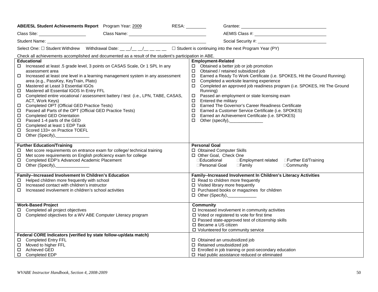| ABE/ESL Student Achievements Report Program Year: 2009                                                                                                                                                                                                                                                                                                                                                                                                                                                                                                                                                                                                                                                                                                                                                       | RESA:<br>Grantee:<br><u> 1989 - Johann Barn, mars ann an t-Amhain an t-Amhain an t-Amhain an t-Amhain an t-Amhain an t-Amhain an t-Amh</u>                                                                                                                                                                                                                                                                                                                                                                                                                                                                                                                                                         |
|--------------------------------------------------------------------------------------------------------------------------------------------------------------------------------------------------------------------------------------------------------------------------------------------------------------------------------------------------------------------------------------------------------------------------------------------------------------------------------------------------------------------------------------------------------------------------------------------------------------------------------------------------------------------------------------------------------------------------------------------------------------------------------------------------------------|----------------------------------------------------------------------------------------------------------------------------------------------------------------------------------------------------------------------------------------------------------------------------------------------------------------------------------------------------------------------------------------------------------------------------------------------------------------------------------------------------------------------------------------------------------------------------------------------------------------------------------------------------------------------------------------------------|
| Class Name: 1988 Class Name: 1988 Class Name: 1988 Class Name: 1988 Class 1988 Class 1988 Class 1988 Class 198                                                                                                                                                                                                                                                                                                                                                                                                                                                                                                                                                                                                                                                                                               |                                                                                                                                                                                                                                                                                                                                                                                                                                                                                                                                                                                                                                                                                                    |
|                                                                                                                                                                                                                                                                                                                                                                                                                                                                                                                                                                                                                                                                                                                                                                                                              |                                                                                                                                                                                                                                                                                                                                                                                                                                                                                                                                                                                                                                                                                                    |
| Select One: $\Box$ Student Withdrew Withdrawal Date: __ _/_ _/_ _/_ _ _ _ $\Box$ Student is continuing into the next Program Year (PY)                                                                                                                                                                                                                                                                                                                                                                                                                                                                                                                                                                                                                                                                       |                                                                                                                                                                                                                                                                                                                                                                                                                                                                                                                                                                                                                                                                                                    |
| Check all achievements accomplished and documented as a result of the student's participation in ABE.                                                                                                                                                                                                                                                                                                                                                                                                                                                                                                                                                                                                                                                                                                        |                                                                                                                                                                                                                                                                                                                                                                                                                                                                                                                                                                                                                                                                                                    |
| <b>Educational</b><br>Increased at least .5 grade level, 3 points on CASAS Scale, Or 1 SPL In any<br>$\Box$<br>assessment area<br>Increased at least one level in a learning management system in any assessment<br>□.<br>area (e.g., PassKey, KeyTrain, Plato)<br>Mastered at Least 3 Essential IGOs<br>□<br>Mastered all Essential IGOS In Entry FFL<br>□<br>□ Completed entire vocational / assessment battery / test (i.e., LPN, TABE, CASAS,<br>ACT, Work Keys)<br>Completed OPT (Official GED Practice Tests)<br>Passed all Parts of the OPT (Official GED Practice Tests)<br>0<br><b>Completed GED Orientation</b><br>$\Box$<br>Passed 1-4 parts of the GED<br>$\Box$<br>Completed at least 1 EDP Task<br>$\Box$<br>Scored 133+ on Practice TOEFL<br>□<br>$\Box$<br>Other (Specify),_________________ | <b>Employment-Related</b><br>$\Box$ Obtained a better job or job promotion<br>Obtained / retained subsidized job<br>$\Box$<br>Earned a Ready To Work Certificate (i.e. SPOKES, Hit the Ground Running)<br>$\Box$<br>Completed a worksite learning experience<br>$\Box$<br>Completed an approved job readiness program (i.e. SPOKES, Hit The Ground<br>0<br>Running)<br>Passed an employment or state licensing exam<br>$\Box$<br>Entered the military<br>$\Box$<br>Earned The Governor's Career Readiness Certificate<br>$\Box$<br>Earned a Customer Service Certificate (i.e. SPOKES)<br>□<br>Earned an Achievement Certificate (i.e. SPOKES)<br>$\Box$<br>Other (specify),________________<br>П. |
| <b>Further Education/Training</b><br>Met score requirements on entrance exam for college/ technical training<br>□<br>Met score requirements on English proficiency exam for college<br>$\Box$<br>Completed EDP's Advanced Academic Placement<br>□<br>$\Box$ Other (Specify), _____________                                                                                                                                                                                                                                                                                                                                                                                                                                                                                                                   | <b>Personal Goal</b><br>□ Obtained Computer Skills<br>□ Other Goal, Check One<br>□Educational<br>□Employment related □Further Ed/Training<br>□Personal Goal<br>$\Box$ Family<br>□Community                                                                                                                                                                                                                                                                                                                                                                                                                                                                                                         |
| <b>Family--Increased Involvement In Children's Education</b><br>Helped children more frequently with school<br>Increased contact with children's instructor<br>□.<br>П.<br>Increased involvement in children's school activities                                                                                                                                                                                                                                                                                                                                                                                                                                                                                                                                                                             | Family--Increased Involvement In Children's Literacy Activities<br>$\Box$ Read to children more frequently<br>$\Box$ Visited library more frequently<br>□ Purchased books or magazines for children<br>D Other (Specify), ___________                                                                                                                                                                                                                                                                                                                                                                                                                                                              |
| <b>Work-Based Project</b><br>Completed all project objectives<br>□.<br>□ Completed objectives for a WV ABE Computer Literacy program                                                                                                                                                                                                                                                                                                                                                                                                                                                                                                                                                                                                                                                                         | <b>Community</b><br>$\square$ Increased involvement in community activities<br>□ Voted or registered to vote for first time<br>□ Passed state-approved test of citizenship skills<br>□ Became a US citizen<br>□ Volunteered for community service                                                                                                                                                                                                                                                                                                                                                                                                                                                  |
| Federal CORE Indicators (verified by state follow-up/data match)<br>□ Completed Entry FFL<br>Moved to higher FFL<br>□<br><b>Achieved GED</b><br>$\Box$<br>□ Completed EDP                                                                                                                                                                                                                                                                                                                                                                                                                                                                                                                                                                                                                                    | □ Obtained an unsubsidized job<br>□ Retained unsubsidized job<br>□ Enrolled in job training or post-secondary education<br>$\Box$ Had public assistance reduced or eliminated                                                                                                                                                                                                                                                                                                                                                                                                                                                                                                                      |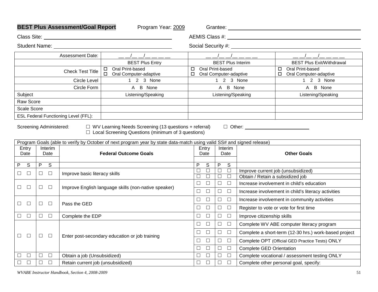| <b>BEST Plus Assessment/Goal Report</b><br>Program Year: 2009                                                                                        |                                                    |                         |                                             |                                                                                                                       |                                    |                |                    |                  |                                                                |
|------------------------------------------------------------------------------------------------------------------------------------------------------|----------------------------------------------------|-------------------------|---------------------------------------------|-----------------------------------------------------------------------------------------------------------------------|------------------------------------|----------------|--------------------|------------------|----------------------------------------------------------------|
| Class Site:                                                                                                                                          |                                                    |                         |                                             |                                                                                                                       |                                    |                |                    |                  |                                                                |
|                                                                                                                                                      |                                                    |                         |                                             | Student Name: University of the Student Name:                                                                         |                                    |                |                    |                  |                                                                |
|                                                                                                                                                      |                                                    |                         | Assessment Date:                            | $-1$ $-1$ $  -$                                                                                                       |                                    |                |                    |                  | ___________                                                    |
|                                                                                                                                                      |                                                    |                         |                                             | <b>BEST Plus Entry</b>                                                                                                |                                    |                |                    |                  | <b>BEST Plus Interim</b><br><b>BEST Plus Exit/Withdrawal</b>   |
|                                                                                                                                                      |                                                    |                         | <b>Check Test Title</b>                     | Oral Print-based<br>□<br>□ Oral Computer-adaptive                                                                     | $\Box$<br>□ Oral Computer-adaptive |                | Oral Print-based   |                  | Oral Print-based<br>$\Box$<br>$\Box$<br>Oral Computer-adaptive |
|                                                                                                                                                      |                                                    |                         | <b>Circle Level</b>                         | 1 2 3 None                                                                                                            |                                    |                |                    |                  | 1 2 3 None<br>1 2 3 None                                       |
|                                                                                                                                                      |                                                    |                         | Circle Form                                 | A B None                                                                                                              |                                    |                |                    | A B None         | A B None                                                       |
| Subject                                                                                                                                              |                                                    |                         |                                             | Listening/Speaking                                                                                                    |                                    |                |                    |                  | Listening/Speaking<br>Listening/Speaking                       |
| Raw Score                                                                                                                                            |                                                    |                         |                                             |                                                                                                                       |                                    |                |                    |                  |                                                                |
| <b>Scale Score</b>                                                                                                                                   |                                                    |                         |                                             |                                                                                                                       |                                    |                |                    |                  |                                                                |
|                                                                                                                                                      |                                                    |                         | <b>ESL Federal Functioning Level (FFL):</b> |                                                                                                                       |                                    |                |                    |                  |                                                                |
| Screening Administered:<br>$\Box$ WV Learning Needs Screening (13 questions + referral)<br>$\Box$ Local Screening Questions (minimum of 3 questions) |                                                    |                         |                                             |                                                                                                                       |                                    |                |                    |                  |                                                                |
|                                                                                                                                                      |                                                    |                         |                                             | Program Goals (able to verify by October of next program year by state data-match using valid SS# and signed release) |                                    |                |                    |                  |                                                                |
| Entry<br>Interim<br><b>Federal Outcome Goals</b><br>Date<br>Date                                                                                     |                                                    |                         |                                             | Entry<br>Date                                                                                                         | Interim<br>Date                    |                | <b>Other Goals</b> |                  |                                                                |
| $\overline{\mathcal{S}}$<br>$\overline{P}$                                                                                                           | $\overline{P}$                                     | $\overline{\mathsf{s}}$ |                                             |                                                                                                                       | P                                  | $\overline{s}$ | P                  | S                |                                                                |
| $\Box$<br>$\Box$                                                                                                                                     | $\Box$ $\Box$                                      |                         | Improve basic literacy skills               |                                                                                                                       | $\Box$                             | $\Box$         | $\Box$             | $\Box$           | Improve current job (unsubsidized)                             |
|                                                                                                                                                      |                                                    |                         |                                             |                                                                                                                       | $\Box$                             | $\Box$         | $\Box$             | $\Box$           | Obtain / Retain a subsidized job                               |
| $\Box$<br>$\Box$                                                                                                                                     | $\Box$ $\Box$                                      |                         |                                             | Improve English language skills (non-native speaker)                                                                  | $\Box$                             | $\Box$         | $\Box$             | $\Box$           | Increase involvement in child's education                      |
|                                                                                                                                                      |                                                    |                         |                                             |                                                                                                                       | $\Box$                             | $\Box$         | $\Box$             | $\Box$           | Increase involvement in child's literacy activities            |
| $\Box$<br>$\Box$                                                                                                                                     | $\Box$                                             | $\Box$                  | Pass the GED                                |                                                                                                                       | $\Box$                             | $\Box$         | $\Box$             | $\Box$           | Increase involvement in community activities                   |
|                                                                                                                                                      |                                                    |                         |                                             |                                                                                                                       |                                    | $\Box$         | $\Box$             | $\hfill \square$ | Register to vote or vote for first time                        |
| $\Box$<br>$\Box$                                                                                                                                     | $\begin{array}{ccc} \square & \square \end{array}$ |                         | Complete the EDP                            |                                                                                                                       | $\Box$                             | $\Box$         | $\Box$             | $\Box$           | Improve citizenship skills                                     |
|                                                                                                                                                      |                                                    |                         |                                             |                                                                                                                       | $\Box$                             | $\Box$         | $\Box$             | $\Box$           | Complete WV ABE computer literacy program                      |
| $\Box$<br>$\Box$                                                                                                                                     | $\Box$                                             |                         |                                             | Enter post-secondary education or job training                                                                        | $\Box$                             | $\Box$         | $\Box$             | $\hfill \square$ | Complete a short-term (12-30 hrs.) work-based project          |
|                                                                                                                                                      |                                                    | $\Box$                  |                                             |                                                                                                                       | $\Box$                             | $\Box$         | $\Box$             | $\Box$           | Complete OPT (Official GED Practice Tests) ONLY                |
|                                                                                                                                                      |                                                    |                         |                                             |                                                                                                                       | $\Box$                             | $\Box$         | $\Box$             | $\Box$           | <b>Complete GED Orientation</b>                                |
| $\Box$<br>$\Box$                                                                                                                                     | $\Box$                                             | $\Box$                  | Obtain a job (Unsubsidized)                 |                                                                                                                       | $\Box$                             | $\Box$         | $\Box$             | $\Box$           | Complete vocational / assessment testing ONLY                  |
| $\Box$<br>$\Box$                                                                                                                                     | $\Box$                                             | $\Box$                  | Retain current job (unsubsidized)           |                                                                                                                       | $\Box$                             | $\Box$         | $\hfill \square$   | $\Box$           | Complete other personal goal, specify:                         |

*WVABE Instructor Handbook, Section 4, 2008-2009* 51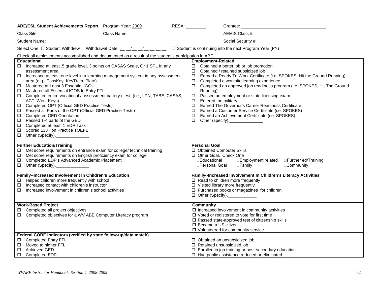| ABE/ESL Student Achievements Report Program Year: 2009                                                                                                                                                                                                                                                                                                                                                                                                                                                                                                                                                                                                                                                                                                                                                       | RESA:<br>Grantee:<br><u> 1989 - Johann Barn, mars ann an t-Amhain an t-Amhain an t-Amhain an t-Amhain an t-Amhain an t-Amhain an t-Amh</u>                                                                                                                                                                                                                                                                                                                                                                                                                                                                                                                                                         |
|--------------------------------------------------------------------------------------------------------------------------------------------------------------------------------------------------------------------------------------------------------------------------------------------------------------------------------------------------------------------------------------------------------------------------------------------------------------------------------------------------------------------------------------------------------------------------------------------------------------------------------------------------------------------------------------------------------------------------------------------------------------------------------------------------------------|----------------------------------------------------------------------------------------------------------------------------------------------------------------------------------------------------------------------------------------------------------------------------------------------------------------------------------------------------------------------------------------------------------------------------------------------------------------------------------------------------------------------------------------------------------------------------------------------------------------------------------------------------------------------------------------------------|
| Class Name: 1988 Class Name: 1988 Class Name: 1988 Class Name: 1988 Class 1988 Class 1988 Class 1988 Class 198                                                                                                                                                                                                                                                                                                                                                                                                                                                                                                                                                                                                                                                                                               |                                                                                                                                                                                                                                                                                                                                                                                                                                                                                                                                                                                                                                                                                                    |
|                                                                                                                                                                                                                                                                                                                                                                                                                                                                                                                                                                                                                                                                                                                                                                                                              |                                                                                                                                                                                                                                                                                                                                                                                                                                                                                                                                                                                                                                                                                                    |
| Select One: $\Box$ Student Withdrew Withdrawal Date: __ _/_ _/_ _/_ _ _ _ $\Box$ Student is continuing into the next Program Year (PY)                                                                                                                                                                                                                                                                                                                                                                                                                                                                                                                                                                                                                                                                       |                                                                                                                                                                                                                                                                                                                                                                                                                                                                                                                                                                                                                                                                                                    |
| Check all achievements accomplished and documented as a result of the student's participation in ABE.                                                                                                                                                                                                                                                                                                                                                                                                                                                                                                                                                                                                                                                                                                        |                                                                                                                                                                                                                                                                                                                                                                                                                                                                                                                                                                                                                                                                                                    |
| <b>Educational</b><br>Increased at least .5 grade level, 3 points on CASAS Scale, Or 1 SPL In any<br>$\Box$<br>assessment area<br>Increased at least one level in a learning management system in any assessment<br>□.<br>area (e.g., PassKey, KeyTrain, Plato)<br>Mastered at Least 3 Essential IGOs<br>□<br>Mastered all Essential IGOS In Entry FFL<br>□<br>□ Completed entire vocational / assessment battery / test (i.e., LPN, TABE, CASAS,<br>ACT, Work Keys)<br>Completed OPT (Official GED Practice Tests)<br>Passed all Parts of the OPT (Official GED Practice Tests)<br>0<br><b>Completed GED Orientation</b><br>$\Box$<br>Passed 1-4 parts of the GED<br>$\Box$<br>Completed at least 1 EDP Task<br>$\Box$<br>Scored 133+ on Practice TOEFL<br>□<br>$\Box$<br>Other (Specify),_________________ | <b>Employment-Related</b><br>$\Box$ Obtained a better job or job promotion<br>Obtained / retained subsidized job<br>$\Box$<br>Earned a Ready To Work Certificate (i.e. SPOKES, Hit the Ground Running)<br>$\Box$<br>Completed a worksite learning experience<br>$\Box$<br>Completed an approved job readiness program (i.e. SPOKES, Hit The Ground<br>0<br>Running)<br>Passed an employment or state licensing exam<br>$\Box$<br>Entered the military<br>$\Box$<br>Earned The Governor's Career Readiness Certificate<br>$\Box$<br>Earned a Customer Service Certificate (i.e. SPOKES)<br>□<br>Earned an Achievement Certificate (i.e. SPOKES)<br>$\Box$<br>Other (specify),________________<br>П. |
| <b>Further Education/Training</b><br>Met score requirements on entrance exam for college/ technical training<br>□<br>Met score requirements on English proficiency exam for college<br>$\Box$<br>Completed EDP's Advanced Academic Placement<br>□<br>$\Box$ Other (Specify), _____________                                                                                                                                                                                                                                                                                                                                                                                                                                                                                                                   | <b>Personal Goal</b><br>□ Obtained Computer Skills<br>□ Other Goal, Check One<br>□Educational<br>□Employment related □Further ed/Training<br>□Personal Goal<br>$\Box$ Family<br>□Community                                                                                                                                                                                                                                                                                                                                                                                                                                                                                                         |
| <b>Family--Increased Involvement In Children's Education</b><br>Helped children more frequently with school<br>Increased contact with children's instructor<br>□.<br>П.<br>Increased involvement in children's school activities                                                                                                                                                                                                                                                                                                                                                                                                                                                                                                                                                                             | Family--Increased Involvement In Children's Literacy Activities<br>$\Box$ Read to children more frequently<br>$\Box$ Visited library more frequently<br>□ Purchased books or magazines for children<br>D Other (Specify), ___________                                                                                                                                                                                                                                                                                                                                                                                                                                                              |
| <b>Work-Based Project</b><br>Completed all project objectives<br>□.<br>□ Completed objectives for a WV ABE Computer Literacy program                                                                                                                                                                                                                                                                                                                                                                                                                                                                                                                                                                                                                                                                         | <b>Community</b><br>$\square$ Increased involvement in community activities<br>□ Voted or registered to vote for first time<br>□ Passed state-approved test of citizenship skills<br>□ Became a US citizen<br>□ Volunteered for community service                                                                                                                                                                                                                                                                                                                                                                                                                                                  |
| Federal CORE Indicators (verified by state follow-up/data match)<br>□ Completed Entry FFL<br>Moved to higher FFL<br>□<br><b>Achieved GED</b><br>$\Box$<br>□ Completed EDP                                                                                                                                                                                                                                                                                                                                                                                                                                                                                                                                                                                                                                    | □ Obtained an unsubsidized job<br>□ Retained unsubsidized job<br>□ Enrolled in job training or post-secondary education<br>$\Box$ Had public assistance reduced or eliminated                                                                                                                                                                                                                                                                                                                                                                                                                                                                                                                      |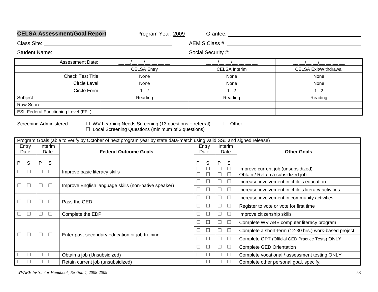|                                                                                                                                                                                                                                                                                                                       |                  | <b>CELSA Assessment/Goal Report</b>        | Program Year: 2009                                   |                                                |                            |                                                       |  |  |  |
|-----------------------------------------------------------------------------------------------------------------------------------------------------------------------------------------------------------------------------------------------------------------------------------------------------------------------|------------------|--------------------------------------------|------------------------------------------------------|------------------------------------------------|----------------------------|-------------------------------------------------------|--|--|--|
| Class Site: <b>Class Site: Class Site:</b>                                                                                                                                                                                                                                                                            |                  |                                            |                                                      |                                                |                            |                                                       |  |  |  |
|                                                                                                                                                                                                                                                                                                                       |                  |                                            |                                                      | Social Security #: New York Social Security #: |                            |                                                       |  |  |  |
| <b>Assessment Date:</b>                                                                                                                                                                                                                                                                                               |                  |                                            | $-1$ $   -$                                          |                                                |                            |                                                       |  |  |  |
|                                                                                                                                                                                                                                                                                                                       |                  |                                            | <b>CELSA Entry</b>                                   |                                                | <b>CELSA</b> Interim       | <b>CELSA Exit/Withdrawal</b>                          |  |  |  |
|                                                                                                                                                                                                                                                                                                                       |                  | <b>Check Test Title</b>                    | None                                                 |                                                | None                       | None                                                  |  |  |  |
|                                                                                                                                                                                                                                                                                                                       |                  | <b>Circle Level</b>                        | None                                                 |                                                | None                       | None                                                  |  |  |  |
|                                                                                                                                                                                                                                                                                                                       |                  | Circle Form                                | $1\quad2$                                            |                                                | $1\quad2$                  | $1\quad2$                                             |  |  |  |
| Subject                                                                                                                                                                                                                                                                                                               |                  |                                            | Reading                                              |                                                | Reading                    | Reading                                               |  |  |  |
| Raw Score                                                                                                                                                                                                                                                                                                             |                  |                                            |                                                      |                                                |                            |                                                       |  |  |  |
|                                                                                                                                                                                                                                                                                                                       |                  | <b>ESL Federal Functioning Level (FFL)</b> |                                                      |                                                |                            |                                                       |  |  |  |
| □ WV Learning Needs Screening (13 questions + referral)<br>Screening Administered:<br>□ Other: <u>_________________________</u><br>$\Box$ Local Screening Questions (minimum of 3 questions)<br>Program Goals (able to verify by October of next program year by state data-match using valid SS# and signed release) |                  |                                            |                                                      |                                                |                            |                                                       |  |  |  |
| Entry                                                                                                                                                                                                                                                                                                                 | Interim          |                                            |                                                      | Entry                                          | Interim                    |                                                       |  |  |  |
| Date<br><b>Federal Outcome Goals</b><br>Date                                                                                                                                                                                                                                                                          |                  |                                            | Date                                                 | Date                                           | <b>Other Goals</b>         |                                                       |  |  |  |
| P.<br>S                                                                                                                                                                                                                                                                                                               | P<br>S           |                                            |                                                      | P<br>S                                         | P<br>S                     |                                                       |  |  |  |
| $\Box$<br>$\Box$                                                                                                                                                                                                                                                                                                      | $\Box$<br>$\Box$ | Improve basic literacy skills              |                                                      | $\Box$<br>$\Box$                               | $\Box$<br>$\Box$           | Improve current job (unsubsidized)                    |  |  |  |
|                                                                                                                                                                                                                                                                                                                       |                  |                                            |                                                      | $\Box$<br>$\Box$                               | $\Box$<br>$\Box$           | Obtain / Retain a subsidized job                      |  |  |  |
| $\Box$<br>$\Box$                                                                                                                                                                                                                                                                                                      | $\Box$<br>$\Box$ |                                            | Improve English language skills (non-native speaker) | $\Box$<br>$\Box$                               | $\Box$<br>$\Box$           | Increase involvement in child's education             |  |  |  |
|                                                                                                                                                                                                                                                                                                                       |                  |                                            |                                                      | $\Box$<br>$\Box$                               | $\hfill \square$<br>$\Box$ | Increase involvement in child's literacy activities   |  |  |  |
| $\Box$<br>$\Box$                                                                                                                                                                                                                                                                                                      | $\Box$<br>$\Box$ | Pass the GED                               |                                                      | $\Box$<br>$\Box$                               | $\hfill \square$<br>$\Box$ | Increase involvement in community activities          |  |  |  |
|                                                                                                                                                                                                                                                                                                                       |                  |                                            |                                                      | $\Box$<br>$\Box$                               | $\Box$<br>$\Box$           | Register to vote or vote for first time               |  |  |  |
| $\Box$<br>$\Box$                                                                                                                                                                                                                                                                                                      | $\Box$ . $\Box$  | Complete the EDP                           |                                                      | $\Box$<br>$\Box$                               | $\hfill \square$<br>$\Box$ | Improve citizenship skills                            |  |  |  |
|                                                                                                                                                                                                                                                                                                                       |                  |                                            |                                                      | $\Box$<br>$\Box$                               | $\Box$<br>$\Box$           | Complete WV ABE computer literacy program             |  |  |  |
| $\Box$<br>$\Box$                                                                                                                                                                                                                                                                                                      | $\Box$<br>$\Box$ |                                            | Enter post-secondary education or job training       | $\Box$<br>$\Box$                               | $\hfill \square$<br>$\Box$ | Complete a short-term (12-30 hrs.) work-based project |  |  |  |
|                                                                                                                                                                                                                                                                                                                       |                  |                                            |                                                      | $\Box$<br>$\Box$                               | $\Box$<br>$\Box$           | Complete OPT (Official GED Practice Tests) ONLY       |  |  |  |
|                                                                                                                                                                                                                                                                                                                       |                  |                                            |                                                      | $\Box$<br>□                                    | $\Box$<br>$\Box$           | <b>Complete GED Orientation</b>                       |  |  |  |
| $\Box$<br>$\Box$                                                                                                                                                                                                                                                                                                      | $\Box$<br>П.     | Obtain a job (Unsubsidized)                |                                                      | $\Box$<br>$\Box$                               | $\Box$<br>$\Box$           | Complete vocational / assessment testing ONLY         |  |  |  |
| $\Box$<br>$\Box$                                                                                                                                                                                                                                                                                                      | $\Box$<br>$\Box$ | Retain current job (unsubsidized)          |                                                      | $\Box$<br>$\Box$                               | $\hfill \square$<br>$\Box$ | Complete other personal goal, specify:                |  |  |  |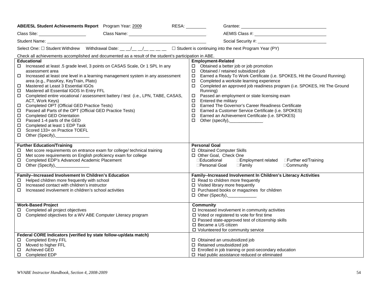| ABE/ESL Student Achievements Report Program Year: 2009                                                                                                                                                                                                                                                                                                                                                                                                                                                                                                                                                                                                                                                                                                                                                       | RESA:<br>Grantee:<br><u> 1989 - Johann Barn, mars ann an t-Amhain an t-Amhain an t-Amhain an t-Amhain an t-Amhain an t-Amhain an t-Amh</u>                                                                                                                                                                                                                                                                                                                                                                                                                                                                                                                                     |
|--------------------------------------------------------------------------------------------------------------------------------------------------------------------------------------------------------------------------------------------------------------------------------------------------------------------------------------------------------------------------------------------------------------------------------------------------------------------------------------------------------------------------------------------------------------------------------------------------------------------------------------------------------------------------------------------------------------------------------------------------------------------------------------------------------------|--------------------------------------------------------------------------------------------------------------------------------------------------------------------------------------------------------------------------------------------------------------------------------------------------------------------------------------------------------------------------------------------------------------------------------------------------------------------------------------------------------------------------------------------------------------------------------------------------------------------------------------------------------------------------------|
| Class Name: 1988 Class Name: 1988 Class Name: 1988 Class Name: 1988 Class 1988 Class 1988 Class 1988 Class 198                                                                                                                                                                                                                                                                                                                                                                                                                                                                                                                                                                                                                                                                                               |                                                                                                                                                                                                                                                                                                                                                                                                                                                                                                                                                                                                                                                                                |
|                                                                                                                                                                                                                                                                                                                                                                                                                                                                                                                                                                                                                                                                                                                                                                                                              |                                                                                                                                                                                                                                                                                                                                                                                                                                                                                                                                                                                                                                                                                |
| Select One: $\Box$ Student Withdrew Withdrawal Date: __ _/_ _/_ _/_ _ _ _ $\Box$ Student is continuing into the next Program Year (PY)                                                                                                                                                                                                                                                                                                                                                                                                                                                                                                                                                                                                                                                                       |                                                                                                                                                                                                                                                                                                                                                                                                                                                                                                                                                                                                                                                                                |
| Check all achievements accomplished and documented as a result of the student's participation in ABE.                                                                                                                                                                                                                                                                                                                                                                                                                                                                                                                                                                                                                                                                                                        |                                                                                                                                                                                                                                                                                                                                                                                                                                                                                                                                                                                                                                                                                |
| <b>Educational</b><br>Increased at least .5 grade level, 3 points on CASAS Scale, Or 1 SPL In any<br>$\Box$<br>assessment area<br>Increased at least one level in a learning management system in any assessment<br>□.<br>area (e.g., PassKey, KeyTrain, Plato)<br>Mastered at Least 3 Essential IGOs<br>□<br>Mastered all Essential IGOS In Entry FFL<br>□<br>□ Completed entire vocational / assessment battery / test (i.e., LPN, TABE, CASAS,<br>ACT, Work Keys)<br>Completed OPT (Official GED Practice Tests)<br>Passed all Parts of the OPT (Official GED Practice Tests)<br>0<br><b>Completed GED Orientation</b><br>$\Box$<br>Passed 1-4 parts of the GED<br>$\Box$<br>Completed at least 1 EDP Task<br>$\Box$<br>Scored 133+ on Practice TOEFL<br>□<br>$\Box$<br>Other (Specify),_________________ | <b>Employment-Related</b><br>$\Box$ Obtained a better job or job promotion<br>Obtained / retained subsidized job<br>Earned a Ready To Work Certificate (i.e. SPOKES, Hit the Ground Running)<br>$\Box$<br>Completed a worksite learning experience<br>0<br>Completed an approved job readiness program (i.e. SPOKES, Hit The Ground<br>0<br>Running)<br>Passed an employment or state licensing exam<br>$\Box$<br>Entered the military<br>0<br>Earned The Governor's Career Readiness Certificate<br>$\Box$<br>Earned a Customer Service Certificate (i.e. SPOKES)<br>□<br>Earned an Achievement Certificate (i.e. SPOKES)<br>$\Box$<br>Other (specify),________________<br>П. |
| <b>Further Education/Training</b><br>Met score requirements on entrance exam for college/ technical training<br>□<br>Met score requirements on English proficiency exam for college<br>$\Box$<br>Completed EDP's Advanced Academic Placement<br>□<br>$\Box$ Other (Specify), _____________                                                                                                                                                                                                                                                                                                                                                                                                                                                                                                                   | <b>Personal Goal</b><br>□ Obtained Computer Skills<br>□ Other Goal, Check One<br>□Educational<br>□Employment related □Further ed/Training<br>□Personal Goal<br>$\Box$ Family<br>□Community                                                                                                                                                                                                                                                                                                                                                                                                                                                                                     |
| <b>Family--Increased Involvement In Children's Education</b><br>Helped children more frequently with school<br>Increased contact with children's instructor<br>□.<br>П.<br>Increased involvement in children's school activities                                                                                                                                                                                                                                                                                                                                                                                                                                                                                                                                                                             | Family--Increased Involvement In Children's Literacy Activities<br>$\Box$ Read to children more frequently<br>$\Box$ Visited library more frequently<br>□ Purchased books or magazines for children<br>D Other (Specify), ___________                                                                                                                                                                                                                                                                                                                                                                                                                                          |
| <b>Work-Based Project</b><br>Completed all project objectives<br>□.<br>□ Completed objectives for a WV ABE Computer Literacy program                                                                                                                                                                                                                                                                                                                                                                                                                                                                                                                                                                                                                                                                         | <b>Community</b><br>$\square$ Increased involvement in community activities<br>□ Voted or registered to vote for first time<br>□ Passed state-approved test of citizenship skills<br>□ Became a US citizen<br>□ Volunteered for community service                                                                                                                                                                                                                                                                                                                                                                                                                              |
| Federal CORE Indicators (verified by state follow-up/data match)<br>□ Completed Entry FFL<br>Moved to higher FFL<br>□<br><b>Achieved GED</b><br>$\Box$<br>□ Completed EDP                                                                                                                                                                                                                                                                                                                                                                                                                                                                                                                                                                                                                                    | □ Obtained an unsubsidized job<br>□ Retained unsubsidized job<br>□ Enrolled in job training or post-secondary education<br>$\Box$ Had public assistance reduced or eliminated                                                                                                                                                                                                                                                                                                                                                                                                                                                                                                  |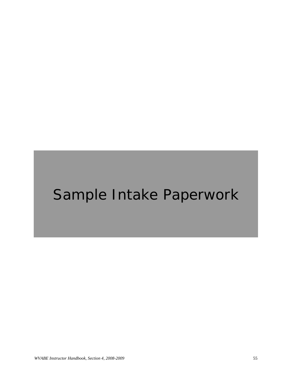# Sample Intake Paperwork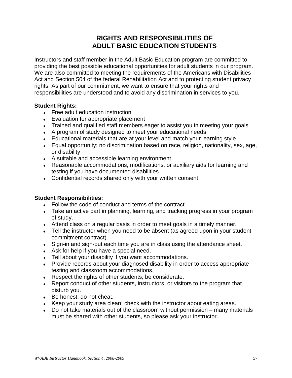# **RIGHTS AND RESPONSIBILITIES OF ADULT BASIC EDUCATION STUDENTS**

Instructors and staff member in the Adult Basic Education program are committed to providing the best possible educational opportunities for adult students in our program. We are also committed to meeting the requirements of the Americans with Disabilities Act and Section 504 of the federal Rehabilitation Act and to protecting student privacy rights. As part of our commitment, we want to ensure that your rights and responsibilities are understood and to avoid any discrimination in services to you.

### **Student Rights:**

- $\cdot$  Free adult education instruction
- Evaluation for appropriate placement
- ♦ Trained and qualified staff members eager to assist you in meeting your goals
- ♦ A program of study designed to meet your educational needs
- Educational materials that are at your level and match your learning style
- ♦ Equal opportunity; no discrimination based on race, religion, nationality, sex, age, or disability
- ♦ A suitable and accessible learning environment
- ♦ Reasonable accommodations, modifications, or auxiliary aids for learning and testing if you have documented disabilities
- Confidential records shared only with your written consent

#### **Student Responsibilities:**

- ♦ Follow the code of conduct and terms of the contract.
- Take an active part in planning, learning, and tracking progress in your program of study.
- ♦ Attend class on a regular basis in order to meet goals in a timely manner.
- Tell the instructor when you need to be absent (as agreed upon in your student commitment contract).
- Sign-in and sign-out each time you are in class using the attendance sheet.
- $\triangleleft$  Ask for help if you have a special need.
- Tell about your disability if you want accommodations.
- ♦ Provide records about your diagnosed disability in order to access appropriate testing and classroom accommodations.
- ♦ Respect the rights of other students; be considerate.
- Report conduct of other students, instructors, or visitors to the program that disturb you.
- Be honest; do not cheat.
- ♦ Keep your study area clean; check with the instructor about eating areas.
- $\bullet$  Do not take materials out of the classroom without permission many materials must be shared with other students, so please ask your instructor.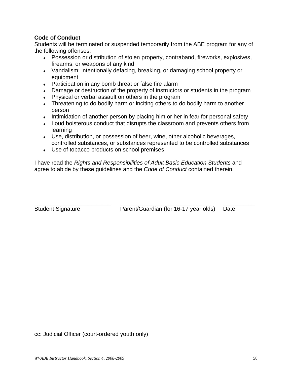### **Code of Conduct**

Students will be terminated or suspended temporarily from the ABE program for any of the following offenses:

- ♦ Possession or distribution of stolen property, contraband, fireworks, explosives, firearms, or weapons of any kind
- ♦ Vandalism: intentionally defacing, breaking, or damaging school property or equipment
- Participation in any bomb threat or false fire alarm
- ♦ Damage or destruction of the property of instructors or students in the program
- Physical or verbal assault on others in the program
- Threatening to do bodily harm or inciting others to do bodily harm to another person
- Intimidation of another person by placing him or her in fear for personal safety
- ♦ Loud boisterous conduct that disrupts the classroom and prevents others from learning
- Use, distribution, or possession of beer, wine, other alcoholic beverages, controlled substances, or substances represented to be controlled substances
- Use of tobacco products on school premises

I have read the *Rights and Responsibilities of Adult Basic Education Students* and agree to abide by these guidelines and the *Code of Conduct* contained therein.

\_\_\_\_\_\_\_\_\_\_\_\_\_\_\_\_\_\_\_\_\_\_\_\_ \_\_\_\_\_\_\_\_\_\_\_\_\_\_\_\_\_\_\_\_\_\_\_\_\_\_\_\_\_ \_\_\_\_\_\_\_\_\_\_ Student Signature **Parent/Guardian (for 16-17 year olds)** Date

cc: Judicial Officer (court-ordered youth only)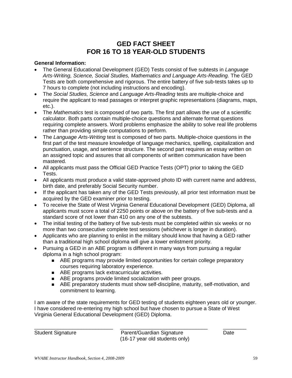# **GED FACT SHEET FOR 16 TO 18 YEAR-OLD STUDENTS**

#### **General Information:**

- The General Educational Development (GED) Tests consist of five subtests in *Language Arts-Writing, Science, Social Studies, Mathematics and Language Arts-Reading.* The GED Tests are both comprehensive and rigorous. The entire battery of five sub-tests takes up to 7 hours to complete (not including instructions and encoding).
- The *Social Studies, Science* and *Language Arts-Reading* tests are multiple-choice and require the applicant to read passages or interpret graphic representations (diagrams, maps, etc.).
- The *Mathematics* test is composed of two parts. The first part allows the use of a scientific calculator. Both parts contain multiple-choice questions and alternate format questions requiring complete answers. Word problems emphasize the ability to solve real life problems rather than providing simple computations to perform.
- The *Language Arts-Writing* test is composed of two parts. Multiple-choice questions in the first part of the test measure knowledge of language mechanics, spelling, capitalization and punctuation, usage, and sentence structure. The second part requires an essay written on an assigned topic and assures that all components of written communication have been mastered.
- All applicants must pass the Official GED Practice Tests (OPT) prior to taking the GED Tests.
- All applicants must produce a valid state-approved photo ID with current name and address, birth date, and preferably Social Security number.
- If the applicant has taken any of the GED Tests previously, all prior test information must be acquired by the GED examiner prior to testing.
- To receive the State of West Virginia General Educational Development (GED) Diploma, all applicants must score a total of 2250 points or above on the battery of five sub-tests and a standard score of not lower than 410 on any one of the subtests.
- The initial testing of the battery of five sub-tests must be completed within six weeks or no more than two consecutive complete test sessions (whichever is longer in duration).
- Applicants who are planning to enlist in the military should know that having a GED rather than a traditional high school diploma will give a lower enlistment priority.
- Pursuing a GED in an ABE program is different in many ways from pursuing a regular diploma in a high school program:
	- **B** ABE programs may provide limited opportunities for certain college preparatory courses requiring laboratory experience.
	- ABE programs lack extracurricular activities.
	- **ABE programs provide limited socialization with peer groups.**
	- **ABE preparatory students must show self-discipline, maturity, self-motivation, and** commitment to learning.

I am aware of the state requirements for GED testing of students eighteen years old or younger. I have considered re-entering my high school but have chosen to pursue a State of West Virginia General Educational Development (GED) Diploma.

\_\_\_\_\_\_\_\_\_\_\_\_\_\_\_\_\_\_\_\_\_\_\_\_\_\_\_ \_\_\_\_\_\_\_\_\_\_\_\_\_\_\_\_\_\_\_\_\_\_\_\_\_\_\_\_\_\_ \_\_\_\_\_\_\_\_ Student Signature **Parent/Guardian Signature** Date (16-17 year old students only)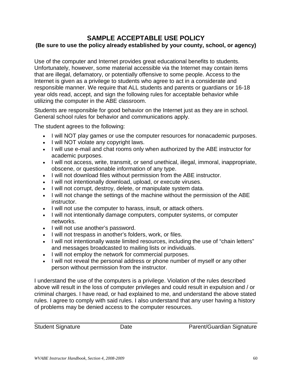### **SAMPLE ACCEPTABLE USE POLICY (Be sure to use the policy already established by your county, school, or agency)**

Use of the computer and Internet provides great educational benefits to students. Unfortunately, however, some material accessible via the Internet may contain items that are illegal, defamatory, or potentially offensive to some people. Access to the Internet is given as a privilege to students who agree to act in a considerate and responsible manner. We require that ALL students and parents or guardians or 16-18 year olds read, accept, and sign the following rules for acceptable behavior while utilizing the computer in the ABE classroom.

Students are responsible for good behavior on the Internet just as they are in school. General school rules for behavior and communications apply.

The student agrees to the following:

- I will NOT play games or use the computer resources for nonacademic purposes.
- I will NOT violate any copyright laws.
- I will use e-mail and chat rooms only when authorized by the ABE instructor for academic purposes.
- I will not access, write, transmit, or send unethical, illegal, immoral, inappropriate, obscene, or questionable information of any type.
- I will not download files without permission from the ABE instructor.
- I will not intentionally download, upload, or execute viruses.
- I will not corrupt, destroy, delete, or manipulate system data.
- I will not change the settings of the machine without the permission of the ABE instructor.
- I will not use the computer to harass, insult, or attack others.
- I will not intentionally damage computers, computer systems, or computer networks.
- I will not use another's password.
- I will not trespass in another's folders, work, or files.
- I will not intentionally waste limited resources, including the use of "chain letters" and messages broadcasted to mailing lists or individuals.
- I will not employ the network for commercial purposes.
- I will not reveal the personal address or phone number of myself or any other person without permission from the instructor.

I understand the use of the computers is a privilege. Violation of the rules described above will result in the loss of computer privileges and could result in expulsion and / or criminal charges. I have read, or had explained to me, and understand the above stated rules. I agree to comply with said rules. I also understand that any user having a history of problems may be denied access to the computer resources.

Student Signature **Date Date Parent/Guardian Signature**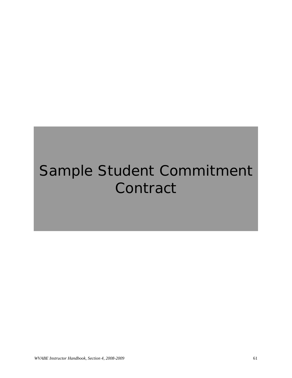# Sample Student Commitment **Contract**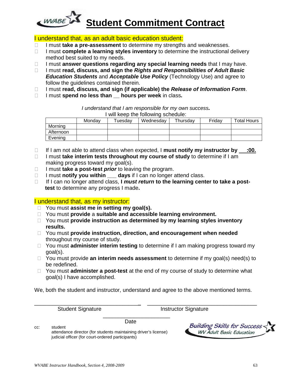

#### I understand that, as an adult basic education student:

- □ I must **take a pre-assessment** to determine my strengths and weaknesses.
- □ I must **complete a learning styles inventory** to determine the instructional delivery method best suited to my needs.
- □ I must **answer questions regarding any special learning needs** that I may have.
- □ I must **read, discuss, and sign the** *Rights and Responsibilities of Adult Basic Education Students* and *Acceptable Use Policy* (Technology Use) and agree to follow the guidelines contained therein.
- □ I must **read, discuss, and sign (if applicable) the** *Release of Information Form***.**
- I must **spend no less than \_\_ hours per week** in class*.*

*I understand that I am responsible for my own success.*

| I will keep the following schedule: |        |               |           |          |        |                    |  |  |
|-------------------------------------|--------|---------------|-----------|----------|--------|--------------------|--|--|
|                                     | Mondav | $\tau$ uesdav | Wednesdav | Thursdav | Fridav | <b>Total Hours</b> |  |  |
| Morning                             |        |               |           |          |        |                    |  |  |
| Afternoon                           |        |               |           |          |        |                    |  |  |
| Evening                             |        |               |           |          |        |                    |  |  |

- If I am not able to attend class when expected, I **must notify my instructor by :00.**
- □ I must **take interim tests throughout my course of study** to determine if I am making progress toward my goal(s).
- □ I must **take a post-test** *prior* to leaving the program.
- □ I must **notify you within \_\_\_ days** if I can no longer attend class.
- □ If I can no longer attend class, I *must return* to the learning center to take a post**test** to determine any progress I made**.**

#### I understand that, as my instructor:

- You must **assist me in setting my goal(s).**
- You must **provide** a **suitable and accessible learning environment.**
- □ You must **provide instruction as determined by my learning styles inventory results.**
- You must **provide instruction, direction, and encouragement when needed** throughout my course of study.
- □ You must **administer interim testing** to determine if I am making progress toward my goal(s).
- □ You must provide **an interim needs assessment** to determine if my goal(s) need(s) to be redefined.
- You must **administer a post-test** at the end of my course of study to determine what goal(s) I have accomplished.

We, both the student and instructor, understand and agree to the above mentioned terms.

\_\_\_\_\_\_\_\_\_\_\_\_\_\_\_\_\_\_\_\_\_\_\_\_\_\_\_\_\_\_\_\_\_\_ \_\_\_\_\_\_\_\_\_\_\_\_\_\_\_\_\_\_\_\_\_\_\_\_\_\_\_\_\_\_\_\_\_\_\_\_

\_\_\_\_\_\_\_\_\_\_\_\_\_\_\_\_\_\_\_\_\_\_

Student Signature **Instructor Signature** 

 Date cc: student attendance director (for students maintaining driver's license) judicial officer (for court-ordered participants)

**Building Skills for Success WV Adult Basic Education**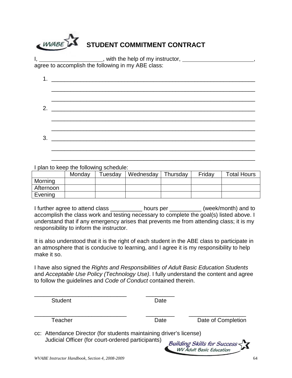| WABE STUDENT COMMITMENT CONTRACT                                                                                      |  |
|-----------------------------------------------------------------------------------------------------------------------|--|
| ___________________, with the help of my instructor, __________<br>agree to accomplish the following in my ABE class: |  |
|                                                                                                                       |  |
|                                                                                                                       |  |

| ົ |  |
|---|--|
|   |  |

\_\_\_\_\_\_\_\_\_\_\_\_\_\_\_\_\_\_\_\_\_\_\_\_\_\_\_\_\_\_\_\_\_\_\_\_\_\_\_\_\_\_\_\_\_\_\_\_\_\_\_\_\_\_\_\_\_\_\_\_\_\_\_\_

\_\_\_\_\_\_\_\_\_\_\_\_\_\_\_\_\_\_\_\_\_\_\_\_\_\_\_\_\_\_\_\_\_\_\_\_\_\_\_\_\_\_\_\_\_\_\_\_\_\_\_\_\_\_\_\_\_\_\_\_\_\_\_\_

I plan to keep the following schedule:

|           | Monday | $\tau$ uesdav | Wednesday | Thursday | Friday | <b>Total Hours</b> |
|-----------|--------|---------------|-----------|----------|--------|--------------------|
| Morning   |        |               |           |          |        |                    |
| Afternoon |        |               |           |          |        |                    |
| Evening   |        |               |           |          |        |                    |

I further agree to attend class \_\_\_\_\_\_\_\_\_\_ hours per \_\_\_\_\_\_\_\_\_\_ (week/month) and to accomplish the class work and testing necessary to complete the goal(s) listed above. I understand that if any emergency arises that prevents me from attending class; it is my responsibility to inform the instructor.

It is also understood that it is the right of each student in the ABE class to participate in an atmosphere that is conducive to learning, and I agree it is my responsibility to help make it so.

I have also signed the *Rights and Responsibilities of Adult Basic Education Students*  and *Acceptable Use Policy (Technology Use)*. I fully understand the content and agree to follow the guidelines and *Code of Conduct* contained therein.

\_\_\_\_\_\_\_\_\_\_\_\_\_\_\_\_\_\_\_\_\_\_\_\_\_\_\_\_\_ \_\_\_\_\_\_\_\_\_ Student Date Date \_\_\_\_\_\_\_\_\_\_\_\_\_\_\_\_\_\_\_\_\_\_\_\_\_\_\_\_\_ \_\_\_\_\_\_\_\_\_ \_\_\_\_\_\_\_\_\_\_\_\_\_\_\_\_\_\_ Teacher **Date** Date Date Date Of Completion cc: Attendance Director (for students maintaining driver's license) Judicial Officer (for court-ordered participants)**Building Skills for Success WV** Adult Basic Education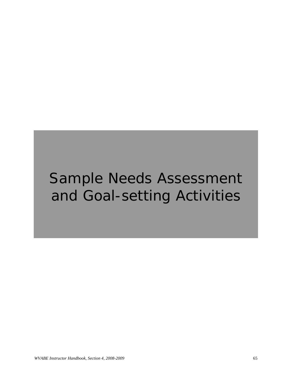# Sample Needs Assessment and Goal-setting Activities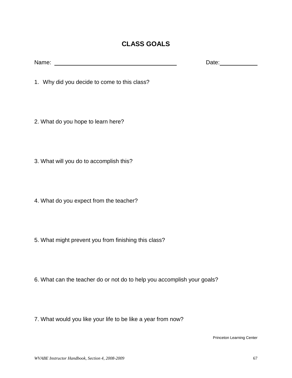## **CLASS GOALS**

| Name: | . .<br>— |
|-------|----------|
|       |          |

- 1. Why did you decide to come to this class?
- 2. What do you hope to learn here?
- 3. What will you do to accomplish this?
- 4. What do you expect from the teacher?
- 5. What might prevent you from finishing this class?
- 6. What can the teacher do or not do to help you accomplish your goals?
- 7. What would you like your life to be like a year from now?

Princeton Learning Center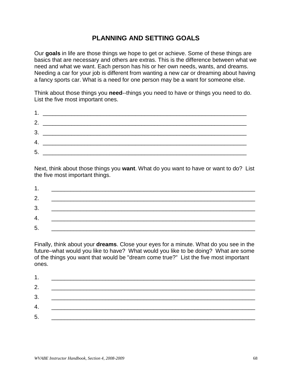## **PLANNING AND SETTING GOALS**

Our **goals** in life are those things we hope to get or achieve. Some of these things are basics that are necessary and others are extras. This is the difference between what we need and what we want. Each person has his or her own needs, wants, and dreams. Needing a car for your job is different from wanting a new car or dreaming about having a fancy sports car. What is a need for one person may be a want for someone else.

Think about those things you **need**--things you need to have or things you need to do. List the five most important ones.

|    | 2. $\qquad \qquad$ |  |
|----|--------------------|--|
|    |                    |  |
|    |                    |  |
| 5. |                    |  |
|    |                    |  |

Next, think about those things you **want**. What do you want to have or want to do? List the five most important things.

| л              |  |
|----------------|--|
| 2.             |  |
| 3.             |  |
| 4.             |  |
| 5 <sub>1</sub> |  |

Finally, think about your **dreams**. Close your eyes for a minute. What do you see in the future–what would you like to have? What would you like to be doing? What are some of the things you want that would be "dream come true?" List the five most important ones.

| 2. | <u> 1989 - Johann Stein, marwolaethau a bhann an t-Amhair ann an t-Amhair an t-Amhair an t-Amhair an t-Amhair an</u> |  |
|----|----------------------------------------------------------------------------------------------------------------------|--|
| 3. |                                                                                                                      |  |
| 4. | <u> 1989 - Johann Barbara, martin amerikan personal (</u>                                                            |  |
| 5. |                                                                                                                      |  |
|    | <u> 1989 - Johann John Stone, markin film yn y brenin y brenin y brenin y brenin y brenin y brenin y brenin y br</u> |  |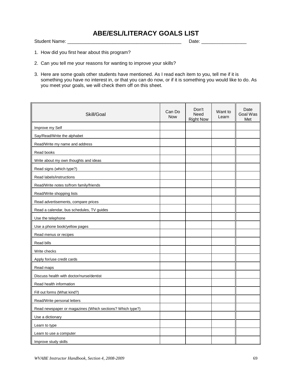Student Name: \_\_\_\_\_\_\_\_\_\_\_\_\_\_\_\_\_\_\_\_\_\_\_\_\_\_\_\_\_\_\_\_\_\_\_\_\_\_\_\_\_\_\_ Date: \_\_\_\_\_\_\_\_\_\_\_\_\_\_\_\_\_

- 1. How did you first hear about this program?
- 2. Can you tell me your reasons for wanting to improve your skills?
- 3. Here are some goals other students have mentioned. As I read each item to you, tell me if it is something you have no interest in, or that you can do now, or if it is something you would like to do. As you meet your goals, we will check them off on this sheet.

| Skill/Goal                                                | Can Do<br><b>Now</b> | Don't<br><b>Need</b><br><b>Right Now</b> | Want to<br>Learn | Date<br>Goal Was<br>Met |
|-----------------------------------------------------------|----------------------|------------------------------------------|------------------|-------------------------|
| Improve my Self                                           |                      |                                          |                  |                         |
| Say/Read/Write the alphabet                               |                      |                                          |                  |                         |
| Read/Write my name and address                            |                      |                                          |                  |                         |
| Read books                                                |                      |                                          |                  |                         |
| Write about my own thoughts and ideas                     |                      |                                          |                  |                         |
| Read signs (which type?)                                  |                      |                                          |                  |                         |
| Read labels/instructions                                  |                      |                                          |                  |                         |
| Read/Write notes to/from family/friends                   |                      |                                          |                  |                         |
| Read/Write shopping lists                                 |                      |                                          |                  |                         |
| Read advertisements, compare prices                       |                      |                                          |                  |                         |
| Read a calendar, bus schedules, TV guides                 |                      |                                          |                  |                         |
| Use the telephone                                         |                      |                                          |                  |                         |
| Use a phone book/yellow pages                             |                      |                                          |                  |                         |
| Read menus or recipes                                     |                      |                                          |                  |                         |
| Read bills                                                |                      |                                          |                  |                         |
| Write checks                                              |                      |                                          |                  |                         |
| Apply for/use credit cards                                |                      |                                          |                  |                         |
| Read maps                                                 |                      |                                          |                  |                         |
| Discuss health with doctor/nurse/dentist                  |                      |                                          |                  |                         |
| Read health information                                   |                      |                                          |                  |                         |
| Fill out forms (What kind?)                               |                      |                                          |                  |                         |
| Read/Write personal letters                               |                      |                                          |                  |                         |
| Read newspaper or magazines (Which sections? Which type?) |                      |                                          |                  |                         |
| Use a dictionary                                          |                      |                                          |                  |                         |
| Learn to type                                             |                      |                                          |                  |                         |
| Learn to use a computer                                   |                      |                                          |                  |                         |
| Improve study skills                                      |                      |                                          |                  |                         |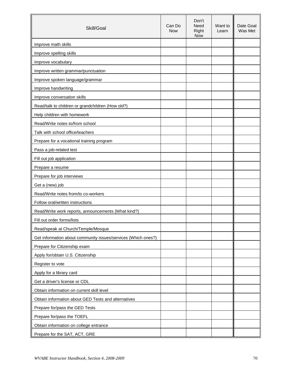| Skill/Goal                                                    | Can Do<br><b>Now</b> | Don't<br><b>Need</b><br>Right<br><b>Now</b> | Want to<br>Learn | Date Goal<br>Was Met |
|---------------------------------------------------------------|----------------------|---------------------------------------------|------------------|----------------------|
| Improve math skills                                           |                      |                                             |                  |                      |
| Improve spelling skills                                       |                      |                                             |                  |                      |
| Improve vocabulary                                            |                      |                                             |                  |                      |
| Improve written grammar/punctuation                           |                      |                                             |                  |                      |
| Improve spoken language/grammar                               |                      |                                             |                  |                      |
| Improve handwriting                                           |                      |                                             |                  |                      |
| Improve conversation skills                                   |                      |                                             |                  |                      |
| Read/talk to children or grandchildren (How old?)             |                      |                                             |                  |                      |
| Help children with homework                                   |                      |                                             |                  |                      |
| Read/Write notes to/from school                               |                      |                                             |                  |                      |
| Talk with school office/teachers                              |                      |                                             |                  |                      |
| Prepare for a vocational training program                     |                      |                                             |                  |                      |
| Pass a job-related test                                       |                      |                                             |                  |                      |
| Fill out job application                                      |                      |                                             |                  |                      |
| Prepare a resume                                              |                      |                                             |                  |                      |
| Prepare for job interviews                                    |                      |                                             |                  |                      |
| Get a (new) job                                               |                      |                                             |                  |                      |
| Read/Write notes from/to co-workers                           |                      |                                             |                  |                      |
| Follow oral/written instructions                              |                      |                                             |                  |                      |
| Read/Write work reports, announcements (What kind?)           |                      |                                             |                  |                      |
| Fill out order forms/lists                                    |                      |                                             |                  |                      |
| Read/speak at Church/Temple/Mosque                            |                      |                                             |                  |                      |
| Get information about community issues/services (Which ones?) |                      |                                             |                  |                      |
| Prepare for Citizenship exam                                  |                      |                                             |                  |                      |
| Apply for/obtain U.S. Citizenship                             |                      |                                             |                  |                      |
| Register to vote                                              |                      |                                             |                  |                      |
| Apply for a library card                                      |                      |                                             |                  |                      |
| Get a driver's license or CDL                                 |                      |                                             |                  |                      |
| Obtain information on current skill level                     |                      |                                             |                  |                      |
| Obtain information about GED Tests and alternatives           |                      |                                             |                  |                      |
| Prepare for/pass the GED Tests                                |                      |                                             |                  |                      |
| Prepare for/pass the TOEFL                                    |                      |                                             |                  |                      |
| Obtain information on college entrance                        |                      |                                             |                  |                      |
| Prepare for the SAT, ACT, GRE                                 |                      |                                             |                  |                      |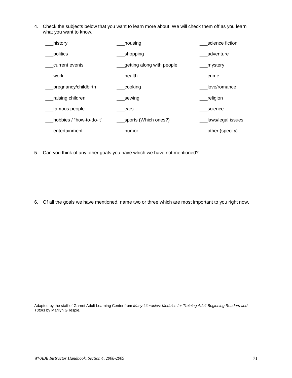4. Check the subjects below that you want to learn more about. We will check them off as you learn what you want to know.

| history                  | housing                   | science fiction   |
|--------------------------|---------------------------|-------------------|
| politics                 | _shopping                 | adventure         |
| current events           | getting along with people | mystery           |
| work                     | health                    | crime             |
| pregnancy/childbirth     | cooking                   | love/romance      |
| raising children         | _sewing                   | religion          |
| famous people            | cars                      | science           |
| hobbies / "how-to-do-it" | sports (Which ones?)      | laws/legal issues |
| entertainment            | humor                     | other (specify)   |

5. Can you think of any other goals you have which we have not mentioned?

6. Of all the goals we have mentioned, name two or three which are most important to you right now.

Adapted by the staff of Garnet Adult Learning Center from *Many Literacies; Modules for Training Adult Beginning Readers and Tutors* by Marilyn Gillespie.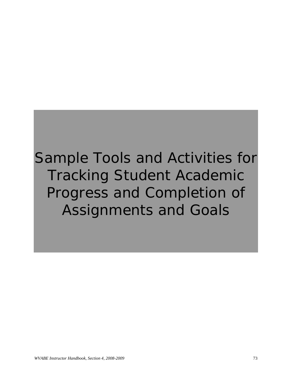Sample Tools and Activities for Tracking Student Academic Progress and Completion of Assignments and Goals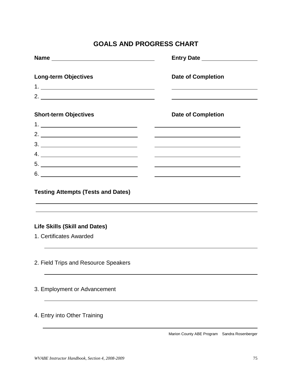# **GOALS AND PROGRESS CHART**

| Name experience and a series of the series of the series of the series of the series of the series of the series of the series of the series of the series of the series of the series of the series of the series of the seri |                           |  |  |  |
|--------------------------------------------------------------------------------------------------------------------------------------------------------------------------------------------------------------------------------|---------------------------|--|--|--|
| <b>Long-term Objectives</b>                                                                                                                                                                                                    | <b>Date of Completion</b> |  |  |  |
|                                                                                                                                                                                                                                |                           |  |  |  |
| <b>Short-term Objectives</b>                                                                                                                                                                                                   | <b>Date of Completion</b> |  |  |  |
|                                                                                                                                                                                                                                |                           |  |  |  |
|                                                                                                                                                                                                                                |                           |  |  |  |
|                                                                                                                                                                                                                                |                           |  |  |  |
|                                                                                                                                                                                                                                |                           |  |  |  |
|                                                                                                                                                                                                                                |                           |  |  |  |
|                                                                                                                                                                                                                                |                           |  |  |  |
| <b>Testing Attempts (Tests and Dates)</b>                                                                                                                                                                                      |                           |  |  |  |
| ,我们也不会有什么。""我们的人,我们也不会有什么?""我们的人,我们也不会有什么?""我们的人,我们也不会有什么?""我们的人,我们也不会有什么?""我们的人<br><b>Life Skills (Skill and Dates)</b>                                                                                                       |                           |  |  |  |
| 1. Certificates Awarded                                                                                                                                                                                                        |                           |  |  |  |
| 2. Field Trips and Resource Speakers                                                                                                                                                                                           |                           |  |  |  |
| 3. Employment or Advancement                                                                                                                                                                                                   |                           |  |  |  |
| 4. Entry into Other Training                                                                                                                                                                                                   |                           |  |  |  |

Marion County ABE Program Sandra Rosenberger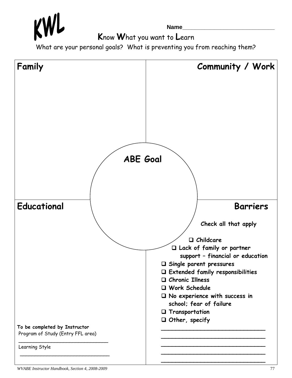**Name\_\_\_\_\_\_\_\_\_\_\_\_\_\_\_\_\_\_\_\_\_\_\_\_\_\_\_\_\_**

**K**now **W**hat you want to **L**earn

What are your personal goals? What is preventing you from reaching them?

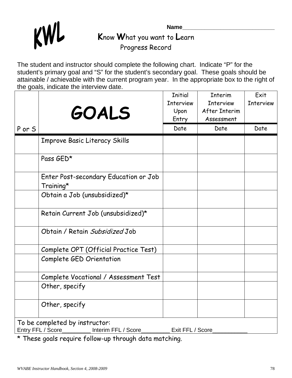

**Name\_\_\_\_\_\_\_\_\_\_\_\_\_\_\_\_\_\_\_\_\_\_\_\_\_\_\_\_\_ K**now **W**hat you want to **L**earn Progress Record

The student and instructor should complete the following chart. Indicate "P" for the student's primary goal and "S" for the student's secondary goal. These goals should be attainable / achievable with the current program year. In the appropriate box to the right of the goals, indicate the interview date.

|        | <b>GOALS</b>                                                               | <b>Initial</b><br><b>Interview</b><br>Upon<br>Entry | Interim<br><b>Interview</b><br>After Interim<br>Assessment | Exit<br><b>Interview</b> |
|--------|----------------------------------------------------------------------------|-----------------------------------------------------|------------------------------------------------------------|--------------------------|
| P or S |                                                                            | Date                                                | Date                                                       | Date                     |
|        | Improve Basic Literacy Skills                                              |                                                     |                                                            |                          |
|        | Pass GED*                                                                  |                                                     |                                                            |                          |
|        | Enter Post-secondary Education or Job<br>Training*                         |                                                     |                                                            |                          |
|        | Obtain a Job (unsubsidized)*                                               |                                                     |                                                            |                          |
|        | Retain Current Job (unsubsidized)*                                         |                                                     |                                                            |                          |
|        | Obtain / Retain Subsidized Job                                             |                                                     |                                                            |                          |
|        | Complete OPT (Official Practice Test)                                      |                                                     |                                                            |                          |
|        | Complete GED Orientation                                                   |                                                     |                                                            |                          |
|        | Complete Vocational / Assessment Test                                      |                                                     |                                                            |                          |
|        | Other, specify                                                             |                                                     |                                                            |                          |
|        | Other, specify                                                             |                                                     |                                                            |                          |
|        | To be completed by instructor:<br>Entry FFL / Score<br>Interim FFL / Score | Exit FFL / Score                                    |                                                            |                          |

\* These goals require follow-up through data matching.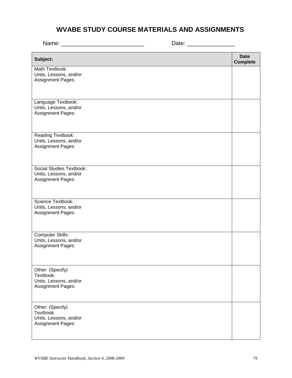## **WVABE STUDY COURSE MATERIALS AND ASSIGNMENTS**

Name: \_\_\_\_\_\_\_\_\_\_\_\_\_\_\_\_\_\_\_\_\_\_\_\_\_\_ Date: \_\_\_\_\_\_\_\_\_\_\_\_\_\_\_

| Subject:                                                                            | <b>Date</b><br><b>Complete</b> |
|-------------------------------------------------------------------------------------|--------------------------------|
| Math Textbook:<br>Units, Lessons, and/or<br>Assignment Pages:                       |                                |
| Language Textbook:<br>Units, Lessons, and/or<br>Assignment Pages:                   |                                |
| Reading Textbook:<br>Units, Lessons, and/or<br>Assignment Pages:                    |                                |
| <b>Social Studies Textbook:</b><br>Units, Lessons, and/or<br>Assignment Pages:      |                                |
| Science Textbook:<br>Units, Lessons, and/or<br>Assignment Pages:                    |                                |
| <b>Computer Skills:</b><br>Units, Lessons, and/or<br>Assignment Pages:              |                                |
| Other: (Specify)<br>Textbook:<br>Units, Lessons, and/or<br>Assignment Pages:        |                                |
| Other: (Specify)<br>Textbook:<br>Units, Lessons, and/or<br><b>Assignment Pages:</b> |                                |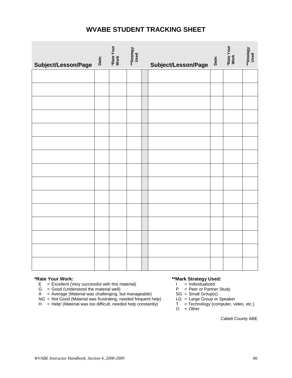## **WVABE STUDENT TRACKING SHEET**

| Subject/Lesson/Page | Date: | *Rate Your<br>Work | **Strategy<br>Used | Subject/Lesson/Page | Date: | *Rate Your<br>Work | **Strategy<br>Used |
|---------------------|-------|--------------------|--------------------|---------------------|-------|--------------------|--------------------|
|                     |       |                    |                    |                     |       |                    |                    |
|                     |       |                    |                    |                     |       |                    |                    |
|                     |       |                    |                    |                     |       |                    |                    |
|                     |       |                    |                    |                     |       |                    |                    |
|                     |       |                    |                    |                     |       |                    |                    |
|                     |       |                    |                    |                     |       |                    |                    |
|                     |       |                    |                    |                     |       |                    |                    |
|                     |       |                    |                    |                     |       |                    |                    |
|                     |       |                    |                    |                     |       |                    |                    |
|                     |       |                    |                    |                     |       |                    |                    |
|                     |       |                    |                    |                     |       |                    |                    |
|                     |       |                    |                    |                     |       |                    |                    |
|                     |       |                    |                    |                     |       |                    |                    |
|                     |       |                    |                    |                     |       |                    |                    |
|                     |       |                    |                    |                     |       |                    |                    |

- **\*Rate Your Work: \*Rate Your Work: \*\*Mark Strategy Used: E** = Excellent (Very successful with this material) **and in the strategy Used: E** = Excellent (Very successful with this material) E = Excellent (Very successful with this material)  $I = Individualized$ <br>
G = Good (Understood the material well)  $P = Peer$  or Partner Study
	-
	- G = Good (Understood the material well)  $P = Peer$  or Partner A = Average (Material was challenging, but manageable)  $SG = Small Group(s)$
	- NG = Not Good (Material was frustrating, needed frequent help)
	- A = Average (Material was challenging, but manageable) SG = Small Group(s)<br>
	NG = Not Good (Material was frustrating, needed frequent help) LG = Large Group or Speaker<br>
	H = Help! (Material was too difficult, needed help con  $H = Help!$  (Material was too difficult, needed help constantly)

- 
- 
- 
- $O = Other$

Cabell County ABE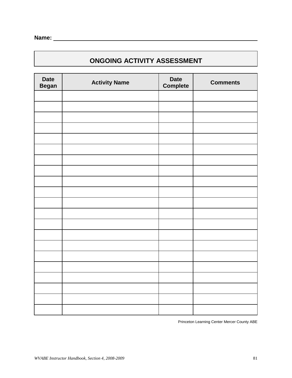## **ONGOING ACTIVITY ASSESSMENT**

| <b>Date</b><br><b>Began</b> | <b>Activity Name</b> | <b>Date</b><br>Complete | <b>Comments</b> |
|-----------------------------|----------------------|-------------------------|-----------------|
|                             |                      |                         |                 |
|                             |                      |                         |                 |
|                             |                      |                         |                 |
|                             |                      |                         |                 |
|                             |                      |                         |                 |
|                             |                      |                         |                 |
|                             |                      |                         |                 |
|                             |                      |                         |                 |
|                             |                      |                         |                 |
|                             |                      |                         |                 |
|                             |                      |                         |                 |
|                             |                      |                         |                 |
|                             |                      |                         |                 |
|                             |                      |                         |                 |
|                             |                      |                         |                 |
|                             |                      |                         |                 |
|                             |                      |                         |                 |
|                             |                      |                         |                 |
|                             |                      |                         |                 |
|                             |                      |                         |                 |
|                             |                      |                         |                 |

Princeton Learning Center Mercer County ABE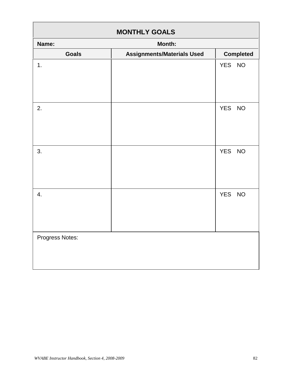| <b>MONTHLY GOALS</b> |                                   |                  |
|----------------------|-----------------------------------|------------------|
| Name:                | Month:                            |                  |
| <b>Goals</b>         | <b>Assignments/Materials Used</b> | <b>Completed</b> |
| 1.                   |                                   | YES NO           |
| 2.                   |                                   | YES NO           |
| 3.                   |                                   | YES NO           |
| 4.                   |                                   | YES NO           |
| Progress Notes:      |                                   |                  |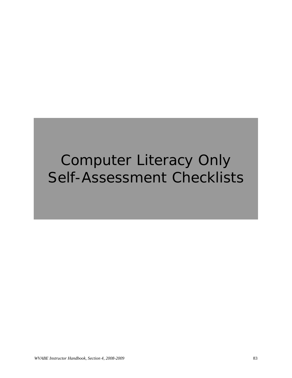# Computer Literacy Only Self-Assessment Checklists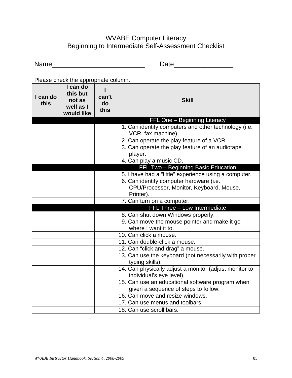## WVABE Computer Literacy Beginning to Intermediate Self-Assessment Checklist

Name\_\_\_\_\_\_\_\_\_\_\_\_\_\_\_\_\_\_\_\_\_\_\_\_\_ Date\_\_\_\_\_\_\_\_\_\_\_\_\_\_\_\_

Please check the appropriate column.

| I can do<br>this | I can do<br>this but<br>not as<br>well as I<br>would like | can't<br>do<br>this | <b>Skill</b>                                                                             |
|------------------|-----------------------------------------------------------|---------------------|------------------------------------------------------------------------------------------|
|                  |                                                           |                     | FFL One - Beginning Literacy                                                             |
|                  |                                                           |                     | 1. Can identify computers and other technology (i.e.<br>VCR, fax machine).               |
|                  |                                                           |                     | 2. Can operate the play feature of a VCR.                                                |
|                  |                                                           |                     | 3. Can operate the play feature of an audiotape<br>player.                               |
|                  |                                                           |                     | 4. Can play a music CD.                                                                  |
|                  |                                                           |                     | FFL Two - Beginning Basic Education                                                      |
|                  |                                                           |                     | 5. I have had a "little" experience using a computer.                                    |
|                  |                                                           |                     | 6. Can identify computer hardware (i.e.                                                  |
|                  |                                                           |                     | CPU/Processor, Monitor, Keyboard, Mouse,                                                 |
|                  |                                                           |                     | Printer).                                                                                |
|                  |                                                           |                     | 7. Can turn on a computer.                                                               |
|                  |                                                           |                     | FFL Three - Low Intermediate                                                             |
|                  |                                                           |                     | 8. Can shut down Windows properly.                                                       |
|                  |                                                           |                     | 9. Can move the mouse pointer and make it go                                             |
|                  |                                                           |                     | where I want it to.                                                                      |
|                  |                                                           |                     | 10. Can click a mouse.                                                                   |
|                  |                                                           |                     | 11. Can double-click a mouse.                                                            |
|                  |                                                           |                     | 12. Can "click and drag" a mouse.                                                        |
|                  |                                                           |                     | 13. Can use the keyboard (not necessarily with proper<br>typing skills).                 |
|                  |                                                           |                     | 14. Can physically adjust a monitor (adjust monitor to<br>individual's eye level).       |
|                  |                                                           |                     | 15. Can use an educational software program when<br>given a sequence of steps to follow. |
|                  |                                                           |                     | 16. Can move and resize windows.                                                         |
|                  |                                                           |                     | 17. Can use menus and toolbars.                                                          |
|                  |                                                           |                     | 18. Can use scroll bars.                                                                 |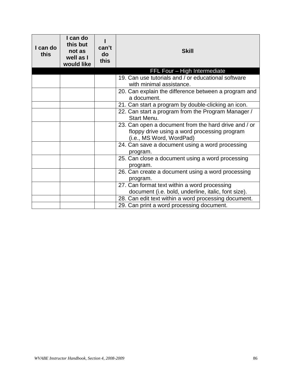| I can do<br>this | I can do<br>this but<br>not as<br>well as I<br>would like | can't<br>do<br>this | <b>Skill</b>                                                                                                                     |
|------------------|-----------------------------------------------------------|---------------------|----------------------------------------------------------------------------------------------------------------------------------|
|                  |                                                           |                     | FFL Four - High Intermediate                                                                                                     |
|                  |                                                           |                     | 19. Can use tutorials and / or educational software                                                                              |
|                  |                                                           |                     | with minimal assistance.                                                                                                         |
|                  |                                                           |                     | 20. Can explain the difference between a program and<br>a document.                                                              |
|                  |                                                           |                     | 21. Can start a program by double-clicking an icon.                                                                              |
|                  |                                                           |                     | 22. Can start a program from the Program Manager /<br>Start Menu.                                                                |
|                  |                                                           |                     | 23. Can open a document from the hard drive and / or<br>floppy drive using a word processing program<br>(i.e., MS Word, WordPad) |
|                  |                                                           |                     | 24. Can save a document using a word processing<br>program.                                                                      |
|                  |                                                           |                     | 25. Can close a document using a word processing<br>program.                                                                     |
|                  |                                                           |                     | 26. Can create a document using a word processing<br>program.                                                                    |
|                  |                                                           |                     | 27. Can format text within a word processing                                                                                     |
|                  |                                                           |                     | document (i.e. bold, underline, italic, font size).                                                                              |
|                  |                                                           |                     | 28. Can edit text within a word processing document.                                                                             |
|                  |                                                           |                     | 29. Can print a word processing document.                                                                                        |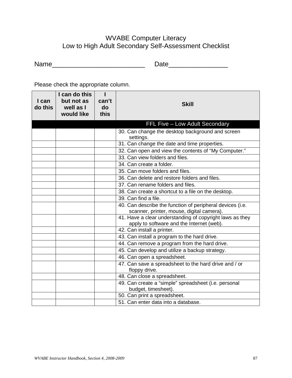## WVABE Computer Literacy Low to High Adult Secondary Self-Assessment Checklist

Please check the appropriate column.

| I can<br>$\mathsf{do}\$ this | I can do this<br>but not as<br>well as I<br>would like | ı<br>can't<br>do<br>this | <b>Skill</b>                                                                                           |
|------------------------------|--------------------------------------------------------|--------------------------|--------------------------------------------------------------------------------------------------------|
|                              |                                                        |                          | FFL Five - Low Adult Secondary                                                                         |
|                              |                                                        |                          | 30. Can change the desktop background and screen<br>settings.                                          |
|                              |                                                        |                          | 31. Can change the date and time properties.                                                           |
|                              |                                                        |                          | 32. Can open and view the contents of "My Computer."                                                   |
|                              |                                                        |                          | 33. Can view folders and files.                                                                        |
|                              |                                                        |                          | 34. Can create a folder.                                                                               |
|                              |                                                        |                          | 35. Can move folders and files.                                                                        |
|                              |                                                        |                          | 36. Can delete and restore folders and files.                                                          |
|                              |                                                        |                          | 37. Can rename folders and files.                                                                      |
|                              |                                                        |                          | 38. Can create a shortcut to a file on the desktop.                                                    |
|                              |                                                        |                          | 39. Can find a file.                                                                                   |
|                              |                                                        |                          | 40. Can describe the function of peripheral devices (i.e.<br>scanner, printer, mouse, digital camera). |
|                              |                                                        |                          | 41. Have a clear understanding of copyright laws as they<br>apply to software and the Internet (web).  |
|                              |                                                        |                          | 42. Can install a printer.                                                                             |
|                              |                                                        |                          | 43. Can install a program to the hard drive.                                                           |
|                              |                                                        |                          | 44. Can remove a program from the hard drive.                                                          |
|                              |                                                        |                          | 45. Can develop and utilize a backup strategy.                                                         |
|                              |                                                        |                          | 46. Can open a spreadsheet.                                                                            |
|                              |                                                        |                          | 47. Can save a spreadsheet to the hard drive and / or<br>floppy drive.                                 |
|                              |                                                        |                          | 48. Can close a spreadsheet.                                                                           |
|                              |                                                        |                          | 49. Can create a "simple" spreadsheet (i.e. personal<br>budget, timesheet).                            |
|                              |                                                        |                          | 50. Can print a spreadsheet.                                                                           |
|                              |                                                        |                          | 51. Can enter data into a database.                                                                    |